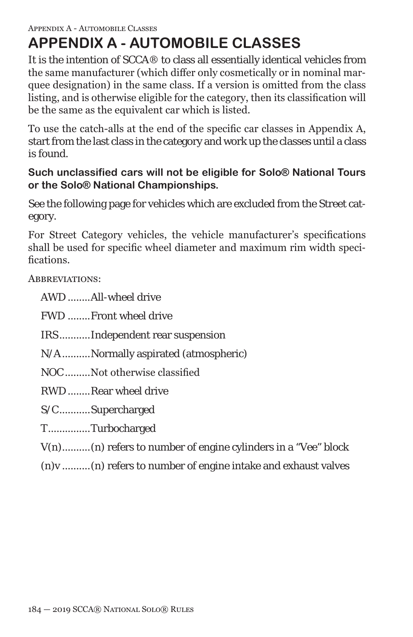# **APPENDIX A - AUTOMOBILE CLASSES**

It is the intention of SCCA® to class all essentially identical vehicles from the same manufacturer (which differ only cosmetically or in nominal marquee designation) in the same class. If a version is omitted from the class listing, and is otherwise eligible for the category, then its classification will be the same as the equivalent car which is listed.

To use the catch-alls at the end of the specific car classes in Appendix A, start from the last class in the category and work up the classes until a class is found.

## **Such unclassified cars will not be eligible for Solo® National Tours or the Solo® National Championships.**

See the following page for vehicles which are excluded from the Street category.

For Street Category vehicles, the vehicle manufacturer's specifications shall be used for specific wheel diameter and maximum rim width specifications.

ABBREVIATIONS:

AWD ........All-wheel drive

FWD ........Front wheel drive

IRS...........Independent rear suspension

N/A..........Normally aspirated (atmospheric)

NOC.........Not otherwise classified

RWD........Rear wheel drive

S/C...........Supercharged

T...............Turbocharged

- V(n)..........(n) refers to number of engine cylinders in a "Vee" block
- (n)v ..........(n) refers to number of engine intake and exhaust valves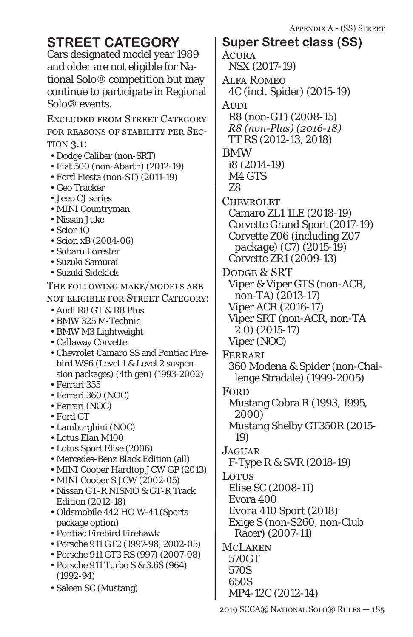Cars designated model year 1989 and older are not eligible for National Solo® competition but may continue to participate in Regional Solo® events.

Excluded from Street Category for reasons of stability per Section 3.1:

- Dodge Caliber (non-SRT)
- Fiat 500 (non-Abarth) (2012-19)
- Ford Fiesta (non-ST) (2011-19)
- Geo Tracker
- Jeep CJ series
- MINI Countryman
- Nissan Juke
- Scion iQ
- Scion xB (2004-06)
- Subaru Forester
- Suzuki Samurai
- Suzuki Sidekick

The following make/models are not eligible for Street Category:

- Audi R8 GT & R8 Plus
- BMW 325 M-Technic
- BMW M3 Lightweight
- Callaway Corvette
- Chevrolet Camaro SS and Pontiac Firebird WS6 (Level 1 & Level 2 suspension packages) (4th gen) (1993-2002)
- Ferrari 355
- Ferrari 360 (NOC)
- Ferrari (NOC)
- Ford GT
- Lamborghini (NOC)
- Lotus Elan M100
- Lotus Sport Elise (2006)
- Mercedes-Benz Black Edition (all)
- MINI Cooper Hardtop JCW GP (2013)
- MINI Cooper S JCW (2002-05)
- Nissan GT-R NISMO & GT-R Track Edition (2012-18)
- Oldsmobile 442 HO W-41 (Sports package option)
- Pontiac Firebird Firehawk
- Porsche 911 GT2 (1997-98, 2002-05)
- Porsche 911 GT3 RS (997) (2007-08)
- Porsche 911 Turbo S & 3.6S (964) (1992-94)
- Saleen SC (Mustang)

**ACURA** NSX (2017-19) Alfa Romeo 4C (incl. Spider) (2015-19) Audi R8 (*non-GT*) (2008-15) *R8 (non-Plus) (2016-18)* TT RS (2012-13, 2018) BMW i8 (2014-19) *M4 GTS* Z8 **CHEVROLET** Camaro ZL1 1LE (2018-19) Corvette Grand Sport (2017-*19*) Corvette Z06 (*including Z07 package*) (C7) (2015-*19*) Corvette ZR1 (2009-13) DODGE & SRT Viper & Viper GTS (non-ACR, non-TA) (2013-*17*) Viper ACR (2016-17) Viper SRT (non-ACR, non-TA 2.0) (2015-17) Viper (NOC) Ferrari 360 Modena & Spider (non-Challenge Stradale) (1999-2005) **FORD** Mustang Cobra R (1993, 1995, 2000) Mustang Shelby GT350R (2015- 19) **JAGUAR** F-Type R & SVR (2018-19) Lotus Elise SC (2008-11) Evora 400 *Evora 410 Sport (2018)* Exige S (non-S260, non-Club Racer) (2007-11) **MCLAREN** *570GT 570S 650S* MP4-12C (2012-14) **STREET CATEGORY** | Super Street class (SS)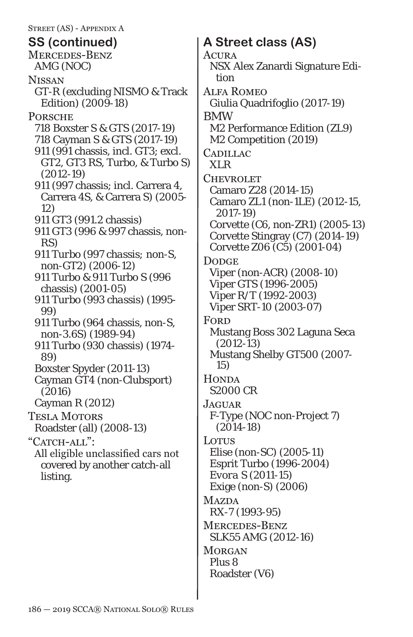Street (AS) - Appendix A Mercedes-Benz AMG (NOC) **NISSAN** GT-R (excluding NISMO & Track Edition) (2009-18) **PORSCHE** 718 Boxster S & GTS (2017-19) 718 Cayman S & GTS (2017-19) 911 (991 chassis, incl. GT3; excl. GT2, GT3 RS, Turbo, & Turbo S) (2012-19) 911 (997 chassis; incl. Carrera 4, Carrera 4S, & Carrera S) (2005- 12) 911 GT3 (991.2 chassis) 911 GT3 (996 & 997 chassis, non-RS) *911 Turbo (997 chassis; non-S, non-GT2) (2006-12)* 911 Turbo & 911 Turbo S (996 chassis) (2001-05) *911 Turbo (993 chassis) (1995- 99)* 911 Turbo (964 chassis, non-S, non-3.6S) (1989-94) 911 Turbo (930 chassis) (1974- 89) Boxster Spyder (2011-13) Cayman GT4 (non-Clubsport) (2016) Cayman R (2012) Tesla Motors Roadster (all) (2008-13) "CATCH-ALL": All eligible unclassified cars not covered by another catch-all listing. **SS (continued) A Street class (AS)**

**ACURA** NSX Alex Zanardi Signature Edition Alfa Romeo Giulia Quadrifoglio (2017-19) BMW M2 Performance Edition (ZL9) *M2 Competition (2019)* **CADILLAC** XLR **CHEVROLET** Camaro Z28 (2014-15) Camaro ZL1 (non-1LE) (2012-15, 2017-19) Corvette (C6, non-ZR1) (2005-13) Corvette Stingray (C7) (2014-19) Corvette Z06 (C5) (2001-04) Dodge. Viper (non-ACR) (2008-10) Viper GTS (1996-2005) Viper R/T (1992-2003) Viper SRT-10 (2003-07) **FORD** Mustang Boss 302 Laguna Seca (2012-13) Mustang Shelby GT500 (2007- *15*) **HONDA** S2000 CR **JAGUAR** F-Type (NOC non-Project 7) (2014-18) **Lotus** Elise (non-SC) (2005-11) Esprit Turbo (1996-2004) *Evora S (2011-15)* Exige (non-S) (2006) **MAZDA** RX-7 (1993-95) Mercedes-Benz SLK55 AMG (2012-16) **MORGAN** Plus 8 Roadster (V6)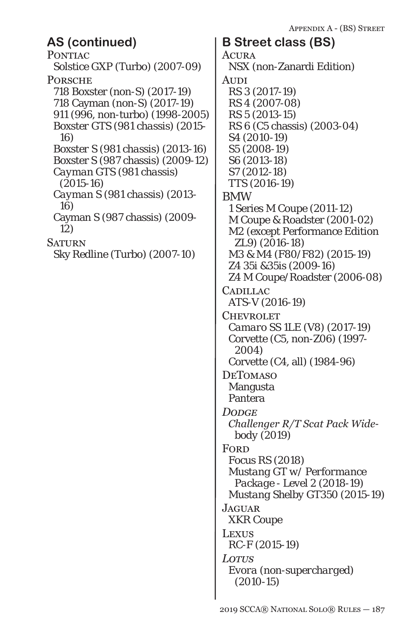## **AS (continued) B Street class (BS)**

PONTIAC Solstice GXP (Turbo) (2007-09) **PORSCHE** 718 Boxster (non-S) (2017-19) 718 Cayman (non-S) (2017-19) 911 (996, non-turbo) (1998-2005) *Boxster GTS (981 chassis) (2015- 16) Boxster S (981 chassis) (2013-16)* Boxster S (987 chassis) (2009-12) *Cayman GTS (981 chassis) (2015-16) Cayman S (981 chassis) (2013- 16)* Cayman S (987 chassis) (2009- 12) **SATURN** Sky Redline (Turbo) (2007-10)

**ACURA** NSX (non-Zanardi Edition) **AUDI** RS 3 (2017-19) RS 4 (2007-08) RS 5 (2013-15) RS 6 (C5 chassis) (2003-04) S4 (2010-19) S5 (2008-19) S6 (2013-18) S7 (2012-18) *TTS (2016-19)* BMW 1 Series M Coupe (2011-12) M Coupe & Roadster (2001-02) M2 (except Performance Edition ZL9) (2016-18) *M3 & M4 (F80/F82) (2015-19)* Z4 35i &35is (2009-16) Z4 M Coupe/Roadster (2006-08) **CADILLAC** ATS-V (2016-19) **CHEVROLET** *Camaro SS 1LE (V8) (2017-19)* Corvette (C5, non-Z06) (1997- 2004) Corvette (C4, all) (1984-96) DeTomaso Mangusta Pantera *Dodge Challenger R/T Scat Pack Widebody (2019)* **FORD** Focus RS (2018) *Mustang GT w/ Performance Package - Level 2 (2018-19) Mustang Shelby GT350 (2015-19)* **JAGUAR** XKR Coupe Lexus RC-F (2015-19) *Lotus Evora (non-supercharged) (2010-15)*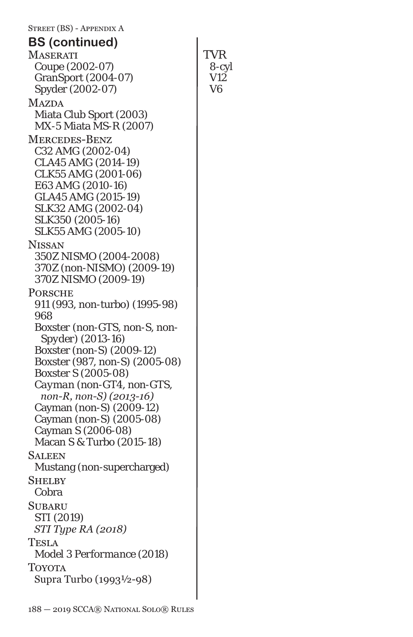Street (BS) - Appendix A **MASERATI** Coupe (2002-07) GranSport (2004-07) Spyder (2002-07) **MAZDA** Miata Club Sport (2003) MX-5 Miata MS-R (2007) Mercedes-Benz C32 AMG (2002-04) CLA45 AMG (2014-19) CLK55 AMG (2001-06) E63 AMG (2010-16) GLA45 AMG (2015-19) SLK32 AMG (2002-04) SLK350 (2005-16) SLK55 AMG (2005-10) Nissan *350Z NISMO (2004-2008)* 370Z (non-NISMO) (2009-19) *370Z NISMO (2009-19)* **PORSCHE** 911 (993, non-turbo) (1995-98) 968 *Boxster (non-GTS, non-S, non-Spyder) (2013-16)* Boxster (non-S) (2009-12) Boxster (987, non-S) (2005-08) Boxster S (2005-08) *Cayman (non-GT4, non-GTS, non-R, non-S) (2013-16)* Cayman (non-S) (2009-12) Cayman (non-S) (2005-08) Cayman S (2006-08) Macan S & Turbo (2015-18) **SALEEN** Mustang (non-supercharged) **SHELBY** Cobra **SUBARU** *STI (2019) STI Type RA (2018)* Tesla *Model 3 Performance (2018)* **TOYOTA** Supra Turbo (1993½-98) **TVR** 8-cyl V12 V6 **BS (continued)**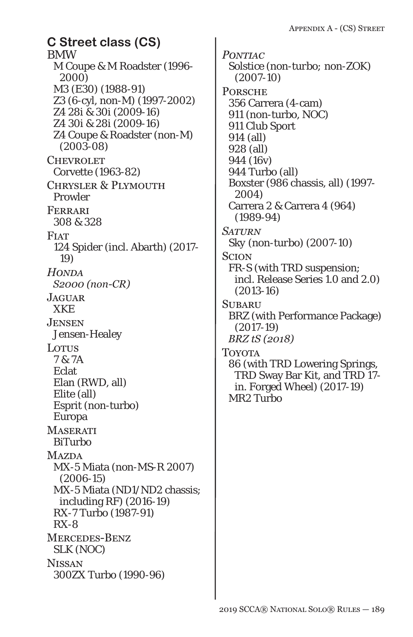BMW M Coupe & M Roadster (1996- 2000) M3 (E30) (1988-91) Z3 (6-cyl, non-M) (1997-2002) *Z4 28i & 30i (2009-16)* Z4 30i & 28i (2009-16) Z4 Coupe & Roadster (non-M) (2003-08) **CHEVROLET** Corvette (1963-82) Chrysler & Plymouth Prowler Ferrari 308 & 328 **FIAT** 124 Spider (incl. Abarth) (2017- 19) *Honda S2000 (non-CR)* **JAGUAR** XKE Jensen Jensen-Healey Lotus 7 & 7A Eclat Elan (RWD, all) Elite (all) Esprit (non-turbo) Europa **MASERATI** BiTurbo **MAZDA** MX-5 Miata (non-MS-R 2007) (2006-15) MX-5 Miata (ND1/ND2 chassis; including RF) (2016-19) RX-7 Turbo (1987-91) RX-8 Mercedes-Benz SLK (NOC) **NISSAN** 300ZX Turbo (1990-96) **C Street class (CS)**

*Pontiac Solstice (non-turbo; non-ZOK) (2007-10)* **PORSCHE** 356 Carrera (4-cam) 911 (non-turbo, NOC) 911 Club Sport 914 (all) 928 (all) 944 (16v) 944 Turbo (all) Boxster (986 chassis, all) (1997- 2004) Carrera 2 & Carrera 4 (964) (1989-94) *Saturn Sky (non-turbo) (2007-10)* **SCION** FR-S (with TRD suspension; incl. Release Series 1.0 and 2.0) (2013-16) **SUBARU** BRZ (with Performance Package) (2017-19) *BRZ tS (2018)* **TOYOTA** 86 (with TRD Lowering Springs, TRD Sway Bar Kit, and TRD 17 in. Forged Wheel) (2017-19) MR2 Turbo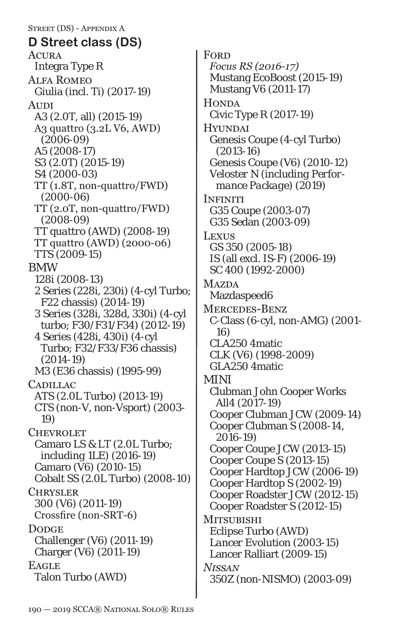Street (DS) - Appendix A Acura Integra Type R Alfa Romeo Giulia (incl. Ti) (2017-19) Audi A3 (2.0T, all) (2015-19) A3 quattro (3.2L V6, AWD) (2006-09) A5 (2008-17) *S3 (2.0T) (2015-19)* S4 (2000-03) TT (1.8T, non-quattro/FWD) (2000-06) TT (2.0T, non-quattro/FWD) (2008-09) *TT quattro (AWD) (2008-19)* TT quattro (AWD) (2000-06) *TTS (2009-15)* BMW 128i (2008-13) 2 Series (228i, 230i) (4-cyl Turbo; F22 chassis) (2014-19) 3 Series (328i, 328d, 330i) (4-cyl turbo; F30/F31/F34) (2012-19) 4 Series (428i, 430i) (4-cyl Turbo; F32/F33/F36 chassis) (2014-19) M3 (E36 chassis) (1995-99) **CADILLAC** ATS (2.0L Turbo) (2013-19) CTS (non-V, non-Vsport) (2003- 19) **CHEVROLET** Camaro LS & LT (2.0L Turbo; *including 1LE*) (2016-19) Camaro (V6) (2010-15) Cobalt SS (2.0L Turbo) (2008-10) **CHRYSLER** 300 (V6) (2011-19) Crossfire (non-SRT-6) Dodge<sub>1</sub> Challenger (V6) (2011-19) Charger (V6) (2011-19) **EAGLE** Talon Turbo (AWD) **D Street class (DS)**

**FORD** *Focus RS (2016-17)* Mustang EcoBoost (2015-19) Mustang V6 (2011-17) **HONDA** Civic Type R (2017-19) **HYUNDAI** Genesis Coupe (4-cyl Turbo) (2013-16) Genesis Coupe (V6) (2010-12) *Veloster N (including Performance Package) (2019)* **INFINITI** G35 Coupe (2003-07) G35 Sedan (2003-09) **Lexus** GS 350 (2005-18) IS (all excl. IS-F) (2006-19) SC 400 (1992-2000) **MAZDA** Mazdaspeed6 Mercedes-Benz C-Class (6-cyl, non-AMG) (2001- 16) CLA250 4matic CLK (V6) (1998-2009) GLA250 4matic MINI Clubman John Cooper Works All4 (2017-19) Cooper Clubman JCW (2009-14) Cooper Clubman S (2008-14, 2016-19) Cooper Coupe JCW (2013-15) Cooper Coupe S (2013-15) Cooper Hardtop JCW (2006-19) Cooper Hardtop S (2002-19) Cooper Roadster JCW (2012-15) Cooper Roadster S (2012-15) Mitsubishi Eclipse Turbo (AWD) *Lancer Evolution (2003-15)* Lancer Ralliart (2009-15) *Nissan 350Z (non-NISMO) (2003-09)*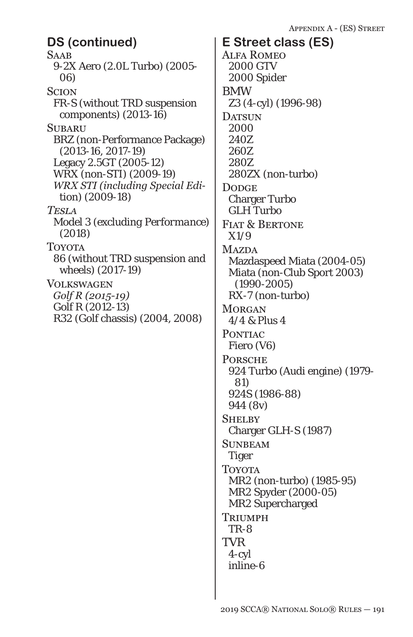**SAAB** 9-2X Aero (2.0L Turbo) (2005- 06) **SCION** FR-S (without TRD suspension components) (2013-16) **SUBARU** BRZ (non-Performance Package) (2013-16, 2017-19) Legacy 2.5GT (2005-12) WRX (non-STI) (2009-19) *WRX STI (including Special Edition) (2009-18) Tesla Model 3 (excluding Performance) (2018)* **TOYOTA** 86 (without TRD suspension and wheels) (2017-19) Volkswagen *Golf R (2015-19)* Golf R (2012-13) R32 (Golf chassis) (2004, 2008) **DS (continued) E Street class (ES)**

Alfa Romeo 2000 GTV 2000 Spider BMW Z3 (4-cyl) (1996-98) DATSUN 2000 240Z 260Z 280Z 280ZX (non-turbo) **DODGE** Charger Turbo GLH Turbo FIAT & BERTONE X1/9 **MAZDA** Mazdaspeed Miata (2004-05) Miata (non-Club Sport 2003) (1990-2005) RX-7 (non-turbo) **MORGAN** 4/4 & Plus 4 PONTIAC Fiero (V6) **PORSCHE** 924 Turbo (Audi engine) (1979- 81) 924S (1986-88) 944 (8v) **SHELBY** Charger GLH-S (1987) **SUNBEAM** Tiger **TOYOTA** MR2 (non-turbo) (1985-95) MR2 Spyder (2000-05) MR2 Supercharged **TRIUMPH** TR-8 TVR 4-cyl inline-6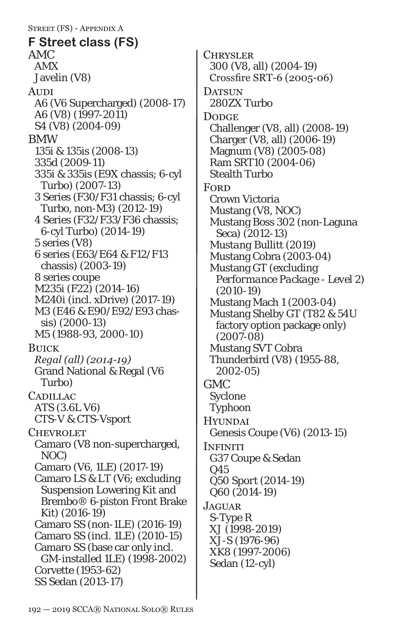Street (FS) - Appendix A AMC AMX Javelin (V8) **AUDI** A6 (V6 Supercharged) (2008-17) A6 (V8) (1997-2011) S4 (V8) (2004-09) BMW 135i & 135is (2008-13) 335d (2009-11) 335i & 335is (E9X chassis; 6-cyl Turbo) (2007-13) 3 Series (F30/F31 chassis; 6-cyl Turbo, non-M3) (2012-19) 4 Series (F32/F33/F36 chassis; 6-cyl Turbo) (2014-19) 5 series (V8) 6 series (E63/E64 & F12/F13 chassis) (2003-19) 8 series coupe M235i (F22) (2014-16) M240i (incl. xDrive) (2017-19) M3 (E46 & E90/E92/E93 chassis) (2000-13) M5 (1988-93, 2000-10) Buick *Regal (all) (2014-19)* Grand National & Regal (V6 Turbo) **CADILLAC** ATS (3.6L V6) CTS-V & CTS-Vsport **CHEVROLET** Camaro (V8 non-supercharged, NOC) Camaro (V6, 1LE) (2017-19) Camaro LS & LT (V6; excluding Suspension Lowering Kit and Brembo® 6-piston Front Brake Kit) (2016-19) Camaro SS (non-1LE) (2016-19) Camaro SS (incl. 1LE) (2010-15) Camaro SS (base car only incl. GM-installed 1LE) (1998-2002) Corvette (1953-62) SS Sedan (2013-17) **F Street class (FS)**

**CHRYSLER** 300 (V8, all) (2004-19) Crossfire SRT-6 (2005-06) DATSUN 280ZX Turbo **DODGE** Challenger (V8, all) (2008-19) Charger (V8, all) (2006-19) Magnum (V8) (2005-08) Ram SRT10 (2004-06) Stealth Turbo **FORD** Crown Victoria Mustang (V8, NOC) Mustang Boss 302 (non-Laguna Seca) (2012-13) *Mustang Bullitt (2019)* Mustang Cobra (2003-04) Mustang GT (*excluding Performance Package - Level 2*) (2010-19) Mustang Mach 1 (2003-04) Mustang Shelby GT (T82 & 54U factory option package only) (2007-08) Mustang SVT Cobra Thunderbird (V8) (1955-88, 2002-05) GMC Syclone Typhoon **HYUNDAI** Genesis Coupe (V6) (2013-15) **INFINITI** G37 Coupe & Sedan Q45 *Q50 Sport (2014-19)* Q60 (2014-19) **JAGUAR** S-Type R XJ (1998-2019) XJ-S (1976-96) XK8 (1997-2006) Sedan (12-cyl)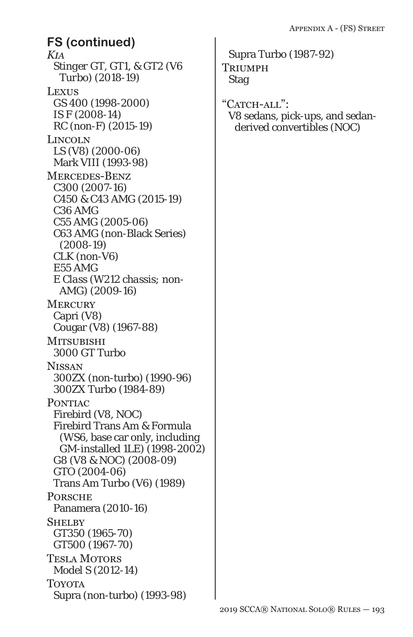*Kia Stinger GT, GT1, & GT2 (V6 Turbo) (2018-19)* **LEXUS** GS 400 (1998-2000) IS F (2008-14) RC (non-F) (2015-19) Lincoln LS (V8) (2000-06) Mark VIII (1993-98) Mercedes-Benz C300 (2007-16) *C450 & C43 AMG (2015-19)* C36 AMG C55 AMG (2005-06) C63 AMG (non-Black Series) (2008-19) CLK (non-V6) E55 AMG *E Class (W212 chassis; non-AMG) (2009-16)* **MERCURY** Capri (V8) Cougar (V8) (1967-88) **MITSUBISHI** 3000 GT Turbo **NISSAN** 300ZX (non-turbo) (1990-96) 300ZX Turbo (1984-89) PONTIAC Firebird (V8, NOC) Firebird Trans Am & Formula (WS6, base car only, including GM-installed 1LE) (1998-2002) G8 (V8 & NOC) (2008-09) GTO (2004-06) Trans Am Turbo (V6) (1989) **PORSCHE** Panamera (2010-16) **SHELBY** GT350 (1965-70) GT500 (1967-70) Tesla Motors Model S (2012-14) Toyota Supra (non-turbo) (1993-98) **FS (continued)**

Supra Turbo (1987-92) **TRIUMPH** Stag

"CATCH-ALL": V8 sedans, pick-ups, and sedanderived convertibles (NOC)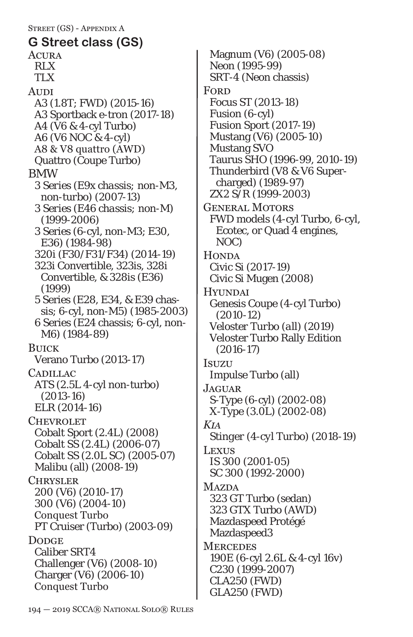Acura RLX TLX **AUDI** A3 (1.8T; FWD) (2015-16) A3 Sportback e-tron (2017-18) A4 (V6 & 4-cyl Turbo) A6 (V6 NOC & 4-cyl) A8 & V8 quattro (AWD) Quattro (Coupe Turbo) BMW *3 Series (E9x chassis; non-M3, non-turbo) (2007-13) 3 Series (E46 chassis; non-M) (1999-2006)* 3 Series (6-cyl, non-M3; E30, E36) (1984-98) 320i (F30/F31/F34) (2014-19) 323i Convertible, 323is, 328i Convertible, & 328is (E36) (1999) 5 Series (E28, E34, & E39 chassis; 6-cyl, non-M5) (1985-2003) 6 Series (E24 chassis; 6-cyl, non-M6) (1984-89) Buick Verano Turbo (2013-17) **CADILLAC** ATS (2.5L 4-cyl non-turbo) (2013-16) ELR (2014-16) **CHEVROLET** Cobalt Sport (2.4L) (2008) Cobalt SS (2.4L) (2006-07) Cobalt SS (2.0L SC) (2005-07) Malibu (all) (2008-19) **CHRYSLER** 200 (V6) (2010-17) 300 (V6) (2004-10) Conquest Turbo PT Cruiser (Turbo) (2003-09) **DODGE** Caliber SRT4 Challenger (V6) (2008-10) Charger (V6) (2006-10) Conquest Turbo **G Street class (GS)**

Magnum (V6) (2005-08) Neon (1995-99) SRT-4 (Neon chassis) **FORD** Focus ST (2013-18) Fusion (6-cyl) Fusion Sport (2017-19) Mustang (V6) (2005-10) Mustang SVO Taurus SHO (1996-99, 2010-19) Thunderbird (V8 & V6 Supercharged) (1989-97) ZX2 S/R (1999-2003) General Motors FWD models (4-cyl Turbo, 6-cyl, Ecotec, or Quad 4 engines, NOC) **HONDA** Civic Si (2017-19) Civic Si Mugen (2008) **HYUNDAI** Genesis Coupe (4-cyl Turbo) (2010-12) *Veloster Turbo (all) (2019)* Veloster Turbo Rally Edition (2016-17) Isuzu Impulse Turbo (all) Jaguar. S-Type (6-cyl) (2002-08) X-Type (3.0L) (2002-08) *Kia Stinger (4-cyl Turbo) (2018-19)* Lexus *IS 300 (2001-05)* SC 300 (1992-2000) **MAZDA** 323 GT Turbo (sedan) 323 GTX Turbo (AWD) Mazdaspeed Protégé Mazdaspeed3 **MERCEDES** 190E (6-cyl 2.6L & 4-cyl 16v) C230 (1999-2007) CLA250 (FWD) GLA250 (FWD)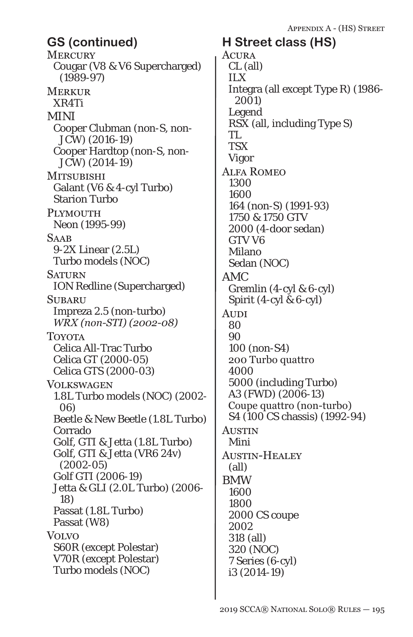**MERCURY** Cougar (V8 & V6 Supercharged) (1989-97) **MERKUR** XR4Ti MINI Cooper Clubman (non-S, non-JCW) (2016-19) Cooper Hardtop (non-S, non-JCW) (2014-19) **MITSUBISHI** Galant (V6 & 4-cyl Turbo) Starion Turbo PLYMOUTH Neon (1995-99) **SAAB** 9-2X Linear (2.5L) Turbo models (NOC) **SATURN** ION Redline (Supercharged) **SUBARU** Impreza 2.5 (non-turbo) *WRX (non-STI) (2002-08)* Toyota Celica All-Trac Turbo Celica GT (2000-05) Celica GTS (2000-03) **VOLKSWAGEN** 1.8L Turbo models (NOC) (2002- 06) Beetle & New Beetle (1.8L Turbo) Corrado Golf, GTI & Jetta (1.8L Turbo) Golf, GTI & Jetta (VR6 24v) (2002-05) Golf GTI (2006-19) Jetta & GLI (2.0L Turbo) (2006- 18) Passat (1.8L Turbo) Passat (W8) Volvo S60R (except Polestar) V70R (except Polestar) Turbo models (NOC) **GS (continued) H Street class (HS)**

**ACURA** CL (all) ILX Integra (all except Type R) (1986- 2001) Legend RSX (all, including Type S) TL **TSX** Vigor Alfa Romeo 1300 1600 164 (non-S) (1991-93) 1750 & 1750 GTV 2000 (4-door sedan) GTV V6 Milano Sedan (NOC) AMC Gremlin (4-cyl & 6-cyl) Spirit (4-cyl & 6-cyl) **AUDI** 80 90 100 (non-S4) 200 Turbo quattro 4000 5000 (including Turbo) A3 (FWD) (2006-13) Coupe quattro (non-turbo) S4 (100 CS chassis) (1992-94) **AUSTIN** Mini Austin-Healey (all) BMW 1600 1800 2000 CS coupe 2002 318 (all) 320 (NOC) 7 Series (6-cyl) i3 (2014-19)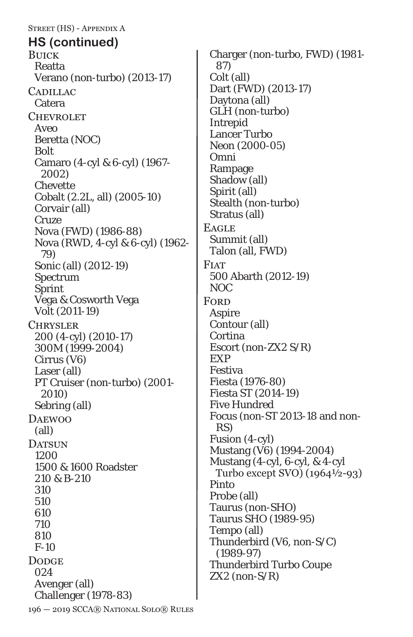196 — 2019 SCCA® National Solo® Rules Street (HS) - Appendix A **BUICK** Reatta Verano (non-turbo) (2013-17) **CADILLAC** Catera **CHEVROLET** Aveo Beretta (NOC) Bolt Camaro (4-cyl & 6-cyl) (1967- 2002) Chevette Cobalt (2.2L, all) (2005-10) Corvair (all) Cruze Nova (FWD) (1986-88) Nova (RWD, 4-cyl & 6-cyl) (1962- 79) Sonic (all) (2012-19) Spectrum Sprint Vega & Cosworth Vega Volt (2011-19) Chrysler 200 (4-cyl) (2010-17) 300M (1999-2004) Cirrus (V6) Laser (all) PT Cruiser (non-turbo) (2001- 2010) Sebring (all) **DAEWOO** (all) DATSUN 1200 1500 & 1600 Roadster 210 & B-210 310 510 610 710 810 F-10 **DODGE** 024 Avenger (all) Challenger (1978-83) **HS (continued)**

Charger (non-turbo, FWD) (1981- 87) Colt (all) Dart (FWD) (2013-17) Daytona (all) GLH (non-turbo) Intrepid Lancer Turbo Neon (2000-05) Omni Rampage Shadow (all) Spirit (all) Stealth (non-turbo) Stratus (all) **EAGLE** Summit (all) Talon (all, FWD) **FIAT** 500 Abarth (2012-19) NOC **FORD** Aspire Contour (all) Cortina Escort (non-ZX2 S/R) EXP Festiva Fiesta (1976-80) Fiesta ST (2014-19) Five Hundred Focus (non-ST 2013-18 and non-RS) Fusion (4-cyl) Mustang (V6) (1994-2004) Mustang (4-cyl, 6-cyl, & 4-cyl Turbo except SVO) (1964½-93) Pinto Probe (all) Taurus (non-SHO) Taurus SHO (1989-95) Tempo (all) Thunderbird (V6, non-S/C) (1989-97) Thunderbird Turbo Coupe  $ZX2$  (non- $S/R$ )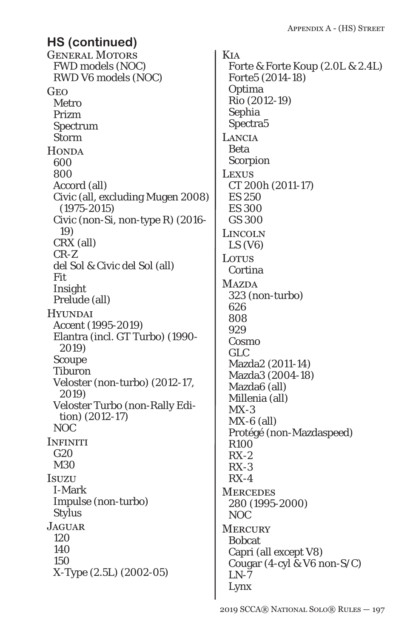General Motors FWD models (NOC) RWD V6 models (NOC) Geo Metro Prizm Spectrum Storm **HONDA** 600 800 Accord (all) Civic (all, excluding Mugen 2008) (1975-2015) Civic (non-Si, non-type R) (2016- 19) CRX (all) CR-Z del Sol & Civic del Sol (all) Fit Insight Prelude (all) **HYUNDAI** Accent (1995-2019) Elantra (incl. GT Turbo) (1990- 2019) Scoupe Tiburon Veloster (non-turbo) (2012-17, 2019) Veloster Turbo (non-Rally Edition) (2012-17) NOC **INFINITI**  $G<sub>20</sub>$ M30 **Isuzu** I-Mark Impulse (non-turbo) Stylus JAGUAR. 120 140 150 X-Type (2.5L) (2002-05) **HS (continued)**

Kia Forte & Forte Koup (2.0L & 2.4L) Forte5 (2014-18) Optima Rio (2012-19) Sephia Spectra5 **LANCIA** Beta Scorpion Lexus CT 200h (2011-17) ES 250 ES 300 GS 300 LINCOLN  $LS (V6)$ **LOTUS** Cortina **MAZDA** 323 (non-turbo) 626 808 929 Cosmo GLC Mazda2 (2011-14) Mazda3 (2004-18) Mazda6 (all) Millenia (all)  $MX-3$  $MX-6$  (all) Protégé (non-Mazdaspeed) R100 RX-2  $RX-3$  $RX-4$ **MERCEDES** 280 (1995-2000) NOC **MERCURY** Bobcat Capri (all except V8) Cougar (4-cyl & V6 non-S/C)  $LN-7$ Lynx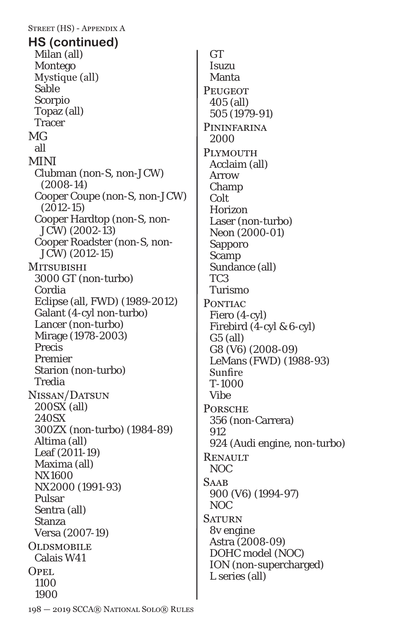Street (HS) - Appendix A Milan (all) Montego Mystique (all) Sable Scorpio Topaz (all) Tracer MG all MINI Clubman (non-S, non-JCW) (2008-14) Cooper Coupe (non-S, non-JCW) (2012-15) Cooper Hardtop (non-S, non-JCW) (2002-13) Cooper Roadster (non-S, non-JCW) (2012-15) **MITSUBISHI** 3000 GT (non-turbo) Cordia Eclipse (all, FWD) (1989-2012) Galant (4-cyl non-turbo) Lancer (non-turbo) Mirage *(1978-2003)* Precis Premier Starion (non-turbo) Tredia Nissan/Datsun 200SX (all) 240SX 300ZX (non-turbo) (1984-89) Altima (all) Leaf (2011-19) Maxima (all) NX1600 NX2000 (1991-93) Pulsar Sentra (all) Stanza Versa (2007-19) **OLDSMOBILE** Calais W41 OPEL. 1100 1900 **HS (continued)**

**GT** Isuzu Manta **PEUGEOT** 405 (all) 505 (1979-91) **PININFARINA** 2000 PLYMOUTH Acclaim (all) Arrow Champ Colt Horizon Laser (non-turbo) Neon (2000-01) Sapporo Scamp Sundance (all) TC3 Turismo PONTIAC Fiero (4-cyl) Firebird (4-cyl & 6-cyl) G5 (all) G8 (V6) (2008-09) LeMans (FWD) (1988-93) Sunfire T-1000 Vibe **PORSCHE** 356 (non-Carrera) 912 924 (Audi engine, non-turbo) **RENAULT** NOC **SAAB** 900 (V6) (1994-97) NOC **SATURN** 8v engine Astra (2008-09) DOHC model (NOC) ION (non-supercharged) L series (all)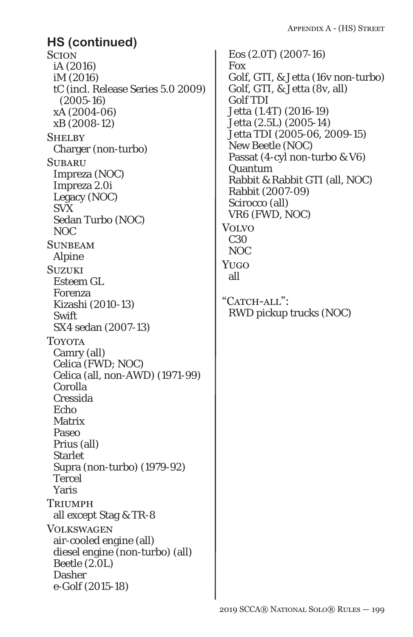**SCION** iA (2016) iM (2016) tC (incl. Release Series 5.0 2009) (2005-16) xA (2004-06) xB (2008-12) **SHELBY** Charger (non-turbo) **SUBARU** Impreza (NOC) Impreza 2.0i Legacy (NOC) SVX Sedan Turbo (NOC) NOC **SUNBEAM** Alpine **SUZUKI** Esteem GL Forenza Kizashi (2010-13) Swift SX4 sedan (2007-13) Toyota Camry (all) Celica (FWD; NOC) Celica (all, non-AWD) (1971-99) Corolla Cressida Echo **Matrix** Paseo Prius (all) **Starlet** Supra (non-turbo) (1979-92) Tercel Yaris **TRIUMPH** all except Stag & TR-8 **VOLKSWAGEN** air-cooled engine (all) diesel engine (non-turbo) (all) Beetle (2.0L) Dasher *e-Golf (2015-18)* **HS (continued)**

Eos (2.0T) (2007-16) Fox Golf, GTI, & Jetta (16v non-turbo) Golf, GTI, & Jetta (8v, all) Golf TDI *Jetta (1.4T) (2016-19)* Jetta (2.5L) (2005-14) Jetta TDI (2005-06, 2009-15) New Beetle (NOC) Passat (4-cyl non-turbo & V6) Quantum Rabbit & Rabbit GTI (all, NOC) Rabbit (2007-09) Scirocco (all) VR6 (FWD, NOC) Volvo C30 NOC Yugo all "CATCH-ALL": RWD pickup trucks (NOC)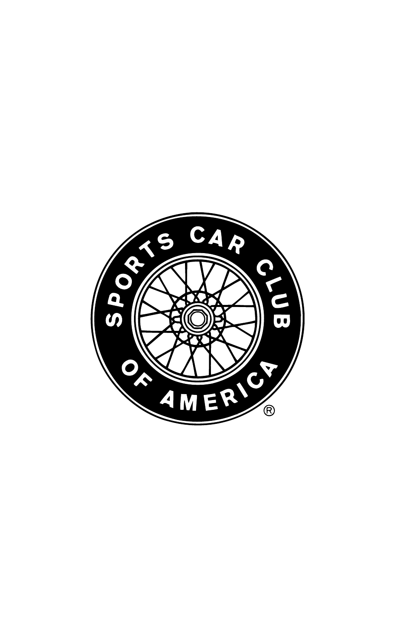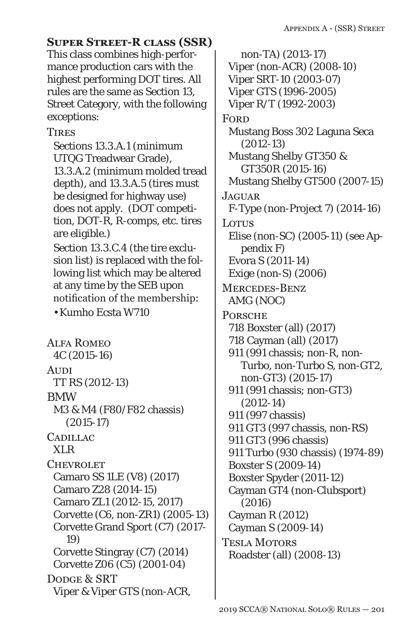## **Super Street-R class (SSR)**

This class combines high-performance production cars with the highest performing DOT tires. All rules are the same as Section 13, Street Category, with the following exceptions:

## **TIRES**

Sections 13.3.A.1 (minimum UTQG Treadwear Grade), 13.3.A.2 (minimum molded tread depth), and 13.3.A.5 (tires must be designed for highway use) does not apply. (DOT competition, DOT-R, R-comps, etc. tires are eligible.) Section 13.3.C.4 (the tire exclusion list) is replaced with the following list which may be altered at any time by the SEB upon notification of the membership:

• Kumho Ecsta W710

Alfa Romeo 4C (2015-16) **AUDI** TT RS (2012-13) BMW M3 & M4 (F80/F82 chassis) (2015-17) CADILLAC XLR **CHEVROLET** Camaro SS 1LE (V8) (2017) Camaro Z28 (2014-15) Camaro ZL1 (2012-15, 2017) Corvette (C6, non-ZR1) (2005-13) Corvette Grand Sport (C7) (2017- *19*) Corvette Stingray (C7) (2014) Corvette Z06 (C5) (2001-04) DODGE & SRT Viper & Viper GTS (non-ACR,

non-TA) (2013-17) Viper (non-ACR) (2008-10) Viper SRT-10 (2003-07) Viper GTS (1996-2005) Viper R/T (1992-2003) **FORD** Mustang Boss 302 Laguna Seca (2012-13) Mustang Shelby GT350 & GT350R (2015-16) Mustang Shelby GT500 (2007-*15*) **JAGUAR** F-Type (non-Project 7) (2014-16) **Lotus** Elise (non-SC) (2005-11) (see Appendix F) Evora S (2011-14) Exige (non-S) (2006) Mercedes-Benz AMG (NOC) **PORSCHE** 718 Boxster (all) (2017) 718 Cayman (all) (2017) 911 (991 chassis; non-R, non-Turbo, non-Turbo S, non-GT2, non-GT3) (2015-17) 911 (991 chassis; non-GT3) (2012-14) 911 (997 chassis) 911 GT3 (997 chassis, non-RS) 911 GT3 (996 chassis) 911 Turbo (930 chassis) (1974-89) Boxster S (2009-14) Boxster Spyder (2011-12) Cayman GT4 (non-Clubsport) (2016) Cayman R (2012) Cayman S (2009-14) Tesla Motors Roadster (all) (2008-13)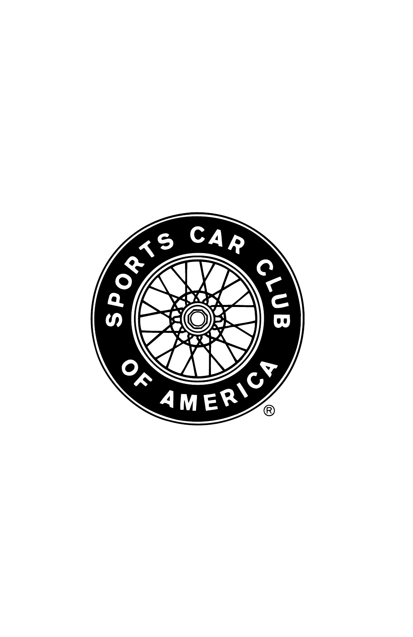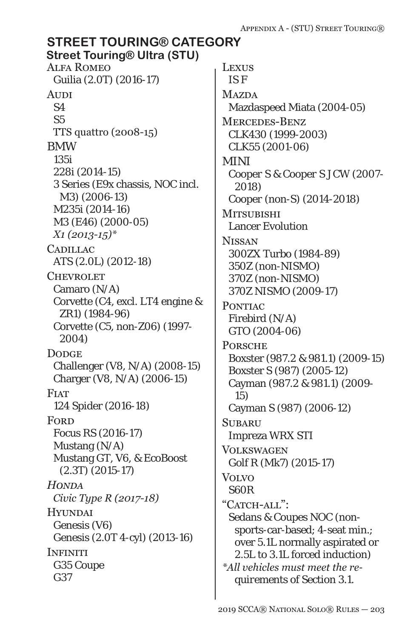#### Alfa Romeo Guilia (2.0T) (2016-17) **AUDI** S4 S5 TTS quattro (2008-15) BMW 135i 228i (2014-15) 3 Series (E9x chassis, NOC incl. M3) (2006-13) M235i (2014-16) M3 (E46) (2000-05) *X1 (2013-15)\** **CADILLAC** ATS (2.0L) (2012-18) **CHEVROLET** Camaro (N/A) Corvette (C4, excl. LT4 engine & ZR1) (1984-96) Corvette (C5, non-Z06) (1997- 2004) **DODGE** Challenger (V8, N/A) (2008-15) Charger (V8, N/A) (2006-15) **FIAT** 124 Spider (2016-18) **FORD** Focus RS (2016-17) Mustang (N/A) Mustang GT, V6, & EcoBoost (2.3T) (2015-17) *Honda Civic Type R (2017-18)* **HYUNDAI** Genesis (V6) Genesis (2.0T 4-cyl) (2013-16) **INFINITI** G35 Coupe G37 Lexus IS F **MAZDA** Mazdaspeed Miata (2004-05) Mercedes-Benz CLK430 (1999-2003) CLK55 (2001-06) *MINI Cooper S & Cooper S JCW (2007- 2018) Cooper (non-S) (2014-2018)* **MITSUBISHI** Lancer Evolution **NISSAN** 300ZX Turbo (1984-89) 350Z (non-NISMO) 370Z (non-NISMO) *370Z NISMO (2009-17)* PONTIAC Firebird (N/A) GTO (2004-06) **PORSCHE** Boxster (987.2 & 981.1) (2009-15) Boxster S (987) (2005-12) Cayman (987.2 & 981.1) (2009- 15) Cayman S (987) (2006-12) **SUBARU** Impreza WRX STI **VOLKSWAGEN** Golf R (Mk7) (2015-17) Volvo S60R "CATCH-ALL": Sedans & Coupes NOC (nonsports-car-based; 4-seat min.; over 5.1L normally aspirated or *2.5L* to 3.1L forced induction) *\*All vehicles must meet the requirements of Section 3.1.* **STREET TOURING® CATEGORY Street Touring® Ultra (STU)**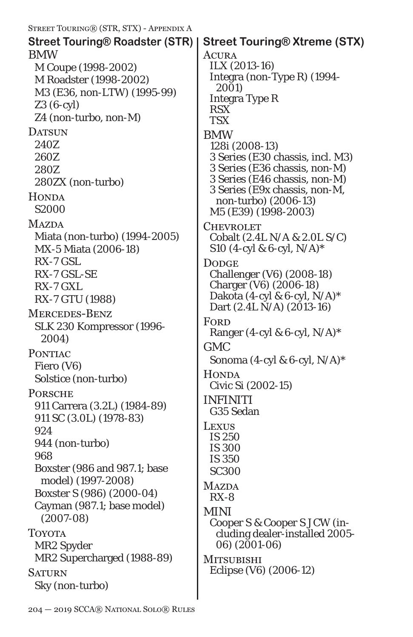| STREET TOURING® (STR, STX) - APPENDIX A                                                                                                                                                                                                                                                                             |                                                                                                                                                                                                                                                                                           |
|---------------------------------------------------------------------------------------------------------------------------------------------------------------------------------------------------------------------------------------------------------------------------------------------------------------------|-------------------------------------------------------------------------------------------------------------------------------------------------------------------------------------------------------------------------------------------------------------------------------------------|
| Street Touring® Roadster (STR)<br><b>BMW</b><br>M Coupe (1998-2002)<br>M Roadster (1998-2002)<br>M3 (E36, non-LTW) (1995-99)<br>$Z3(6-cyl)$<br>Z4 (non-turbo, non-M)                                                                                                                                                | <b>Street Touring® Xtreme (STX)</b><br>ACURA<br>ILX (2013-16)<br>Integra (non-Type R) (1994-<br>2001)<br><b>Integra Type R</b><br><b>RSX</b><br><b>TSX</b>                                                                                                                                |
| <b>DATSUN</b><br>240Z<br>260Z<br>280Z<br>280ZX (non-turbo)<br><b>HONDA</b><br>S <sub>2000</sub><br><b>MAZDA</b>                                                                                                                                                                                                     | <b>BMW</b><br>128i (2008-13)<br>3 Series (E30 chassis, incl. M3)<br>3 Series (E36 chassis, non-M)<br>3 Series (E46 chassis, non-M)<br>3 Series (E9x chassis, non-M,<br>non-turbo) (2006-13)<br>M5 (E39) (1998-2003)<br><b>CHEVROLET</b>                                                   |
| Miata (non-turbo) (1994-2005)<br>MX-5 Miata (2006-18)<br>RX-7 GSL<br>RX-7 GSL-SE<br>RX-7 GXL<br>RX-7 GTU (1988)<br><b>MERCEDES-BENZ</b><br>SLK 230 Kompressor (1996-<br>2004)                                                                                                                                       | Cobalt (2.4L N/A & 2.0L S/C)<br>S10 (4-cyl & 6-cyl, $N/A$ )*<br><b>DODGE</b><br>Challenger (V6) (2008-18)<br>Charger (V6) (2006-18)<br>Dakota (4-cyl & 6-cyl, $N/A$ )*<br>Dart $(2.4L N/A)$ $(2013-16)$<br>FORD<br>Ranger (4-cyl & 6-cyl, $N/A$ )*                                        |
| <b>PONTIAC</b><br>Fiero (V6)<br>Solstice (non-turbo)<br><b>PORSCHE</b><br>911 Carrera (3.2L) (1984-89)<br>911 SC (3.0L) (1978-83)<br>924<br>944 (non-turbo)<br>968<br>Boxster (986 and 987.1; base<br>model) (1997-2008)<br>Boxster S (986) (2000-04)<br>Cayman (987.1; base model)<br>$(2007-08)$<br><b>TOYOTA</b> | <b>GMC</b><br>Sonoma (4-cyl & 6-cyl, N/A)*<br><b>HONDA</b><br>Civic Si (2002-15)<br><b>INFINITI</b><br>G35 Sedan<br><b>LEXUS</b><br>IS 250<br><b>IS 300</b><br><b>IS 350</b><br><b>SC300</b><br>MAZDA<br>$RX-8$<br>MINI<br>Cooper S & Cooper S JCW (in-<br>cluding dealer-installed 2005- |
| MR2 Spyder<br>MR2 Supercharged (1988-89)<br><b>SATURN</b><br>Sky (non-turbo)                                                                                                                                                                                                                                        | 06) (2001-06)<br><b>MITSUBISHI</b><br>Eclipse (V6) (2006-12)                                                                                                                                                                                                                              |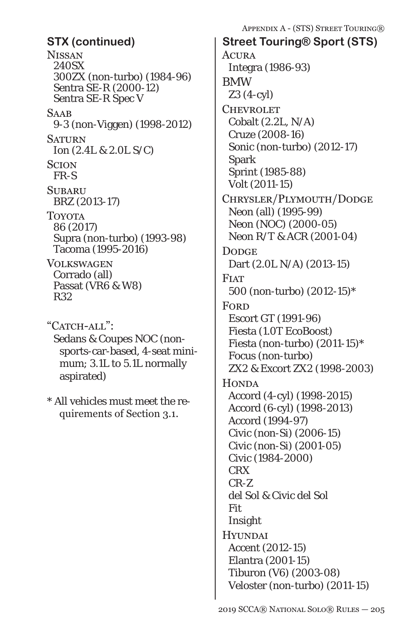**NISSAN** 240SX 300ZX (non-turbo) (1984-96) Sentra SE-R (2000-12) Sentra SE-R Spec V **SAAB** 9-3 (non-Viggen) (1998-2012) **SATURN** Ion (2.4L & 2.0L S/C) **SCION** FR-S **SUBARU** BRZ (2013-17) Toyota 86 (2017) Supra (non-turbo) (1993-98) Tacoma (1995-2016) Volkswagen Corrado (all) Passat (VR6 & W8) R32

"CATCH-ALL": Sedans & Coupes NOC (nonsports-car-based, 4-seat minimum; 3.1L to 5.1L normally aspirated)

\* All vehicles must meet the requirements of Section 3.1.

Appendix A - (STS) Street Touring®

**ACURA** Integra (1986-93) BMW Z3 (4-cyl) **CHEVROLET** Cobalt (2.2L, N/A) Cruze (2008-16) Sonic (non-turbo) (2012-17) Spark Sprint (1985-88) Volt (2011-15) Chrysler/Plymouth/Dodge Neon (all) (1995-99) Neon (NOC) (2000-05) Neon R/T & ACR (2001-04) **DODGE** Dart (2.0L N/A) (2013-15) **FIAT** 500 (non-turbo) (2012-15)\* **FORD** Escort GT (1991-96) Fiesta (1.0T EcoBoost) Fiesta (non-turbo) (2011-15)\* Focus (non-turbo) ZX2 & Excort ZX2 (1998-2003) **HONDA** Accord (4-cyl) (1998-2015) Accord (6-cyl) (1998-2013) Accord (1994-97) Civic (non-Si) (2006-15) Civic (non-Si) (2001-05) Civic (1984-2000) CRX CR-Z del Sol & Civic del Sol Fit Insight **HYUNDAI** Accent (2012-15) Elantra (2001-15) Tiburon (V6) (2003-08) Veloster (non-turbo) (2011-15) **STX (continued) Street Touring® Sport (STS)**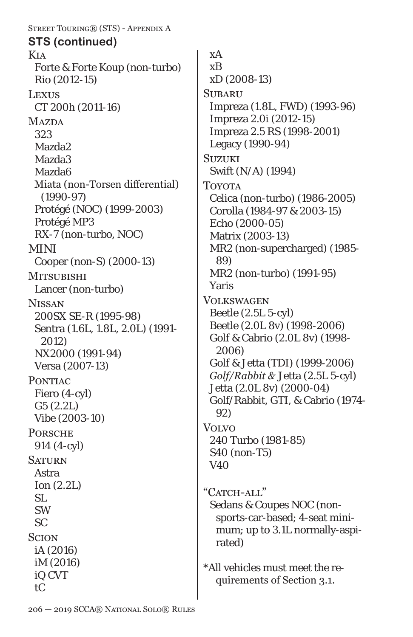Street Touring® (STS) - Appendix A Kia Forte & Forte Koup (non-turbo) Rio (2012-15) **LEXUS** CT 200h (2011-16) **MAZDA** 323 Mazda2 Mazda3 Mazda6 Miata (non-Torsen differential) (1990-97) Protégé (NOC) (1999-2003) Protégé MP3 RX-7 (non-turbo, NOC) MINI Cooper (non-S) (2000-13) **MITSUBISHI** Lancer (non-turbo) **NISSAN** 200SX SE-R (1995-98) Sentra (1.6L, 1.8L, 2.0L) (1991- 2012) NX2000 (1991-94) Versa (2007-13) PONTIAC Fiero (4-cyl) G5 (2.2L) Vibe (2003-10) **PORSCHE** 914 (4-cyl) **SATURN** Astra Ion (2.2L) SL SW SC **SCION** iA (2016) iM (2016) iQ CVT **STS (continued)**

xA xB xD (2008-13) **SUBARU** Impreza (1.8L, FWD) (1993-96) Impreza 2.0i (2012-15) Impreza 2.5 RS (1998-2001) Legacy (1990-94) **SUZUKI** Swift (N/A) (1994) **TOYOTA** Celica (non-turbo) (1986-2005) Corolla (1984-97 & 2003-15) Echo (2000-05) Matrix (2003-13) MR2 (non-supercharged) (1985- 89) MR2 (non-turbo) (1991-95) Yaris Volkswagen Beetle (2.5L 5-cyl) Beetle (2.0L 8v) (1998-2006) Golf & Cabrio (2.0L 8v) (1998- 2006) Golf & Jetta (TDI) (1999-2006) *Golf/Rabbit &* Jetta (2.5L 5-cyl) Jetta (2.0L 8v) (2000-04) Golf/Rabbit, GTI, & Cabrio (1974- 92) Volvo 240 Turbo (1981-85) S40 (non-T5) V40 "CATCH-ALL" Sedans & Coupes NOC (nonsports-car-based; 4-seat minimum; up to 3.1L normally-aspirated) \*All vehicles must meet the requirements of Section 3.1.

tC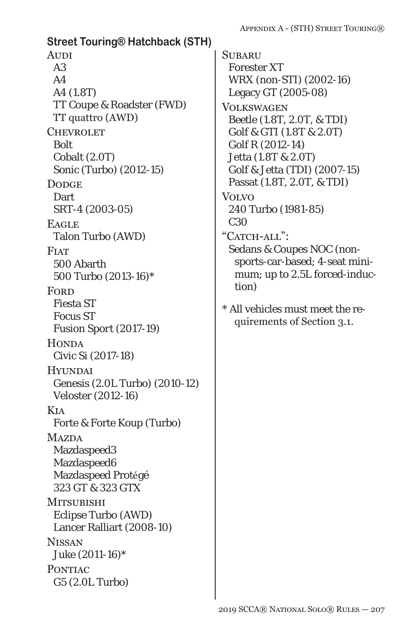**Street Touring® Hatchback (STH)**

**AUDI** A3  $A<sub>4</sub>$ A4 (1.8T) TT Coupe & Roadster (FWD) TT quattro (AWD) **CHEVROLET** *Bolt* Cobalt (2.0T) Sonic (Turbo) (2012-15) **DODGE Dart** SRT-4 (2003-05) **EAGLE** Talon Turbo (AWD) **FIAT** 500 Abarth 500 Turbo (2013-16)\* **FORD** Fiesta ST Focus ST *Fusion Sport (2017-19)* **HONDA** Civic Si (2017-18) **HYUNDAI** Genesis (2.0L Turbo) (2010-12) Veloster (2012-16) Kia Forte & Forte Koup (Turbo) **MAZDA** Mazdaspeed3 Mazdaspeed6 Mazdaspeed Protégé 323 GT & 323 GTX **MITSUBISHI** Eclipse Turbo (AWD) Lancer Ralliart (2008-10) **NISSAN** Juke (2011-16)\* **PONTIAC** G5 (2.0L Turbo)

**SUBARU** Forester XT WRX (non-STI) (2002-16) Legacy GT (2005-08) **VOLKSWAGEN** Beetle (1.8T, 2.0T, & TDI) Golf & GTI (1.8T & 2.0T) Golf R (2012-14) Jetta (1.8T & 2.0T) Golf & Jetta (TDI) (2007-15) Passat (1.8T, 2.0T, & TDI) **VOLVO** 240 Turbo (1981-85) C30 "CATCH-ALL": Sedans & Coupes NOC (nonsports-car-based; 4-seat minimum; up to 2.5L forced-induction) \* All vehicles must meet the requirements of Section 3.1.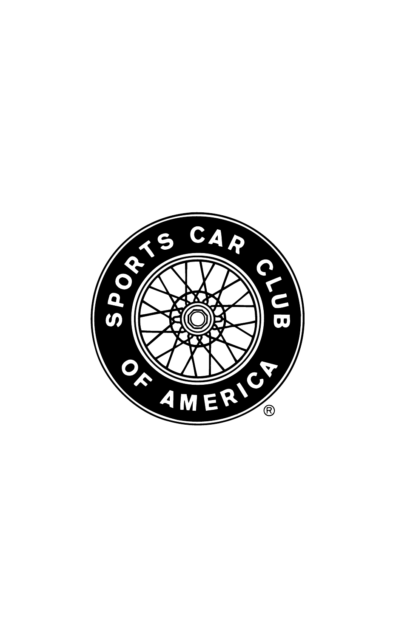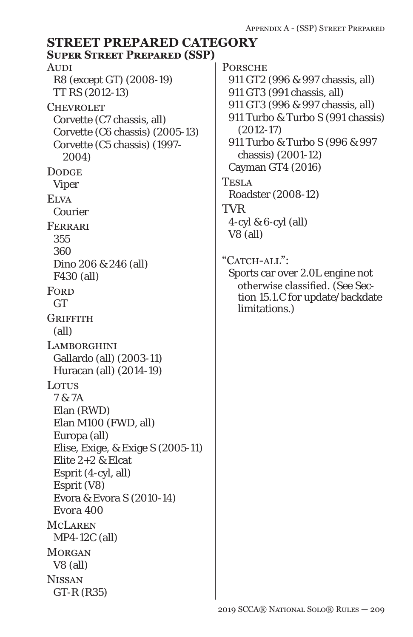### **AUDI** R8 (except GT) (2008-19) TT RS (2012-13) **CHEVROLET** Corvette (C7 chassis, all) Corvette (C6 chassis) (2005-13) Corvette (C5 chassis) (1997- 2004) **DODGE** Viper **ELVA** Courier Ferrari 355 360 Dino 206 & 246 (all) F430 (all) **FORD GT GRIFFITH** (all) **LAMBORGHINI** Gallardo (all) (2003-11) Huracan (all) (2014-19) LOTUS 7 & 7A Elan (RWD) Elan M100 (FWD, all) Europa (all) Elise, Exige, & Exige S (2005-11) Elite 2+2 & Elcat Esprit (4-cyl, all) Esprit (V8) Evora & Evora S (2010-14) *Evora 400* McLaren MP4-12C (all) **MORGAN** V8 (all) **NISSAN** GT-R (R35) **PORSCHE** 911 GT2 (996 & 997 chassis, all) 911 GT3 (991 chassis, all) 911 GT3 (996 & 997 chassis, all) 911 Turbo & Turbo S (991 chassis) (2012-17) 911 Turbo & Turbo S (996 & 997 chassis) (2001-12) Cayman GT4 (2016) TESLA Roadster (2008-12) **TVR** 4-cyl & 6-cyl (all) V8 (all) "CATCH-ALL": Sports car over 2.0L engine not otherwise classified. (See Section 15.1.C for update/backdate limitations.) **STREET PREPARED CATEGORY Super Street Prepared (SSP)**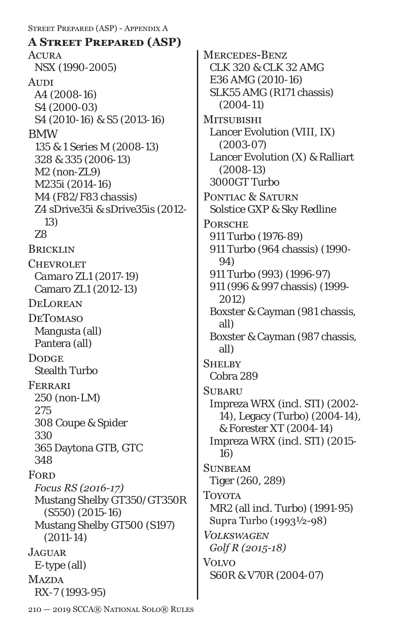Street Prepared (ASP) - Appendix A **ACURA** NSX (1990-2005) **AUDI** A4 (2008-16) S4 (2000-03) S4 (2010-16) & S5 (2013-16) BMW 135 & 1 Series M (2008-13) 328 & 335 (2006-13) *M2 (non-ZL9)* M235i (2014-16) *M4 (F82/F83 chassis)* Z4 sDrive35i & sDrive35is (2012- 13) Z8 **BRICKLIN CHEVROLET** *Camaro ZL1 (2017-19)* Camaro ZL1 (2012-13) **DELOREAN DETOMASO** Mangusta (all) Pantera (all) **DODGE** Stealth Turbo Ferrari 250 (non-LM) 275 308 Coupe & Spider 330 365 Daytona GTB, GTC 348 **FORD** *Focus RS (2016-17)* Mustang Shelby GT350/GT350R (S550) (2015-16) Mustang Shelby GT500 (S197) (2011-14) **JAGUAR** E-type (all) **MAZDA** RX-7 (1993-95) **A Street Prepared (ASP)**

Mercedes-Benz CLK 320 & CLK 32 AMG E36 AMG (2010-16) SLK55 AMG (R171 chassis) (2004-11) **MITSUBISHI** Lancer Evolution (VIII, IX) (2003-07) Lancer Evolution (X) & Ralliart (2008-13) 3000GT Turbo PONTIAC & SATURN Solstice GXP & Sky Redline **PORSCHE** 911 Turbo (1976-89) 911 Turbo (964 chassis) (1990- 94) 911 Turbo (993) (1996-97) 911 (996 & 997 chassis) (1999- 2012) Boxster & Cayman (981 chassis, all) Boxster & Cayman (987 chassis, all) **SHELBY** Cobra 289 **SUBARU** Impreza WRX (incl. STI) (2002- 14), Legacy (Turbo) (2004-14), & Forester XT (2004-14) Impreza WRX (incl. STI) (2015- 16) **SUNBEAM** Tiger (260, 289) Toyota MR2 (all incl. Turbo) (1991-95) Supra Turbo (1993½-98) *Volkswagen Golf R (2015-18)* Volvo S60R & V70R (2004-07)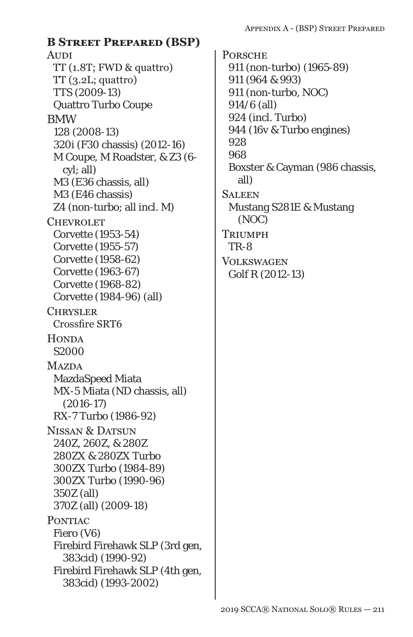## **AUDI** TT (1.8T; FWD & quattro)  $TT(3.2L;$  quattro) TTS (2009-13) Quattro Turbo Coupe BMW 128 (2008-13) 320i (F30 chassis) (2012-16) M Coupe, M Roadster, & Z3 (6 cyl; all) M3 (E36 chassis, all) M3 (E46 chassis) Z4 (non-turbo; all incl. M) **CHEVROLET** Corvette (1953-54) Corvette (1955-57) Corvette (1958-62) Corvette (1963-67) Corvette (1968-82) Corvette (1984-96) (all) **CHRYSLER** Crossfire SRT6 **HONDA** S2000 **MAZDA** MazdaSpeed Miata MX-5 Miata (ND chassis, all) (2016-17) RX-7 Turbo (1986-92) NISSAN & DATSUN 240Z, 260Z, & 280Z 280ZX & 280ZX Turbo 300ZX Turbo (1984-89) 300ZX Turbo (1990-96) 350Z (all) 370Z (all) (2009-18) PONTIAC Fiero (V6) Firebird Firehawk SLP (3rd gen, 383cid) (1990-92) Firebird Firehawk SLP (4th gen, 383cid) (1993-2002) **B Street Prepared (BSP)**

**PORSCHE** 911 (non-turbo) (1965-89) 911 (964 & 993) 911 (non-turbo, NOC) 914/6 (all) 924 (incl. Turbo) 944 (16v & Turbo engines) 928 968 Boxster & Cayman (986 chassis, all) **SALEEN** Mustang S281E & Mustang (NOC) **TRIUMPH** TR-8 Volkswagen Golf R (2012-13)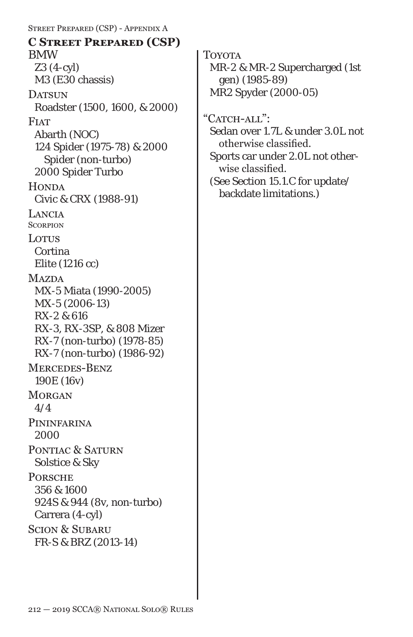Street Prepared (CSP) - Appendix A BMW Z3 (4-cyl) M3 (E30 chassis) DATSUN Roadster (1500, 1600, & 2000) **FIAT** Abarth (NOC) 124 Spider (1975-78) & 2000 Spider (non-turbo) 2000 Spider Turbo **HONDA** Civic & CRX (1988-91) Lancia **SCORPION Lotus** Cortina Elite (1216 cc) **MAZDA** MX-5 Miata (1990-2005) MX-5 (2006-13) RX-2 & 616 RX-3, RX-3SP, & 808 Mizer RX-7 (non-turbo) (1978-85) RX-7 (non-turbo) (1986-92) Mercedes-Benz 190E (16v) **MORGAN** 4/4 **PININFARINA** 2000 PONTIAC & SATURN Solstice & Sky **PORSCHE** 356 & 1600 924S & 944 (8v, non-turbo) Carrera (4-cyl) Scion & Subaru FR-S & BRZ (2013-14) **C Street Prepared (CSP)**

Toyota MR-2 & MR-2 Supercharged (1st gen) (1985-89) MR2 Spyder (2000-05)

"CATCH-ALL":

Sedan over 1.7L & under 3.0L not otherwise classified. Sports car under 2.0L not other-

wise classified. (See Section 15.1.C for update/

backdate limitations.)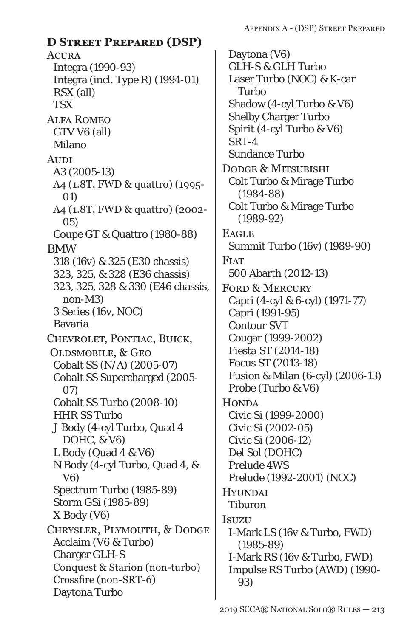## **D Street Prepared (DSP)**

**ACURA** Integra (1990-93) Integra (incl. Type R) (1994-01) RSX (all) **TSX** Alfa Romeo GTV V6 (all) Milano **AUDI** A3 (2005-13) A4 (1.8T, FWD & quattro) (1995- 01) A4 (1.8T, FWD & quattro) (2002- 05) Coupe GT & Quattro (1980-88) BMW 318 (16v) & 325 (E30 chassis) 323, 325, & 328 (E36 chassis) 323, 325, 328 & 330 (E46 chassis, non-M3) 3 Series (16v, NOC) Bavaria Chevrolet, Pontiac, Buick, Oldsmobile, & Geo Cobalt SS (N/A) (2005-07) Cobalt SS Supercharged (2005- 07) Cobalt SS Turbo (2008-10) HHR SS Turbo J Body (4-cyl Turbo, Quad 4 DOHC, & V6) L Body (Quad 4 & V6) N Body (4-cyl Turbo, Quad 4, & V6) Spectrum Turbo (1985-89) Storm GSi (1985-89) X Body (V6) Chrysler, Plymouth, & Dodge Acclaim (V6 & Turbo) Charger GLH-S Conquest & Starion (non-turbo) Crossfire (non-SRT-6) Daytona Turbo

Daytona (V6) GLH-S & GLH Turbo Laser Turbo (NOC) & K-car Turbo Shadow (4-cyl Turbo & V6) Shelby Charger Turbo Spirit (4-cyl Turbo & V6) SRT-4 Sundance Turbo Dodge & Mitsubishi Colt Turbo & Mirage Turbo (1984-88) Colt Turbo & Mirage Turbo (1989-92) **EAGLE** Summit Turbo (16v) (1989-90) **FIAT** 500 Abarth (2012-13) FORD & MERCURY Capri (4-cyl & 6-cyl) (1971-77) Capri (1991-95) Contour SVT Cougar (1999-2002) *Fiesta ST (2014-18)* Focus ST (2013-*18*) Fusion & Milan (6-cyl) (2006-13) Probe (Turbo & V6) **HONDA** Civic Si (1999-2000) Civic Si (2002-05) Civic Si (2006-12) Del Sol (DOHC) Prelude 4WS Prelude (1992-2001) (NOC) **HYUNDAI** Tiburon Isuzu I-Mark LS (16v & Turbo, FWD) (1985-89) I-Mark RS (16v & Turbo, FWD) Impulse RS Turbo (AWD) (1990- 93)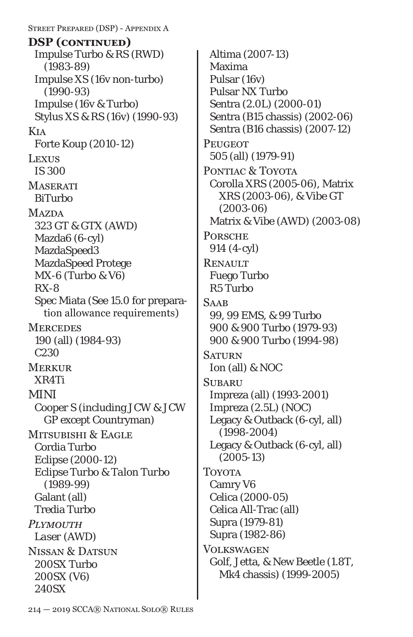Street Prepared (DSP) - Appendix A Impulse Turbo & RS (RWD) (1983-89) Impulse XS (16v non-turbo) (1990-93) Impulse (16v & Turbo) Stylus XS & RS (16v) (1990-93) Kia Forte Koup (2010-12) Lexus IS 300 **MASERATI** BiTurbo **MAZDA** 323 GT & GTX (AWD) Mazda6 (6-cyl) MazdaSpeed3 MazdaSpeed Protege MX-6 (Turbo & V6) RX-8 Spec Miata (See 15.0 for preparation allowance requirements) **MERCEDES** 190 (all) (1984-93) C230 Merkur XR4Ti MINI Cooper S (including JCW & JCW GP except Countryman) MITSUBISHI & EAGLE Cordia Turbo Eclipse (2000-12) *Eclipse Turbo & Talon Turbo (1989-99)* Galant (all) Tredia Turbo *Plymouth Laser (AWD)* NISSAN & DATSUN 200SX Turbo 200SX (V6) 240SX **DSP (continued)**

Altima (2007-13) Maxima Pulsar (16v) Pulsar NX Turbo Sentra (2.0L) (2000-01) Sentra (B15 chassis) (2002-06) Sentra (B16 chassis) (2007-12) **PEUGEOT** 505 (all) (1979-91) PONTIAC & TOYOTA Corolla XRS (2005-06), Matrix XRS (2003-06), & Vibe GT (2003-06) Matrix & Vibe (AWD) (2003-08) **PORSCHE** 914 (4-cyl) **RENAULT** Fuego Turbo R5 Turbo **SAAB** 99, 99 EMS, & 99 Turbo 900 & 900 Turbo (1979-93) 900 & 900 Turbo (1994-98) **SATURN** Ion (all) & NOC **SUBARU** Impreza (all) (1993-2001) Impreza (2.5L) (NOC) Legacy & Outback (6-cyl, all) (1998-2004) Legacy & Outback (6-cyl, all) (2005-13) Toyota Camry V6 Celica (2000-05) Celica All-Trac (all) Supra (1979-81) Supra (1982-86) **VOLKSWAGEN** Golf, Jetta, & New Beetle (1.8T, Mk4 chassis) (1999-2005)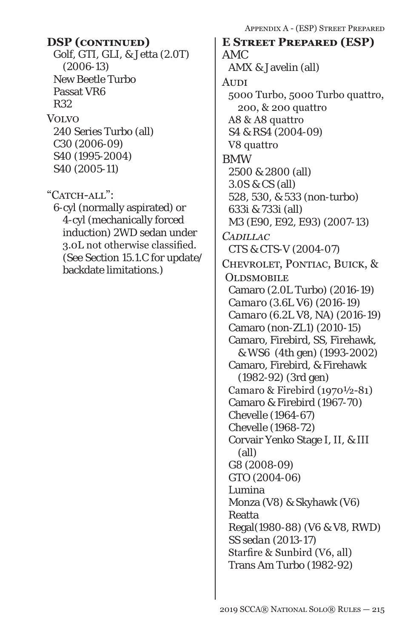Golf, GTI, GLI, & Jetta (2.0T) (2006-13) New Beetle Turbo Passat VR6 R32 Volvo 240 Series Turbo (all) C30 (2006-09) S40 (1995-2004) S40 (2005-11)

"CATCH-ALL": 6-cyl (normally aspirated) or 4-cyl (mechanically forced induction) 2WD sedan under 3.0L not otherwise classified. (See Section 15.1.C for update/ backdate limitations.)

AMC AMX & Javelin (all) **AUDI** 5000 Turbo, 5000 Turbo quattro, 200, & 200 quattro A8 & A8 quattro S4 & RS4 (2004-09) V8 quattro BMW 2500 & 2800 (all) 3.0S & CS (all) 528, 530, & 533 (non-turbo) 633i & 733i (all) M3 (E90, E92, E93) (2007-13) *Cadillac CTS & CTS-V (2004-07)* Chevrolet, Pontiac, Buick, & **OLDSMOBILE** Camaro (2.0L Turbo) (2016-19) *Camaro (3.6L V6) (2016-19) Camaro (6.2L V8, NA) (2016-19)* Camaro (non-ZL1) (2010-15) Camaro, Firebird, SS, Firehawk, & WS6 (4th gen) (1993-2002) Camaro, Firebird, & Firehawk (1982-92) (3rd gen) Camaro & Firebird (1970½-81) Camaro & Firebird (1967-70) Chevelle (1964-67) Chevelle (1968-72) Corvair Yenko Stage I, II, & III (all) *G8 (2008-09) GTO (2004-06)* Lumina Monza (V8) & Skyhawk (V6) Reatta Regal(1980-88) (V6 & V8, RWD) *SS sedan (2013-17)* Starfire & Sunbird (V6, all) Trans Am Turbo (1982-92) **DSP (continued) E Street Prepared (ESP)**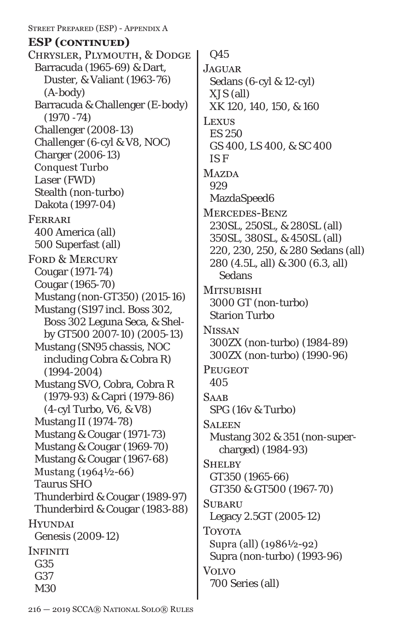Street Prepared (ESP) - Appendix A

## **ESP (continued)**

Chrysler, Plymouth, & Dodge Barracuda (1965-69) & Dart, Duster, & Valiant (1963-76) (A-body) Barracuda & Challenger (E-body) (1970 -74) Challenger (2008-13) Challenger (6-cyl & V8, NOC) Charger (2006-13) Conquest Turbo *Laser (FWD)* Stealth (non-turbo) Dakota (1997-04) Ferrari 400 America (all) 500 Superfast (all) FORD & MERCURY Cougar (1971-74) Cougar (1965-70) Mustang (non-GT350) (2015-16) Mustang (S197 incl. Boss 302, Boss 302 Leguna Seca, & Shelby GT500 2007-10) (2005-13) Mustang (SN95 chassis, NOC including Cobra & Cobra R) (1994-2004) Mustang SVO, Cobra, Cobra R (1979-93) & Capri (1979-86) (4-cyl Turbo, V6, & V8) Mustang II (1974-78) Mustang & Cougar (1971-73) Mustang & Cougar (1969-70) Mustang & Cougar (1967-68) Mustang (1964½-66) Taurus SHO Thunderbird & Cougar (1989-97) Thunderbird & Cougar (1983-88) **HYUNDAI** Genesis (2009-12) **INFINITI** G35 G37 M30

Q45

**JAGUAR** Sedans (6-cyl & 12-cyl) XJS (all) XK 120, 140, 150, & 160 **LEXUS** ES 250 GS 400, LS 400, & SC 400 *IS F* **MAZDA** 929 MazdaSpeed6 Mercedes-Benz 230SL, 250SL, & 280SL (all) 350SL, 380SL, & 450SL (all) 220, 230, 250, & 280 Sedans (all) 280 (4.5L, all) & 300 (6.3, all) **Sedans MITSUBISHI** 3000 GT (non-turbo) Starion Turbo **NISSAN** 300ZX (non-turbo) (1984-89) 300ZX (non-turbo) (1990-96) **PEUGEOT** 405 **SAAB** SPG (16v & Turbo) **SALEEN** Mustang 302 & 351 (non-supercharged) (1984-93) **SHELBY** GT350 (1965-66) GT350 & GT500 (1967-70) **SUBARU** Legacy 2.5GT (2005-12) **TOYOTA** Supra (all) (1986½-92) Supra (non-turbo) (1993-96) Volvo 700 Series (all)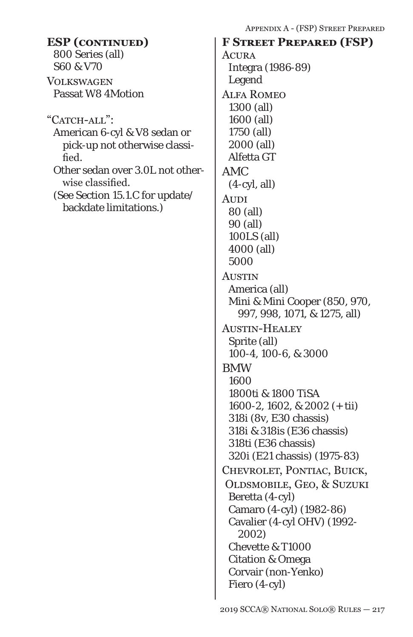| <b>ESP</b> (CONTINUED)           | APPENDIA A = (FOF J OTREET FREPAP<br><b>F STREET PREPARED (FSP)</b> |
|----------------------------------|---------------------------------------------------------------------|
| 800 Series (all)                 | <b>ACURA</b>                                                        |
| S60 & V70                        | Integra (1986-89)                                                   |
| <b>VOLKSWAGEN</b>                | Legend                                                              |
| <b>Passat W8 4Motion</b>         | <b>ALFA ROMEO</b>                                                   |
|                                  | 1300 (all)                                                          |
| "CATCH-ALL":                     | 1600 (all)                                                          |
| American 6-cyl & V8 sedan or     | 1750 (all)                                                          |
| pick-up not otherwise classi-    | 2000 (all)                                                          |
| fied.                            | Alfetta GT                                                          |
| Other sedan over 3.0L not other- | AMC                                                                 |
| wise classified.                 | $(4-cyl, all)$                                                      |
| (See Section 15.1.C for update/  |                                                                     |
| backdate limitations.)           | Audi                                                                |
|                                  | 80 (all)<br>90 (all)                                                |
|                                  | 100LS (all)                                                         |
|                                  | 4000 (all)                                                          |
|                                  | 5000                                                                |
|                                  | <b>AUSTIN</b>                                                       |
|                                  | America (all)                                                       |
|                                  | Mini & Mini Cooper (850, 970,                                       |
|                                  | 997, 998, 1071, & 1275, all)                                        |
|                                  | <b>AUSTIN-HEALEY</b>                                                |
|                                  | Sprite (all)                                                        |
|                                  | 100-4, 100-6, & 3000                                                |
|                                  | <b>BMW</b>                                                          |
|                                  | 1600                                                                |
|                                  | 1800ti & 1800 TiSA                                                  |
|                                  | 1600-2, 1602, & 2002 (+ tii)                                        |
|                                  | 318i (8v, E30 chassis)                                              |
|                                  | 318i & 318is (E36 chassis)                                          |
|                                  | 318ti (E36 chassis)                                                 |
|                                  | 320i (E21 chassis) (1975-83)                                        |
|                                  | CHEVROLET, PONTIAC, BUICK,                                          |
|                                  | OLDSMOBILE, GEO, & SUZUKI                                           |
|                                  | Beretta (4-cyl)                                                     |
|                                  | Camaro (4-cyl) (1982-86)                                            |
|                                  | Cavalier (4-cyl OHV) (1992-                                         |
|                                  | 2002)                                                               |
|                                  | Chevette & T1000                                                    |
|                                  | <b>Citation &amp; Omega</b>                                         |
|                                  | Corvair (non-Yenko)                                                 |
|                                  | Fiero (4-cyl)                                                       |
|                                  |                                                                     |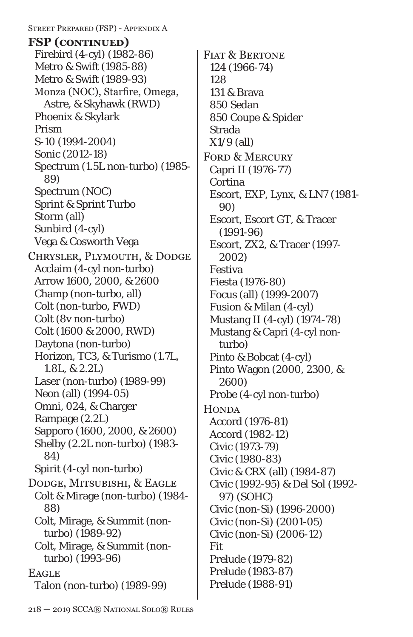Street Prepared (FSP) - Appendix A Firebird (4-cyl) (1982-86) Metro & Swift (1985-88) Metro & Swift (1989-93) Monza (NOC), Starfire, Omega, Astre, & Skyhawk (RWD) Phoenix & Skylark Prism S-10 (1994-2004) *Sonic (2012-18)* Spectrum (1.5L non-turbo) (1985- 89) Spectrum (NOC) Sprint & Sprint Turbo Storm (all) Sunbird (4-cyl) Vega & Cosworth Vega Chrysler, Plymouth, & Dodge Acclaim (4-cyl non-turbo) Arrow 1600, 2000, & 2600 Champ (non-turbo, all) Colt (non-turbo, FWD) Colt (8v non-turbo) Colt (1600 & 2000, RWD) Daytona (non-turbo) Horizon, TC3, & Turismo (1.7L, 1.8L, & 2.2L) Laser (non-turbo) (1989-99) Neon (all) (1994-05) Omni, 024, & Charger Rampage (2.2L) Sapporo (1600, 2000, & 2600) Shelby (2.2L non-turbo) (1983- 84) Spirit (4-cyl non-turbo) Dodge, Mitsubishi, & Eagle Colt & Mirage (non-turbo) (1984- 88) Colt, Mirage, & Summit (nonturbo) (1989-92) Colt, Mirage, & Summit (nonturbo) (1993-96) **EAGLE** Talon (non-turbo) (1989-99) **FSP (continued)**

FIAT & BERTONE 124 (1966-74) 128 131 & Brava 850 Sedan 850 Coupe & Spider Strada X1/9 (all) FORD & MERCURY Capri II (1976-77) Cortina Escort, EXP, Lynx, & LN7 (1981- 90) Escort, Escort GT, & Tracer (1991-96) Escort, ZX2, & Tracer (1997- 2002) Festiva Fiesta (1976-80) Focus (all) (1999-2007) Fusion & Milan (4-cyl) Mustang II (4-cyl) (1974-78) Mustang & Capri (4-cyl nonturbo) Pinto & Bobcat (4-cyl) Pinto Wagon (2000, 2300, & 2600) Probe (4-cyl non-turbo) **HONDA** Accord (1976-81) Accord (1982-12) Civic (1973-79) Civic (1980-83) Civic & CRX (all) (1984-87) Civic (1992-95) & Del Sol (1992- 97) (SOHC) Civic (non-Si) (1996-2000) Civic (non-Si) (2001-05) Civic (non-Si) (2006-12) Fit Prelude (1979-82) Prelude (1983-87) Prelude (1988-91)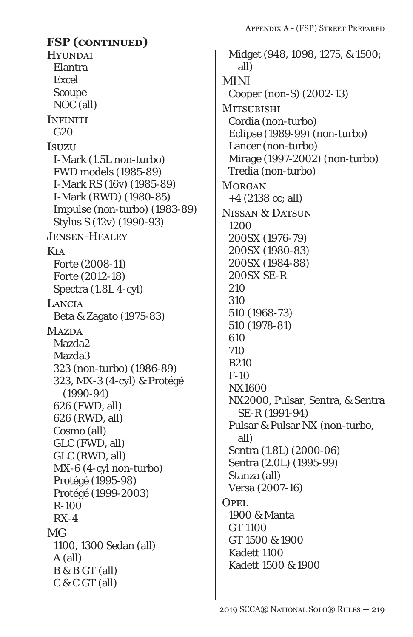**HYUNDAI** Elantra Excel Scoupe NOC (all) **INFINITI** G20 **Isuzu** I-Mark (1.5L non-turbo) FWD models (1985-89) I-Mark RS (16v) (1985-89) I-Mark (RWD) (1980-85) Impulse (non-turbo) (1983-89) Stylus S (12v) (1990-93) Jensen-Healey Kia Forte (2008-11) Forte (2012-18) Spectra (1.8L 4-cyl) Lancia Beta & Zagato (1975-83) **MAZDA** Mazda2 Mazda3 323 (non-turbo) (1986-89) 323, MX-3 (4-cyl) & Protégé (1990-94) 626 (FWD, all) 626 (RWD, all) Cosmo (all) GLC (FWD, all) GLC (RWD, all) MX-6 (4-cyl non-turbo) Protégé (1995-98) Protégé (1999-2003) R-100 RX-4 MG 1100, 1300 Sedan (all) A (all) B & B GT (all) C & C GT (all) **FSP (continued)**

Midget (948, 1098, 1275, & 1500; all) MINI Cooper (non-S) (2002-13) **MITSUBISHI** Cordia (non-turbo) Eclipse (1989-99) (non-turbo) Lancer (non-turbo) Mirage (1997-2002) (non-turbo) Tredia (non-turbo) **MORGAN** +4 (2138 cc; all) Nissan & Datsun 1200 200SX (1976-79) 200SX (1980-83) 200SX (1984-88) 200SX SE-R 210 310 510 (1968-73) 510 (1978-81) 610 710 B210 F-10 NX1600 NX2000, Pulsar, Sentra, & Sentra SE-R (1991-94) Pulsar & Pulsar NX (non-turbo, all) Sentra (1.8L) (2000-06) Sentra (2.0L) (1995-99) Stanza (all) Versa (2007-16) OPEL<sub>.</sub> 1900 & Manta GT 1100 GT 1500 & 1900 Kadett 1100 Kadett 1500 & 1900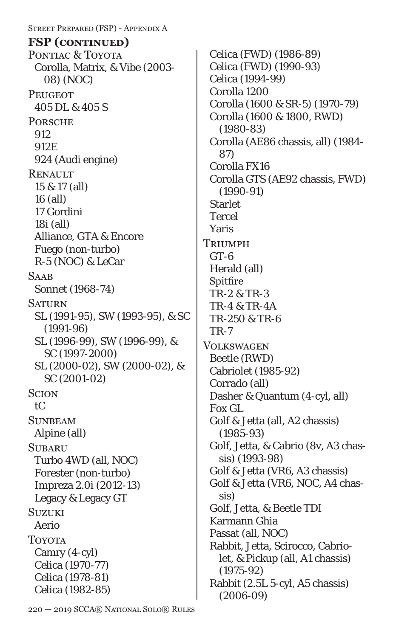Street Prepared (FSP) - Appendix A PONTIAC & TOYOTA Corolla, Matrix, & Vibe (2003- 08) (NOC) **PEUGEOT** 405 DL & 405 S **PORSCHE** 912 912E 924 (Audi engine) **RENAULT** 15 & 17 (all) 16 (all) 17 Gordini 18i (all) Alliance, GTA & Encore Fuego (non-turbo) R-5 (NOC) & LeCar **SAAB** Sonnet (1968-74) **SATURN** SL (1991-95), SW (1993-95), & SC (1991-96) SL (1996-99), SW (1996-99), & SC (1997-2000) SL (2000-02), SW (2000-02), & SC (2001-02) **SCION** tC **SUNBEAM** Alpine (all) **SUBARU** Turbo 4WD (all, NOC) Forester (non-turbo) Impreza 2.0i (2012-13) Legacy & Legacy GT **SUZUKI** Aerio **TOYOTA** Camry (4-cyl) Celica (1970-77) Celica (1978-81) Celica (1982-85) **FSP (continued)**

Celica (FWD) (1986-89) Celica (FWD) (1990-93) Celica (1994-99) Corolla 1200 Corolla (1600 & SR-5) (1970-79) Corolla (1600 & 1800, RWD) (1980-83) Corolla (AE86 chassis, all) (1984- 87) Corolla FX16 Corolla GTS (AE92 chassis, FWD) (1990-91) **Starlet** Tercel Yaris **TRIUMPH** GT-6 Herald (all) Spitfire TR-2 & TR-3 TR-4 & TR-4A TR-250 & TR-6 TR-7 **VOLKSWAGEN** Beetle (RWD) Cabriolet (1985-92) Corrado (all) Dasher & Quantum (4-cyl, all) Fox GL Golf & Jetta (all, A2 chassis) (1985-93) Golf, Jetta, & Cabrio (8v, A3 chassis) (1993-98) Golf & Jetta (VR6, A3 chassis) Golf & Jetta (VR6, NOC, A4 chassis) Golf, Jetta, & Beetle TDI Karmann Ghia Passat (all, NOC) Rabbit, Jetta, Scirocco, Cabriolet, & Pickup (all, A1 chassis) (1975-92) Rabbit (2.5L 5-cyl, A5 chassis) (2006-09)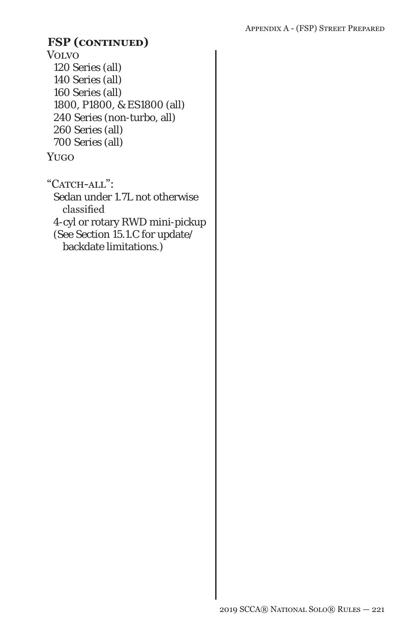### Volvo 120 Series (all) 140 Series (all) 160 Series (all) 1800, P1800, & ES1800 (all) 240 Series (non-turbo, all) 260 Series (all) 700 Series (all) **FSP (continued)**

#### Yugo

"CATCH-ALL": Sedan under 1.7L not otherwise classified 4-cyl or rotary RWD mini-pickup (See Section 15.1.C for update/ backdate limitations.)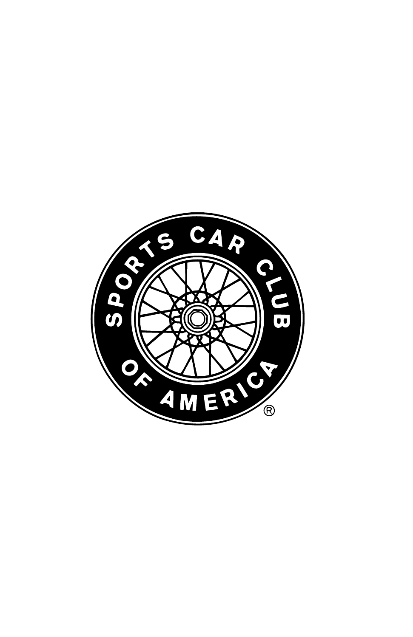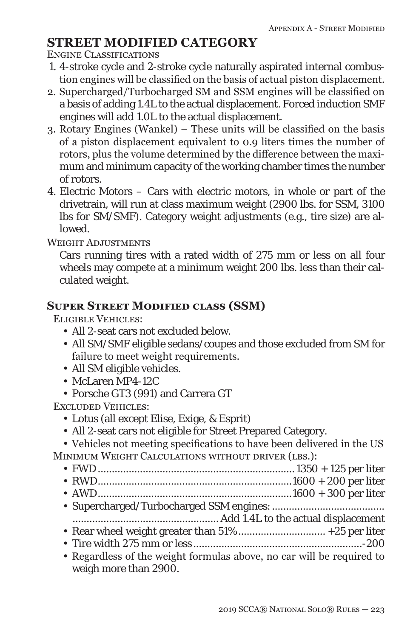## **STREET MODIFIED CATEGORY**

Engine Classifications

- 1. 4-stroke cycle and 2-stroke cycle naturally aspirated internal combustion engines will be classified on the basis of actual piston displacement.
- 2. Supercharged/Turbocharged SM and SSM engines will be classified on a basis of adding 1.4L to the actual displacement. Forced induction SMF engines will add 1.0L to the actual displacement.
- 3. Rotary Engines (Wankel) These units will be classified on the basis of a piston displacement equivalent to 0.9 liters times the number of rotors, plus the volume determined by the difference between the maximum and minimum capacity of the working chamber times the number of rotors.
- 4. Electric Motors Cars with electric motors, in whole or part of the drivetrain, will run at class maximum weight (2900 lbs. for SSM, 3100 lbs for SM/SMF). Category weight adjustments (e.g., tire size) are allowed.

WEIGHT ADJUSTMENTS

Cars running tires with a rated width of 275 mm or less on all four wheels may compete at a minimum weight 200 lbs. less than their calculated weight.

### **Super Street Modified class (SSM)**

Eligible Vehicles:

- All 2-seat cars not excluded below.
- All SM/SMF eligible sedans/coupes and those excluded from SM for failure to meet weight requirements.
- All SM eligible vehicles.
- McLaren MP4-12C
- Porsche GT3 (991) and Carrera GT

Excluded Vehicles:

- Lotus (all except Elise, Exige, & Esprit)
- All 2-seat cars not eligible for Street Prepared Category.

• Vehicles not meeting specifications to have been delivered in the US MINIMUM WEIGHT CALCULATIONS WITHOUT DRIVER (LBS.):

• FWD...................................................................... 1350 + 125 per liter

• RWD.....................................................................1600 + 200 per liter

- AWD.....................................................................1600 + 300 per liter
- Supercharged/Turbocharged SSM engines:........................................

.................................................... Add 1.4L to the actual displacement

- Rear wheel weight greater than 51% ............................... +25 per liter
- Tire width 275 mm or less ............................................................-200
- Regardless of the weight formulas above, no car will be required to weigh more than 2900.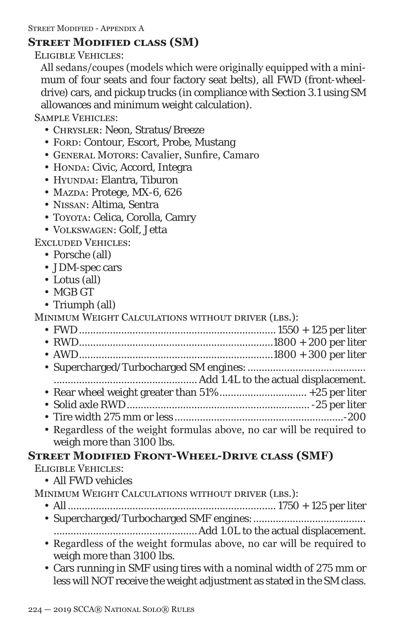### **Street Modified class (SM)**

Eligible Vehicles:

All sedans/coupes (models which were originally equipped with a minimum of four seats and four factory seat belts), all FWD (front-wheeldrive) cars, and pickup trucks (in compliance with Section 3.1 using SM allowances and minimum weight calculation).

Sample Vehicles:

- Chrysler: Neon, Stratus/Breeze
- FORD: Contour, Escort, Probe, Mustang
- General Motors: Cavalier, Sunfire, Camaro
- HONDA: Civic, Accord, Integra
- HYUNDAI: Elantra. Tiburon
- MAZDA: Protege, MX-6, 626
- Nissan: Altima, Sentra
- Toyota: Celica, Corolla, Camry
- Volkswagen: Golf, Jetta

Excluded Vehicles:

- Porsche (all)
- JDM-spec cars
- Lotus (all)
- MGB GT
- Triumph (all)
- MINIMUM WEIGHT CALCULATIONS WITHOUT DRIVER (LBS.):
	- FWD...................................................................... 1550 + 125 per liter • RWD.....................................................................1800 + 200 per liter
	- AWD.....................................................................1800 + 300 per liter
	- Supercharged/Turbocharged SM engines:.......................................... ................................................... Add 1.4L to the actual displacement.
	- Rear wheel weight greater than 51% ............................... +25 per liter
	- Solid axle RWD................................................................. -25 per liter
	- Tire width 275 mm or less ............................................................-200
	- Regardless of the weight formulas above, no car will be required to weigh more than 3100 lbs.

## **Street Modified Front-Wheel-Drive class (SMF)**

Eligible Vehicles:

- All FWD vehicles
- Minimum Weight Calculations without driver (lbs.):
	- All.......................................................................... 1750 + 125 per liter
	- Supercharged/Turbocharged SMF engines:........................................
	- ...................................................Add 1.0L to the actual displacement. • Regardless of the weight formulas above, no car will be required to
	- weigh more than 3100 lbs.
	- Cars running in SMF using tires with a nominal width of 275 mm or less will NOT receive the weight adjustment as stated in the SM class.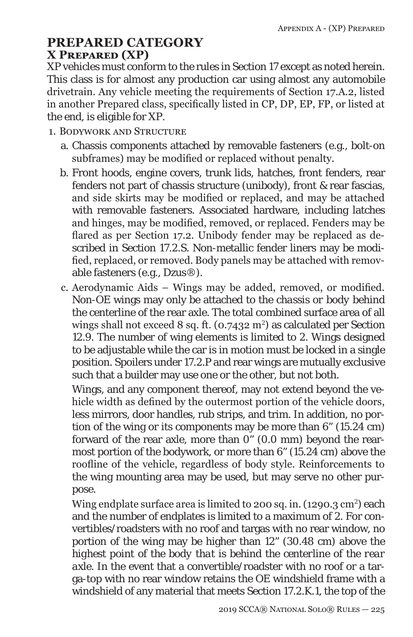## **PREPARED CATEGORY X Prepared (XP)**

XP vehicles must conform to the rules in Section 17 except as noted herein. This class is for almost any production car using almost any automobile drivetrain. Any vehicle meeting the requirements of Section 17.A.2, listed in another Prepared class, specifically listed in CP, DP, EP, FP, or listed at the end, is eligible for XP.

- 1. Bodywork and Structure
	- a. Chassis components attached by removable fasteners (e.g., bolt-on subframes) may be modified or replaced without penalty.
	- b. Front hoods, engine covers, trunk lids, hatches, front fenders, rear fenders not part of chassis structure (unibody), front & rear fascias, and side skirts may be modified or replaced, and may be attached with removable fasteners. Associated hardware, including latches and hinges, may be modified, removed, or replaced. Fenders may be flared as per Section 17.2. Unibody fender may be replaced as described in Section 17.2.S. Non-metallic fender liners may be modified, replaced, or removed. Body panels may be attached with removable fasteners (e.g., Dzus®).
	- c. Aerodynamic Aids Wings may be added, removed, or modified. Non-OE wings may only be attached to the *chassis or body* behind the centerline of the rear axle. The total combined surface area of all wings shall not exceed 8 sq. ft. (0.7432 m<sup>2</sup>) as calculated per Section 12.9. The number of wing elements is limited to 2. Wings designed to be adjustable while the car is in motion must be locked in a single position. Spoilers under 17.2.P and rear wings are mutually exclusive such that a builder may use one or the other, but not both.

Wings, and any component thereof, may not extend beyond the vehicle width as defined by the outermost portion of the vehicle doors, less mirrors, door handles, rub strips, and trim. In addition, no portion of the wing or its components may be more than  $6^\circ$  (15.24 cm) forward of the rear axle, more than 0" (0.0 mm) beyond the rearmost portion of the bodywork, or more than 6" (15.24 cm) above the roofline of the vehicle, regardless of body style. Reinforcements to the wing mounting area may be used, but may serve no other purpose.

Wing endplate surface area is limited to 200 sq. in. (1290.3  $\text{cm}^2$ ) each and the number of endplates is limited to a maximum of 2. For convertibles/roadsters with no roof and targas with no rear window, no portion of the wing may be higher than 12" (30.48 cm) above the *highest point of the body that is behind the centerline of the rear axle.* In the event that a convertible/roadster with no roof or a targa-top with no rear window retains the OE windshield frame with a windshield of any material that meets Section 17.2.K.1, the top of the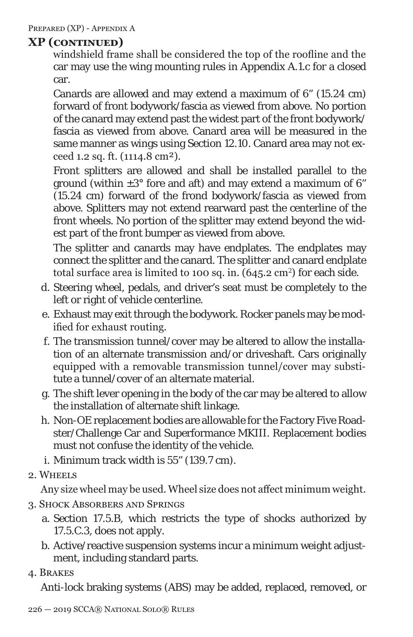windshield frame shall be considered the top of the roofline and the car may use the wing mounting rules in Appendix A.1.c for a closed car.

Canards are allowed and may extend a maximum of 6" (15.24 cm) forward of front bodywork/fascia as viewed from above. No portion of the canard may extend past the widest part of the front bodywork/ fascia as viewed from above. Canard area will be measured in the same manner as wings using Section 12.10. Canard area may not exceed 1.2 sq. ft. (1114.8 cm²).

Front splitters are allowed and shall be installed parallel to the ground (within  $\pm 3^{\circ}$  fore and aft) and may extend a maximum of 6" (15.24 cm) forward of the frond bodywork/fascia as viewed from above. Splitters may not extend rearward past the centerline of the front wheels. No portion of the splitter may extend beyond the widest part of the front bumper as viewed from above.

The splitter and canards may have endplates. The endplates may connect the splitter and the canard. The splitter and canard endplate total surface area is limited to 100 sq. in.  $(645.2 \text{ cm}^2)$  for each side.

- d. Steering wheel, pedals, and driver's seat must be completely to the left or right of vehicle centerline.
- e. Exhaust may exit through the bodywork. Rocker panels may be modified for exhaust routing.
- f. The transmission tunnel/cover may be altered to allow the installation of an alternate transmission and/or driveshaft. Cars originally equipped with a removable transmission tunnel/cover may substitute a tunnel/cover of an alternate material.
- g. The shift lever opening in the body of the car may be altered to allow the installation of alternate shift linkage.
- h. Non-OE replacement bodies are allowable for the Factory Five Roadster/Challenge Car and Superformance MKIII. Replacement bodies must not confuse the identity of the vehicle.
- i. Minimum track width is 55" (139.7 cm).
- 2. Wheels

Any size wheel may be used. Wheel size does not affect minimum weight.

- 3. Shock Absorbers and Springs
	- a. Section 17.5.B, which restricts the type of shocks authorized by 17.5.C.3, does not apply.
	- b. Active/reactive suspension systems incur a minimum weight adjustment, including standard parts.
- 4. Brakes

Anti-lock braking systems (ABS) may be added, replaced, removed, or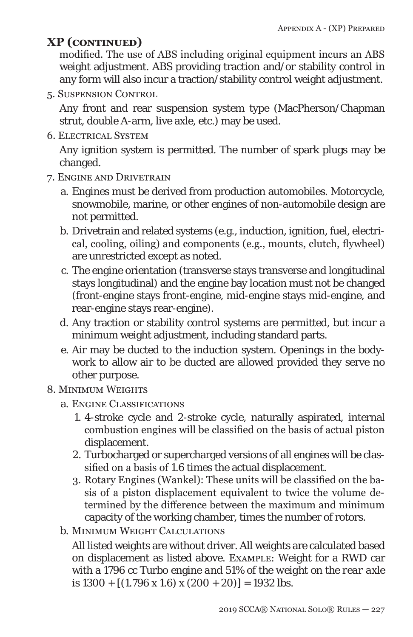modified. The use of ABS including original equipment incurs an ABS weight adjustment. ABS providing traction and/or stability control in any form will also incur a traction/stability control weight adjustment.

5. Suspension Control

Any front and rear suspension system type (MacPherson/Chapman strut, double A-arm, live axle, etc.) may be used.

6. Electrical System

Any ignition system is permitted. The number of spark plugs may be changed.

- 7. Engine and Drivetrain
	- a. Engines must be derived from production automobiles. Motorcycle, snowmobile, marine, or other engines of non-automobile design are not permitted.
	- b. Drivetrain and related systems (e.g., induction, ignition, fuel, electrical, cooling, oiling) and components (e.g., mounts, clutch, flywheel) are unrestricted except as noted.
	- c. The engine orientation (transverse stays transverse and longitudinal stays longitudinal) and the engine bay location must not be changed (front-engine stays front-engine, mid-engine stays mid-engine, and rear-engine stays rear-engine).
	- d. Any traction or stability control systems are permitted, but incur a minimum weight adjustment, including standard parts.
	- e. Air may be ducted to the induction system. Openings in the bodywork to allow air to be ducted are allowed provided they serve no other purpose.

#### 8. MINIMUM WEIGHTS

- a. Engine Classifications
	- 1. 4-stroke cycle and 2-stroke cycle, naturally aspirated, internal combustion engines will be classified on the basis of actual piston displacement.
	- 2. Turbocharged or supercharged versions of all engines will be classified on a basis of *1.6* times the actual displacement.
	- 3. Rotary Engines (Wankel): These units will be classified on the basis of a piston displacement equivalent to twice the volume determined by the difference between the maximum and minimum capacity of the working chamber, times the number of rotors.
- b. Minimum Weight Calculations

All listed weights are without driver. All weights are calculated based on displacement as listed above. EXAMPLE: Weight for a RWD car with a 1796 cc Turbo engine *and 51% of the weight on the rear axle* is *1300* + [(1.796 x *1.6*) x (200 + 20)] = *1932* lbs.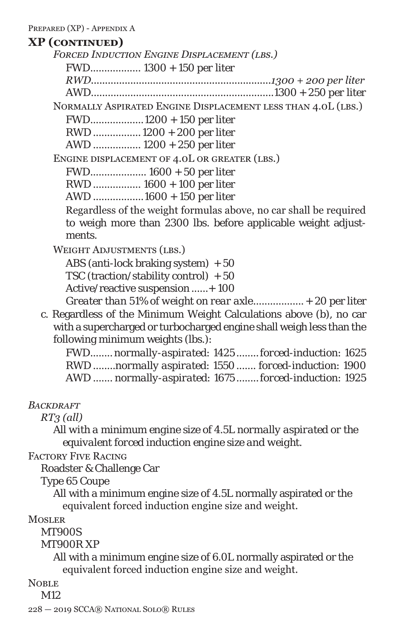*Forced Induction Engine Displacement (lbs.) FWD.................. 1300 + 150 per liter RWD................................................................1300 + 200 per liter AWD.................................................................1300 + 250 per liter*  Normally Aspirated Engine Displacement less than 4.0L (lbs.) FWD...................1200 + 150 per liter RWD ................. 1200 + 200 per liter AWD ................. 1200 + 250 per liter Engine displacement of 4.0L or greater (lbs.)

FWD.................... *1600* + *50* per liter

RWD ................. *1600* + *100* per liter

AWD ..................*1600* + *150* per liter

Regardless of the weight formulas above, no car shall be required to weigh more than 2300 lbs. before applicable weight adjustments.

WEIGHT ADJUSTMENTS (LBS.)

ABS (anti-lock braking system) + 50 TSC (traction/stability control) + 50 Active/reactive suspension ......+ 100 *Greater than 51% of weight on rear axle*..................+ 20 per liter

c. Regardless of the Minimum Weight Calculations above (b), no car with a supercharged or turbocharged engine shall weigh less than the following minimum weights (lbs.):

FWD........ *normally-aspirated: 1425 ........forced-induction: 1625* RWD ........*normally aspirated: 1550....... forced-induction: 1900* AWD ....... *normally-aspirated: 1675 ........forced-induction: 1925*

*Backdraft*

*RT3 (all)*

*All with a minimum engine size of 4.5L normally aspirated or the equivalent forced induction engine size and weight.*

Factory Five Racing

Roadster & Challenge Car

Type 65 Coupe

All with a minimum engine size of 4.5L normally aspirated or the equivalent forced induction engine size and weight.

**MOSLER** 

MT900S

MT900R XP

All with a minimum engine size of 6.0L normally aspirated or the equivalent forced induction engine size and weight.

NOBLE<sub></sub>

M12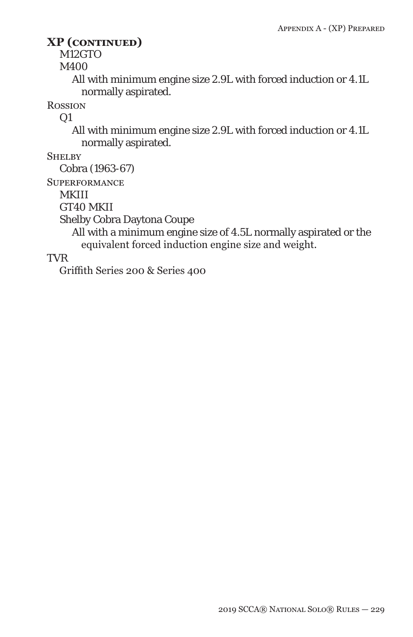M12GTO

M400

All with minimum engine size 2.9L with forced induction or 4.1L normally aspirated.

**ROSSION** 

 $Q1$ 

All with minimum engine size 2.9L with forced induction or 4.1L normally aspirated.

**SHELBY** 

Cobra (1963-67)

**SUPERFORMANCE** 

MKIII

GT40 MKII

Shelby Cobra Daytona Coupe

All with a minimum engine size of 4.5L normally aspirated or the equivalent forced induction engine size and weight.

TVR

Griffith Series 200 & Series 400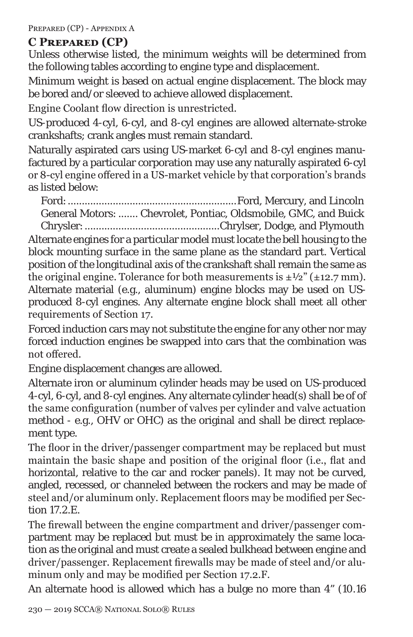PREPARED (CP) - APPENDIX A

### **C Prepared (CP)**

Unless otherwise listed, the minimum weights will be determined from the following tables according to engine type and displacement.

Minimum weight is based on actual engine displacement. The block may be bored and/or sleeved to achieve allowed displacement.

Engine Coolant flow direction is unrestricted.

US-produced 4-cyl, 6-cyl, and 8-cyl engines are allowed alternate-stroke crankshafts; crank angles must remain standard.

Naturally aspirated cars using US-market 6-cyl and 8-cyl engines manufactured by a particular corporation may use any naturally aspirated 6-cyl or 8-cyl engine offered in a US-market vehicle by that corporation's brands as listed below:

Ford:............................................................Ford, Mercury, and Lincoln General Motors: ....... Chevrolet, Pontiac, Oldsmobile, GMC, and Buick Chrysler:................................................Chrylser, Dodge, and Plymouth

Alternate engines for a particular model must locate the bell housing to the block mounting surface in the same plane as the standard part. Vertical position of the longitudinal axis of the crankshaft shall remain the same as the original engine. Tolerance for both measurements is  $\pm \frac{1}{2}$  ( $\pm 12.7$  mm). Alternate material (e.g., aluminum) engine blocks may be used on USproduced 8-cyl engines. Any alternate engine block shall meet all other requirements of Section 17.

Forced induction cars may not substitute the engine for any other nor may forced induction engines be swapped into cars that the combination was not offered.

Engine displacement changes are allowed.

Alternate iron or aluminum cylinder heads may be used on US-produced 4-cyl, 6-cyl, and 8-cyl engines. Any alternate cylinder head(s) shall be of of the same configuration (number of valves per cylinder and valve actuation method - e.g., OHV or OHC) as the original and shall be direct replacement type.

The floor in the driver/passenger compartment may be replaced but must maintain the basic shape and position of the original floor (i.e., flat and horizontal, relative to the car and rocker panels). It may not be curved, angled, recessed, or channeled between the rockers and may be made of steel and/or aluminum only. Replacement floors may be modified per Section 17.2.E.

The firewall between the engine compartment and driver/passenger compartment may be replaced but must be in approximately the same location as the original and must create a sealed bulkhead between engine and driver/passenger. Replacement firewalls may be made of steel and/or aluminum only and may be modified per Section 17.2.F.

An alternate hood is allowed which has a bulge no more than 4" (10.16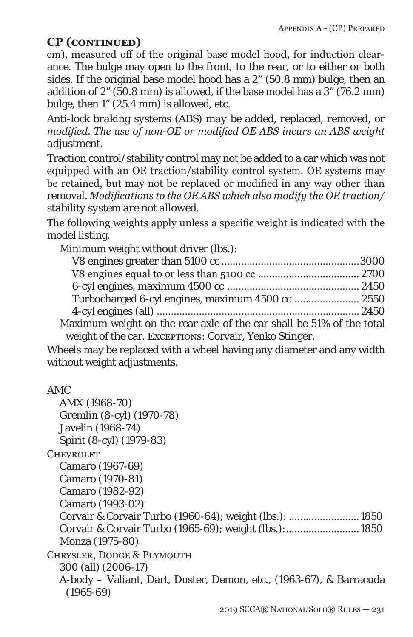cm), measured off of the original base model hood, for induction clearance. The bulge may open to the front, to the rear, or to either or both sides. If the original base model hood has a 2" (50.8 mm) bulge, then an addition of 2" (50.8 mm) is allowed, if the base model has a 3" (76.2 mm) bulge, then 1" (25.4 mm) is allowed, etc.

*Anti-lock braking systems (ABS) may be added, replaced, removed, or modified. The use of non-OE or modified OE ABS incurs an ABS weight adjustment.*

Traction control/stability control may not be added to a car which was not equipped with an OE traction/stability control system. OE systems may be retained, but may not be replaced or modified in any way other than removal. *Modifications to the OE ABS which also modify the OE traction/ stability system are not allowed.*

The following weights apply unless a specific weight is indicated with the model listing.

Minimum weight without driver (lbs.):

| Turbocharged 6-cyl engines, maximum 4500 cc  2550                    |  |
|----------------------------------------------------------------------|--|
|                                                                      |  |
| Maximum weight on the rear axle of the car shall be 51% of the total |  |
| weight of the car. EXCEPTIONS: Corvair, Yenko Stinger.               |  |

Wheels may be replaced with a wheel having any diameter and any width without weight adjustments.

```
AMC
```

| AMX (1968-70)                                                       |
|---------------------------------------------------------------------|
| Gremlin (8-cyl) (1970-78)                                           |
| Javelin (1968-74)                                                   |
| Spirit (8-cyl) (1979-83)                                            |
| CHEVROLET                                                           |
| Camaro (1967-69)                                                    |
| Camaro (1970-81)                                                    |
| Camaro (1982-92)                                                    |
| Camaro (1993-02)                                                    |
|                                                                     |
|                                                                     |
| Monza (1975-80)                                                     |
| CHRYSLER, DODGE & PLYMOUTH                                          |
| 300 (all) (2006-17)                                                 |
| A-body - Valiant, Dart, Duster, Demon, etc., (1963-67), & Barracuda |
| $(1965 - 69)$                                                       |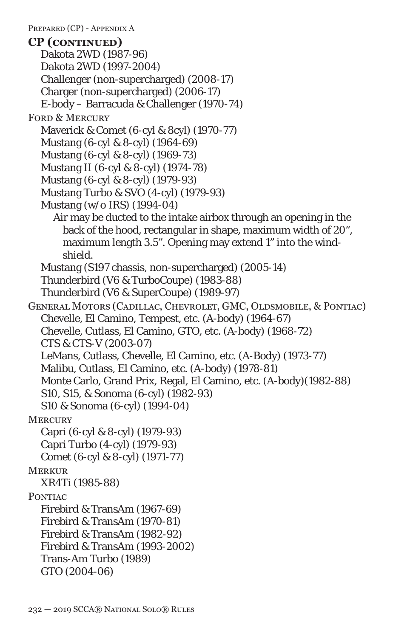Dakota 2WD (1987-96) Dakota 2WD (1997-2004) Challenger (non-supercharged) (2008-17) Charger (non-supercharged) (2006-17) E-body – Barracuda & Challenger (1970-74) FORD & MERCURY Maverick & Comet (6-cyl & 8cyl) (1970-77) Mustang (6-cyl & 8-cyl) (1964-69) Mustang (6-cyl & 8-cyl) (1969-73) Mustang II (6-cyl & 8-cyl) (1974-78) Mustang (6-cyl & 8-cyl) (1979-93) Mustang Turbo & SVO (4-cyl) (1979-93) Mustang (w/o IRS) (1994-04) Air may be ducted to the intake airbox through an opening in the back of the hood, rectangular in shape, maximum width of 20", maximum length 3.5". Opening may extend 1" into the windshield. Mustang (S197 chassis, non-supercharged) (2005-14) Thunderbird (V6 & TurboCoupe) (1983-88) Thunderbird (V6 & SuperCoupe) (1989-97) General Motors (Cadillac, Chevrolet, GMC, Oldsmobile, & Pontiac) Chevelle, El Camino, Tempest, etc. (A-body) (1964-67) Chevelle, Cutlass, El Camino, GTO, etc. (A-body) (1968-72) *CTS & CTS-V (2003-07)* LeMans, Cutlass, Chevelle, El Camino, etc. (A-Body) (1973-77) Malibu, Cutlass, El Camino, etc. (A-body) (1978-81) Monte Carlo, Grand Prix, Regal, El Camino, etc. (A-body)(1982-88) S10, S15, & Sonoma (6-cyl) (1982-93) S10 & Sonoma (6-cyl) (1994-04) **MERCURY** Capri (6-cyl & 8-cyl) (1979-93) Capri Turbo (4-cyl) (1979-93) Comet (6-cyl & 8-cyl) (1971-77) **MERKUR** XR4Ti (1985-88) PONTIAC Firebird & TransAm (1967-69) Firebird & TransAm (1970-81) Firebird & TransAm (1982-92) Firebird & TransAm (1993-2002) Trans-Am Turbo (1989) GTO (2004-06) **CP (continued)**

PREPARED (CP) - APPENDIX A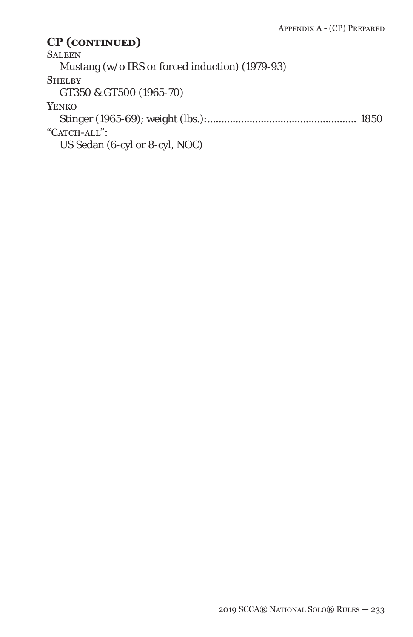**SALEEN** Mustang (w/o IRS or forced induction) (1979-93) **SHELBY** GT350 & GT500 (1965-70) Yenko Stinger (1965-69); weight (lbs.):..................................................... 1850 "CATCH-ALL": US Sedan (6-cyl or 8-cyl, NOC)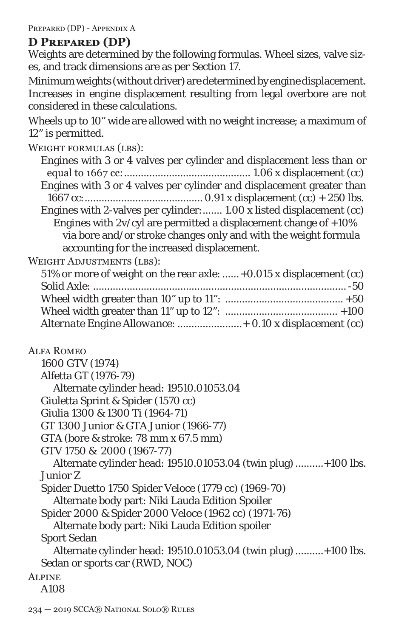PREPARED (DP) - APPENDIX A

### **D Prepared (DP)**

Weights are determined by the following formulas. Wheel sizes, valve sizes, and track dimensions are as per Section 17.

Minimum weights (without driver) are determined by engine displacement. Increases in engine displacement resulting from legal overbore are not considered in these calculations.

Wheels up to 10" wide are allowed with no weight increase; a maximum of 12" is permitted.

| WEIGHT FORMULAS (LBS):                                                |
|-----------------------------------------------------------------------|
| Engines with 3 or 4 valves per cylinder and displacement less than or |
|                                                                       |
| Engines with 3 or 4 valves per cylinder and displacement greater than |
|                                                                       |
| Engines with 2-valves per cylinder: 1.00 x listed displacement (cc)   |
| Engines with $2v/cyl$ are permitted a displacement change of $+10\%$  |
| via bore and/or stroke changes only and with the weight formula       |
| accounting for the increased displacement.                            |
| <b>WEIGHT ADJUSTMENTS (LBS):</b>                                      |
| 51% or more of weight on the rear axle:  +0.015 x displacement (cc)   |
|                                                                       |
|                                                                       |
|                                                                       |
| Alternate Engine Allowance:  + 0.10 x displacement (cc)               |
| <b>ALFA ROMEO</b>                                                     |
| 1600 GTV (1974)                                                       |
| Alfetta GT (1976-79)                                                  |
| Alternate cylinder head: 19510.01053.04                               |
| Giuletta Sprint & Spider (1570 cc)                                    |
| Giulia 1300 & 1300 Ti (1964-71)                                       |
| GT 1300 Junior & GTA Junior (1966-77)                                 |
| GTA (bore & stroke: 78 mm x 67.5 mm)                                  |
| GTV 1750 & 2000 (1967-77)                                             |
| Alternate cylinder head: 19510.01053.04 (twin plug) +100 lbs.         |
| <b>Junior Z</b>                                                       |
| Spider Duetto 1750 Spider Veloce (1779 cc) (1969-70)                  |
| Alternate body part: Niki Lauda Edition Spoiler                       |
| Spider 2000 & Spider 2000 Veloce (1962 cc) (1971-76)                  |
| Alternate body part: Niki Lauda Edition spoiler                       |
|                                                                       |

Sport Sedan

Alternate cylinder head: 19510.01053.04 (twin plug)..........+100 lbs. Sedan or sports car (RWD, NOC)

**ALPINE**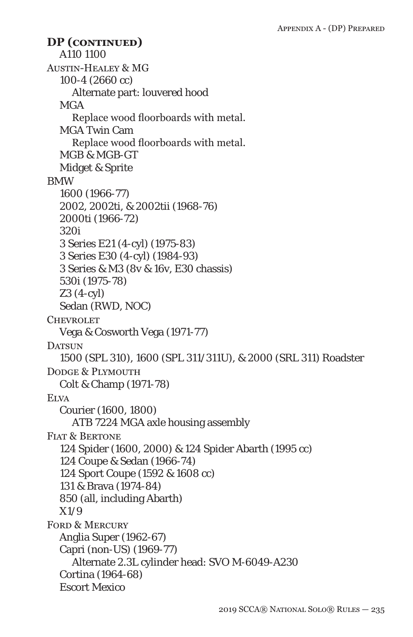A110 1100 Austin-Healey & MG 100-4 (2660 cc) Alternate part: louvered hood **MGA** Replace wood floorboards with metal. MGA Twin Cam Replace wood floorboards with metal. MGB & MGB-GT Midget & Sprite BMW 1600 (1966-77) 2002, 2002ti, & 2002tii (1968-76) 2000ti (1966-72) 320i 3 Series E21 (4-cyl) (1975-83) 3 Series E30 (4-cyl) (1984-93) 3 Series & M3 (8v & 16v, E30 chassis) 530i (1975-78) Z3 (4-cyl) Sedan (RWD, NOC) **CHEVROLET** Vega & Cosworth Vega (1971-77) DATSUN 1500 (SPL 310), 1600 (SPL 311/311U), & 2000 (SRL 311) Roadster DODGE & PLYMOUTH Colt & Champ (1971-78) **ELVA** Courier (1600, 1800) ATB 7224 MGA axle housing assembly FIAT & BERTONE 124 Spider (1600, 2000) & 124 Spider Abarth (1995 cc) 124 Coupe & Sedan (1966-74) 124 Sport Coupe (1592 & 1608 cc) 131 & Brava (1974-84) 850 (all, including Abarth) X1/9 FORD & MERCURY Anglia Super (1962-67) Capri (non-US) (1969-77) Alternate 2.3L cylinder head: SVO M-6049-A230 Cortina (1964-68) Escort Mexico **DP (continued)**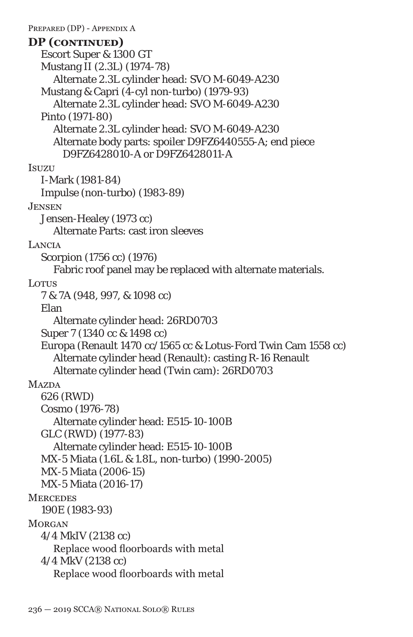PREPARED (DP) - APPENDIX A Escort Super & 1300 GT Mustang II (2.3L) (1974-78) Alternate 2.3L cylinder head: SVO M-6049-A230 Mustang & Capri (4-cyl non-turbo) (1979-93) Alternate 2.3L cylinder head: SVO M-6049-A230 Pinto (1971-80) Alternate 2.3L cylinder head: SVO M-6049-A230 Alternate body parts: spoiler D9FZ6440555-A; end piece D9FZ6428010-A or D9FZ6428011-A **Isuzu** I-Mark (1981-84) Impulse (non-turbo) (1983-89) Jensen Jensen-Healey (1973 cc) Alternate Parts: cast iron sleeves **LANCIA** Scorpion (1756 cc) (1976) Fabric roof panel may be replaced with alternate materials. Lotus 7 & 7A (948, 997, & 1098 cc) Elan Alternate cylinder head: 26RD0703 Super 7 (1340 cc & 1498 cc) Europa (Renault 1470 cc/1565 cc & Lotus-Ford Twin Cam 1558 cc) Alternate cylinder head (Renault): casting R-16 Renault Alternate cylinder head (Twin cam): 26RD0703 **MAZDA** 626 (RWD) Cosmo (1976-78) Alternate cylinder head: E515-10-100B GLC (RWD) (1977-83) Alternate cylinder head: E515-10-100B MX-5 Miata (1.6L & 1.8L, non-turbo) (1990-2005) MX-5 Miata (2006-15) MX-5 Miata (2016-17) **MERCEDES** 190E (1983-93) **MORGAN** 4/4 MkIV (2138 cc) Replace wood floorboards with metal 4/4 MkV (2138 cc) Replace wood floorboards with metal **DP (continued)**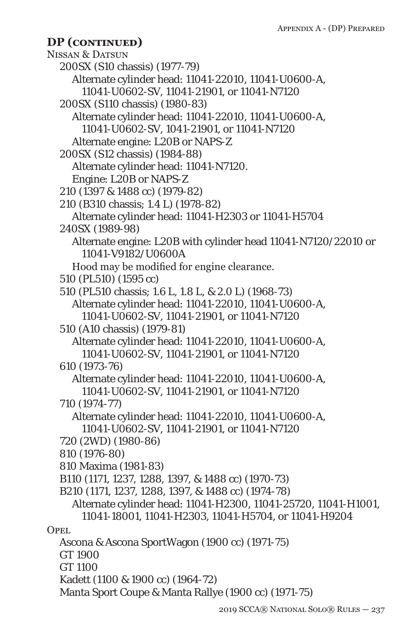```
NISSAN & DATSUN
  200SX (S10 chassis) (1977-79)
     Alternate cylinder head: 11041-22010, 11041-U0600-A, 
       11041-U0602-SV, 11041-21901, or 11041-N7120
  200SX (S110 chassis) (1980-83)
     Alternate cylinder head: 11041-22010, 11041-U0600-A, 
       11041-U0602-SV, 1041-21901, or 11041-N7120
     Alternate engine: L20B or NAPS-Z
  200SX (S12 chassis) (1984-88)
     Alternate cylinder head: 11041-N7120.
     Engine: L20B or NAPS-Z
  210 (1397 & 1488 cc) (1979-82)
  210 (B310 chassis; 1.4 L) (1978-82)
     Alternate cylinder head: 11041-H2303 or 11041-H5704
  240SX (1989-98)
     Alternate engine: L20B with cylinder head 11041-N7120/22010 or 
       11041-V9182/U0600A
     Hood may be modified for engine clearance.
  510 (PL510) (1595 cc)
  510 (PL510 chassis; 1.6 L, 1.8 L, & 2.0 L) (1968-73)
     Alternate cylinder head: 11041-22010, 11041-U0600-A, 
      11041-U0602-SV, 11041-21901, or 11041-N7120
  510 (A10 chassis) (1979-81)
     Alternate cylinder head: 11041-22010, 11041-U0600-A, 
       11041-U0602-SV, 11041-21901, or 11041-N7120
  610 (1973-76)
     Alternate cylinder head: 11041-22010, 11041-U0600-A, 
       11041-U0602-SV, 11041-21901, or 11041-N7120
  710 (1974-77)
     Alternate cylinder head: 11041-22010, 11041-U0600-A, 
       11041-U0602-SV, 11041-21901, or 11041-N7120
  720 (2WD) (1980-86)
  810 (1976-80)
  810 Maxima (1981-83)
  B110 (1171, 1237, 1288, 1397, & 1488 cc) (1970-73)
  B210 (1171, 1237, 1288, 1397, & 1488 cc) (1974-78)
     Alternate cylinder head: 11041-H2300, 11041-25720, 11041-H1001, 
       11041-18001, 11041-H2303, 11041-H5704, or 11041-H9204
OPEL.
  Ascona & Ascona SportWagon (1900 cc) (1971-75)
  GT 1900
  GT 1100
  Kadett (1100 & 1900 cc) (1964-72)
  Manta Sport Coupe & Manta Rallye (1900 cc) (1971-75)
DP (continued)
```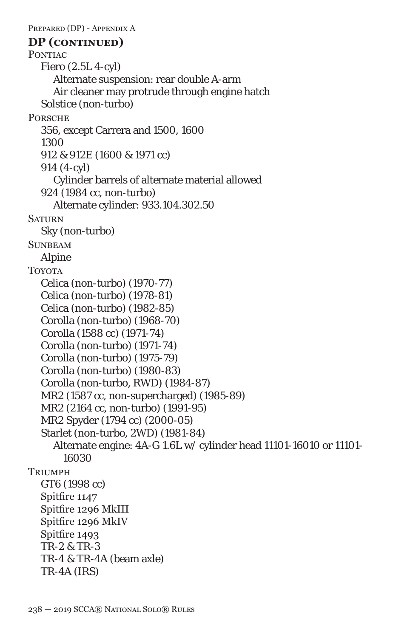PREPARED (DP) - APPENDIX A PONTIAC Fiero (2.5L 4-cyl) Alternate suspension: rear double A-arm Air cleaner may protrude through engine hatch Solstice (non-turbo) **PORSCHE** 356, except Carrera and 1500, 1600 1300 912 & 912E (1600 & 1971 cc) 914 (4-cyl) Cylinder barrels of alternate material allowed 924 (1984 cc, non-turbo) Alternate cylinder: 933.104.302.50 **SATURN** Sky (non-turbo) **SUNBEAM** Alpine **TOYOTA** Celica (non-turbo) (1970-77) Celica (non-turbo) (1978-81) Celica (non-turbo) (1982-85) Corolla (non-turbo) (1968-70) Corolla (1588 cc) (1971-74) Corolla (non-turbo) (1971-74) Corolla (non-turbo) (1975-79) Corolla (non-turbo) (1980-83) Corolla (non-turbo, RWD) (1984-87) MR2 (1587 cc, non-supercharged) (1985-89) MR2 (2164 cc, non-turbo) (1991-95) MR2 Spyder (1794 cc) (2000-05) Starlet (non-turbo, 2WD) (1981-84) Alternate engine: 4A-G 1.6L w/ cylinder head 11101-16010 or 11101- 16030 **TRIUMPH** GT6 (1998 cc) Spitfire 1147 Spitfire 1296 MkIII Spitfire 1296 MkIV Spitfire 1493 TR-2 & TR-3 TR-4 & TR-4A (beam axle) TR-4A (IRS) **DP (continued)**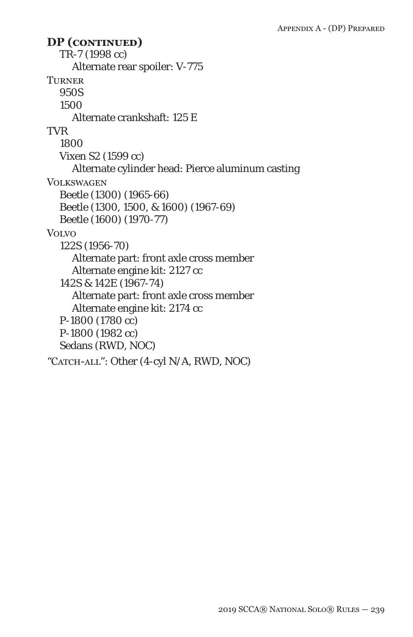TR-7 (1998 cc) Alternate rear spoiler: V-775 **TURNER** 950S 1500 Alternate crankshaft: 125 E TVR 1800 Vixen S2 (1599 cc) Alternate cylinder head: Pierce aluminum casting Volkswagen Beetle (1300) (1965-66) Beetle (1300, 1500, & 1600) (1967-69) Beetle (1600) (1970-77) **VOLVO** 122S (1956-70) Alternate part: front axle cross member Alternate engine kit: 2127 cc 142S & 142E (1967-74) Alternate part: front axle cross member Alternate engine kit: 2174 cc P-1800 (1780 cc) P-1800 (1982 cc) Sedans (RWD, NOC) "CATCH-ALL": Other (4-cyl N/A, RWD, NOC) **DP (continued)**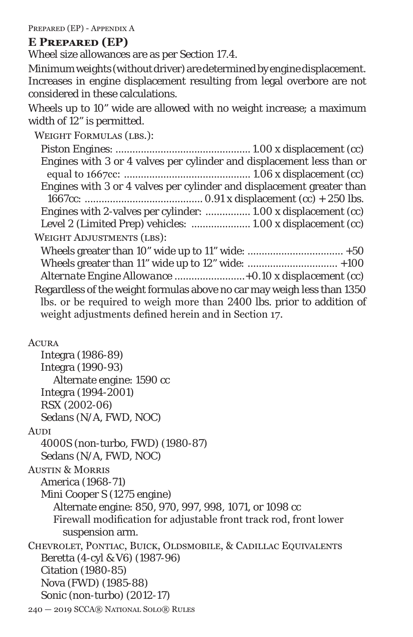PREPARED (EP) - APPENDIX A

### **E Prepared (EP)**

Wheel size allowances are as per Section 17.4.

Minimum weights (without driver) are determined by engine displacement. Increases in engine displacement resulting from legal overbore are not considered in these calculations.

Wheels up to 10" wide are allowed with no weight increase; a maximum width of 12" is permitted.

| <b>WEIGHT FORMULAS (LBS.):</b>                                          |
|-------------------------------------------------------------------------|
|                                                                         |
| Engines with 3 or 4 valves per cylinder and displacement less than or   |
| Engines with 3 or 4 valves per cylinder and displacement greater than   |
|                                                                         |
| Engines with 2-valves per cylinder:  1.00 x displacement (cc)           |
| Level 2 (Limited Prep) vehicles:  1.00 x displacement (cc)              |
| <b>WEIGHT ADJUSTMENTS (LBS):</b>                                        |
|                                                                         |
|                                                                         |
|                                                                         |
| Regardless of the weight formulas above no car may weigh less than 1350 |
| lbs. or be required to weigh more than 2400 lbs. prior to addition of   |
| weight adjustments defined herein and in Section 17.                    |
|                                                                         |
| Acura                                                                   |

Integra (1986-89) Integra (1990-93) Alternate engine: 1590 cc Integra (1994-2001) RSX (2002-06) Sedans (N/A, FWD, NOC) **AUDI** 4000S (non-turbo, FWD) (1980-87) Sedans (N/A, FWD, NOC) Austin & Morris America (1968-71) Mini Cooper S (1275 engine) Alternate engine: 850, 970, 997, 998, 1071, or 1098 cc Firewall modification for adjustable front track rod, front lower suspension arm. Chevrolet, Pontiac, Buick, Oldsmobile, & Cadillac Equivalents Beretta (4-cyl & V6) (1987-96) Citation (1980-85) Nova (FWD) (1985-88) Sonic (non-turbo) (2012-17)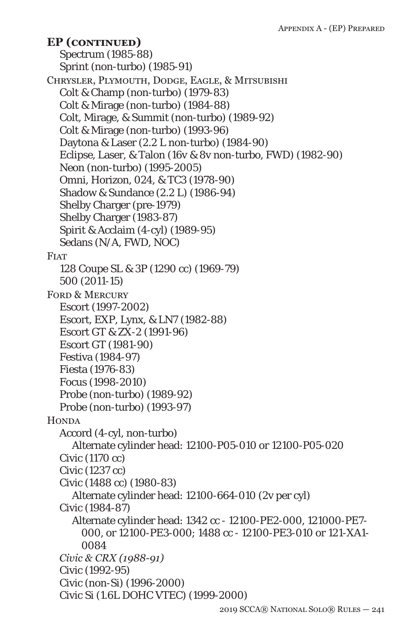Spectrum (1985-88) Sprint (non-turbo) (1985-91) Chrysler, Plymouth, Dodge, Eagle, & Mitsubishi Colt & Champ (non-turbo) (1979-83) Colt & Mirage (non-turbo) (1984-88) Colt, Mirage, & Summit (non-turbo) (1989-92) Colt & Mirage (non-turbo) (1993-96) Daytona & Laser (2.2 L non-turbo) (1984-90) Eclipse, Laser, & Talon (16v & 8v non-turbo, FWD) (1982-90) Neon (non-turbo) (1995-2005) Omni, Horizon, 024, & TC3 (1978-90) Shadow & Sundance (2.2 L) (1986-94) Shelby Charger (pre-1979) Shelby Charger (1983-87) Spirit & Acclaim (4-cyl) (1989-95) Sedans (N/A, FWD, NOC) **FIAT** 128 Coupe SL & 3P (1290 cc) (1969-79) 500 (2011-15) FORD & MERCURY Escort (1997-2002) Escort, EXP, Lynx, & LN7 (1982-88) Escort GT & ZX-2 (1991-96) Escort GT (1981-90) Festiva (1984-97) Fiesta (1976-83) Focus (1998-2010) Probe (non-turbo) (1989-92) Probe (non-turbo) (1993-97) **HONDA** Accord (4-cyl, non-turbo) Alternate cylinder head: 12100-P05-010 or 12100-P05-020 Civic (1170 cc) Civic (1237 cc) Civic (1488 cc) (1980-83) Alternate cylinder head: 12100-664-010 (2v per cyl) Civic (1984-87) Alternate cylinder head: 1342 cc - 12100-PE2-000, 121000-PE7- 000, or 12100-PE3-000; 1488 cc - 12100-PE3-010 or 121-XA1- 0084 *Civic & CRX (1988-91)* Civic (1992-95) Civic (non-Si) (1996-2000) Civic Si (1.6L DOHC VTEC) (1999-2000) **EP (continued)**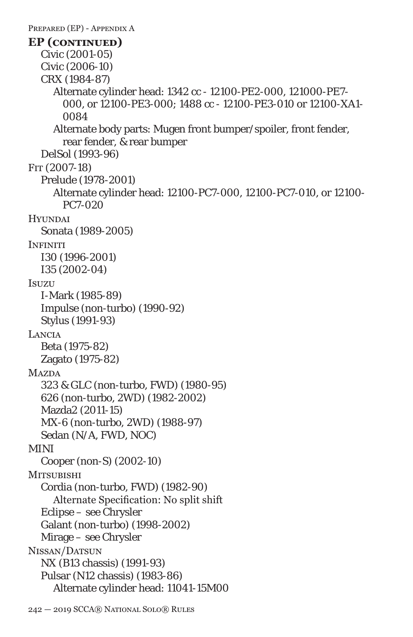PREPARED (EP) - APPENDIX A Civic (2001-05) Civic (2006-10) CRX (1984-87) Alternate cylinder head: 1342 cc - 12100-PE2-000, 121000-PE7- 000, or 12100-PE3-000; 1488 cc - 12100-PE3-010 or 12100-XA1- 0084 Alternate body parts: Mugen front bumper/spoiler, front fender, rear fender, & rear bumper DelSol (1993-96) Fit (*2007*-18) Prelude (1978-2001) Alternate cylinder head: 12100-PC7-000, 12100-PC7-010, or 12100- PC7-020 **Hyundai** Sonata (1989-2005) **INFINITI** I30 (1996-2001) I35 (2002-04) Isuzu I-Mark (1985-89) Impulse (non-turbo) (1990-92) Stylus (1991-93) **LANCIA** Beta (1975-82) Zagato (1975-82) **MAZDA** 323 & GLC (non-turbo, FWD) (1980-95) 626 (non-turbo, 2WD) (1982-2002) Mazda2 (2011-15) MX-6 (non-turbo, 2WD) (1988-97) Sedan (N/A, FWD, NOC) MINI Cooper (non-S) (2002-10) **MITSUBISHI** Cordia (non-turbo, FWD) (1982-90) Alternate Specification: No split shift Eclipse – see Chrysler Galant (non-turbo) (1998-2002) Mirage – see Chrysler Nissan/Datsun NX (B13 chassis) (1991-93) Pulsar (N12 chassis) (1983-86) Alternate cylinder head: 11041-15M00 **EP (continued)**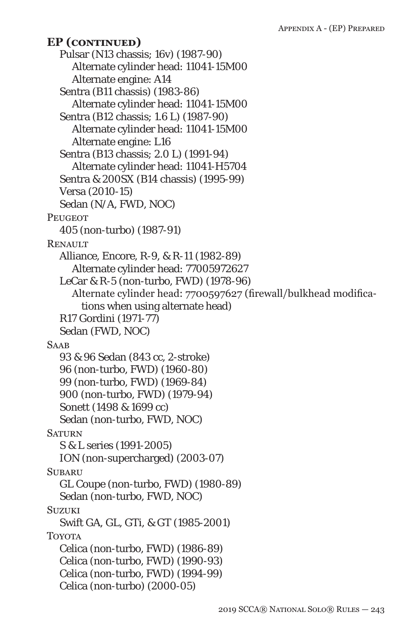Pulsar (N13 chassis; 16v) (1987-90) Alternate cylinder head: 11041-15M00 Alternate engine: A14 Sentra (B11 chassis) (1983-86) Alternate cylinder head: 11041-15M00 Sentra (B12 chassis; 1.6 L) (1987-90) Alternate cylinder head: 11041-15M00 Alternate engine: L16 Sentra (B13 chassis; 2.0 L) (1991-94) Alternate cylinder head: 11041-H5704 Sentra & 200SX (B14 chassis) (1995-99) Versa (2010-15) Sedan (N/A, FWD, NOC) **PEUGEOT** 405 (non-turbo) (1987-91) **RENAULT** Alliance, Encore, R-9, & R-11 (1982-89) Alternate cylinder head: 77005972627 LeCar & R-5 (non-turbo, FWD) (1978-96) Alternate cylinder head: 7700597627 (firewall/bulkhead modifications when using alternate head) R17 Gordini (1971-77) Sedan (FWD, NOC) **SAAB** 93 & 96 Sedan (843 cc, 2-stroke) 96 (non-turbo, FWD) (1960-80) 99 (non-turbo, FWD) (1969-84) 900 (non-turbo, FWD) (1979-94) Sonett (1498 & 1699 cc) Sedan (non-turbo, FWD, NOC) **SATURN** S & L series (1991-2005) ION (non-supercharged) (2003-07) **SUBARU** GL Coupe (non-turbo, FWD) (1980-89) Sedan (non-turbo, FWD, NOC) **SUZUKI** Swift GA, GL, GTi, & GT (1985-2001) TOYOTA Celica (non-turbo, FWD) (1986-89) Celica (non-turbo, FWD) (1990-93) Celica (non-turbo, FWD) (1994-99) Celica (non-turbo) (2000-05) **EP (continued)**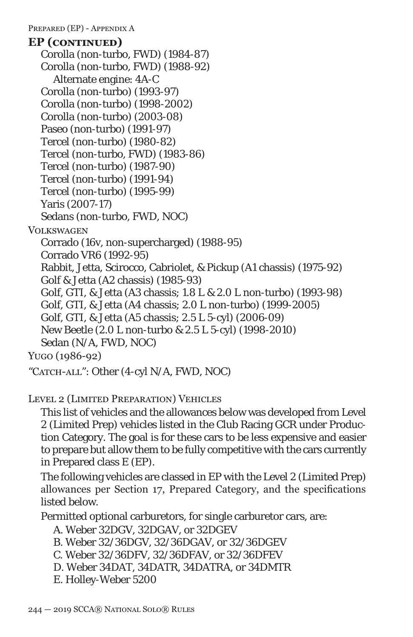PREPARED (EP) - APPENDIX A

Corolla (non-turbo, FWD) (1984-87) Corolla (non-turbo, FWD) (1988-92) Alternate engine: 4A-C Corolla (non-turbo) (1993-97) Corolla (non-turbo) (1998-2002) Corolla (non-turbo) (2003-08) Paseo (non-turbo) (1991-97) Tercel (non-turbo) (1980-82) Tercel (non-turbo, FWD) (1983-86) Tercel (non-turbo) (1987-90) Tercel (non-turbo) (1991-94) Tercel (non-turbo) (1995-99) Yaris (2007-17) Sedans (non-turbo, FWD, NOC) **VOLKSWAGEN** Corrado (16v, non-supercharged) (1988-95) Corrado VR6 (1992-95) Rabbit, Jetta, Scirocco, Cabriolet, & Pickup (A1 chassis) (1975-92) Golf & Jetta (A2 chassis) (1985-93) Golf, GTI, & Jetta (A3 chassis; 1.8 L & 2.0 L non-turbo) (1993-98) Golf, GTI, & Jetta (A4 chassis; 2.0 L non-turbo) (1999-2005) Golf, GTI, & Jetta (A5 chassis; 2.5 L 5-cyl) (2006-09) New Beetle (2.0 L non-turbo & 2.5 L 5-cyl) (1998-2010) Sedan (N/A, FWD, NOC) Yugo (1986-92) **EP (continued)**

"CATCH-ALL": Other (4-cyl N/A, FWD, NOC)

Level 2 (Limited Preparation) Vehicles

This list of vehicles and the allowances below was developed from Level 2 (Limited Prep) vehicles listed in the Club Racing GCR under Production Category. The goal is for these cars to be less expensive and easier to prepare but allow them to be fully competitive with the cars currently in Prepared class E (EP).

The following vehicles are classed in EP with the Level 2 (Limited Prep) allowances per Section 17, Prepared Category, and the specifications listed below.

Permitted optional carburetors, for single carburetor cars, are:

```
A. Weber 32DGV, 32DGAV, or 32DGEV
```
- B. Weber 32/36DGV, 32/36DGAV, or 32/36DGEV
- C. Weber 32/36DFV, 32/36DFAV, or 32/36DFEV
- D. Weber 34DAT, 34DATR, 34DATRA, or 34DMTR
- E. Holley-Weber 5200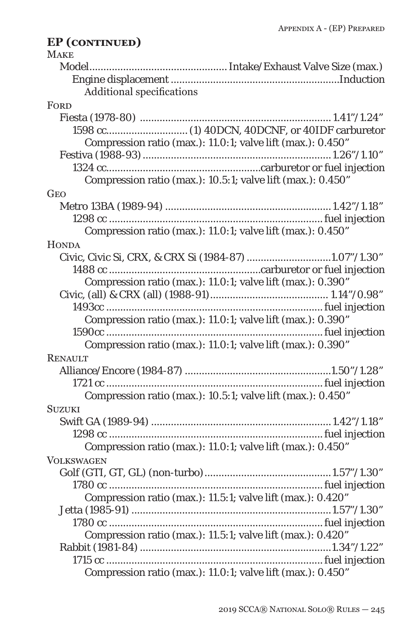#### **MAKE** Model.................................................Intake/Exhaust Valve Size (max.) Engine displacement ............................................................Induction Additional specifications **FORD** Fiesta (1978-80) .................................................................... 1.41"/1.24" 1598 cc.............................(1) 40DCN, 40DCNF, or 40IDF carburetor Compression ratio (max.): 11.0:1; valve lift (max.): 0.450" Festiva (1988-93)...................................................................1.26"/1.10" 1324 cc.......................................................carburetor or fuel injection Compression ratio (max.): 10.5:1; valve lift (max.): 0.450" **GEO** Metro 13BA (1989-94) ........................................................... 1.42"/1.18" 1298 cc ............................................................................fuel injection Compression ratio (max.): 11.0:1; valve lift (max.): 0.450" **HONDA** Civic, Civic Si, CRX, & CRX Si (1984-87)..............................1.07"/1.30" 1488 cc ......................................................carburetor or fuel injection Compression ratio (max.): 11.0:1; valve lift (max.): 0.390" Civic, (all) & CRX (all) (1988-91).......................................... 1.14"/0.98" 1493cc .............................................................................fuel injection Compression ratio (max.): 11.0:1; valve lift (max.): 0.390" 1590cc .............................................................................fuel injection Compression ratio (max.): 11.0:1; valve lift (max.): 0.390" **RENAULT** Alliance/Encore (1984-87) ....................................................1.50"/1.28" 1721 cc .............................................................................fuel injection Compression ratio (max.): 10.5:1; valve lift (max.): 0.450" Suzuki Swift GA (1989-94) ................................................................ 1.42"/1.18" 1298 cc ............................................................................fuel injection Compression ratio (max.): 11.0:1; valve lift (max.): 0.450" **VOLKSWAGEN** Golf (GTI, GT, GL) (non-turbo).............................................1.57"/1.30" 1780 cc ............................................................................fuel injection Compression ratio (max.): 11.5:1; valve lift (max.): 0.420" Jetta (1985-91) .......................................................................1.57"/1.30" 1780 cc ............................................................................fuel injection Compression ratio (max.): 11.5:1; valve lift (max.): 0.420" Rabbit (1981-84)....................................................................1.34"/1.22" 1715 cc .............................................................................fuel injection Compression ratio (max.): 11.0:1; valve lift (max.): 0.450" **EP (continued)**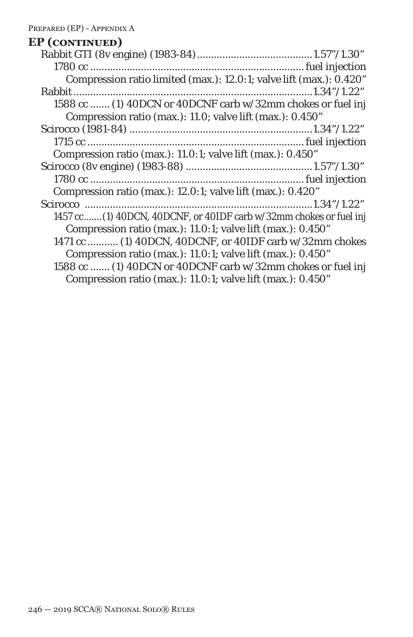| <b>EP</b> (CONTINUED)                                               |
|---------------------------------------------------------------------|
|                                                                     |
|                                                                     |
| Compression ratio limited (max.): 12.0:1; valve lift (max.): 0.420" |
|                                                                     |
| 1588 cc  (1) 40DCN or 40DCNF carb w/32mm chokes or fuel inj         |
| Compression ratio (max.): 11.0; valve lift (max.): 0.450"           |
|                                                                     |
|                                                                     |
| Compression ratio (max.): 11.0:1; valve lift (max.): 0.450"         |
|                                                                     |
|                                                                     |
| Compression ratio (max.): 12.0:1; valve lift (max.): 0.420"         |
|                                                                     |
| 1457 cc (1) 40DCN, 40DCNF, or 40IDF carb w/32mm chokes or fuel inj  |
| Compression ratio (max.): 11.0:1; valve lift (max.): 0.450"         |
| 1471 cc  (1) 40DCN, 40DCNF, or 40IDF carb w/32mm chokes             |
| Compression ratio (max.): 11.0:1; valve lift (max.): 0.450"         |
| 1588 cc  (1) 40DCN or 40DCNF carb w/32mm chokes or fuel inj         |
| Compression ratio (max.): 11.0:1; valve lift (max.): 0.450"         |
|                                                                     |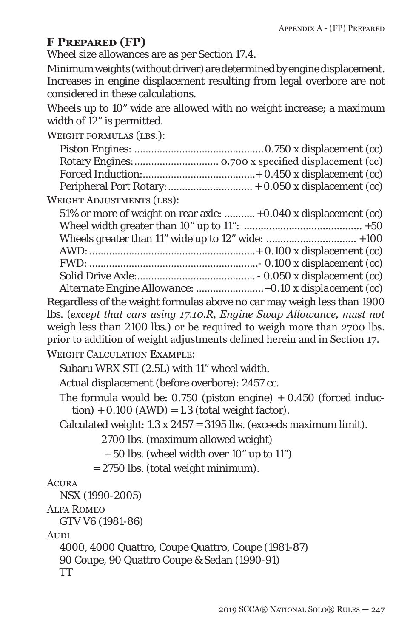### **F Prepared (FP)**

Wheel size allowances are as per Section 17.4.

Minimum weights (without driver) are determined by engine displacement. Increases in engine displacement resulting from legal overbore are not considered in these calculations.

Wheels up to 10" wide are allowed with no weight increase; a maximum width of 12" is permitted.

WEIGHT FORMULAS (LBS.):

| <b>WEIGHT ADJUSTMENTS (LBS):</b>                                                                                                                                                                                             |
|------------------------------------------------------------------------------------------------------------------------------------------------------------------------------------------------------------------------------|
| 51% or more of weight on rear axle:  +0.040 x displacement (cc)                                                                                                                                                              |
|                                                                                                                                                                                                                              |
| Wheels greater than 11" wide up to 12" wide:  +100                                                                                                                                                                           |
|                                                                                                                                                                                                                              |
|                                                                                                                                                                                                                              |
| Alternate Engine Allowance:  +0.10 x displacement (cc)                                                                                                                                                                       |
| Regardless of the weight formulas above no car may weigh less than 1900                                                                                                                                                      |
| lbs. (except that cars using 17.10.R, Engine Swap Allowance, must not<br>weigh less than 2100 lbs.) or be required to weigh more than 2700 lbs.<br>prior to addition of weight adjustments defined herein and in Section 17. |
| <b>WEIGHT CALCULATION EXAMPLE:</b>                                                                                                                                                                                           |
| Subaru WRX STI (2.5L) with 11" wheel width.                                                                                                                                                                                  |

Actual displacement (before overbore): 2457 cc.

The formula would be:  $0.750$  (piston engine)  $+ 0.450$  (forced induc $tion) + 0.100 (AWD) = 1.3 (total weight factor).$ 

Calculated weight:  $1.3 \times 2457 = 3195$  lbs. (exceeds maximum limit).

2700 lbs. (maximum allowed weight)

+ 50 lbs. (wheel width over 10" up to 11")

= 2750 lbs. (total weight minimum).

#### **ACURA**

NSX (1990-2005)

#### Alfa Romeo

GTV V6 (1981-86)

**AUDI** 

4000, 4000 Quattro, Coupe Quattro, Coupe (1981-87) 90 Coupe, 90 Quattro Coupe & Sedan (1990-91) TT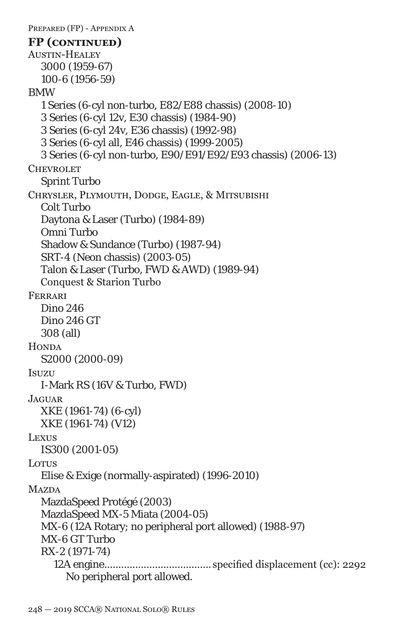```
PREPARED (FP) - APPENDIX A
Austin-Healey
  3000 (1959-67)
  100-6 (1956-59)
BMW
  1 Series (6-cyl non-turbo, E82/E88 chassis) (2008-10)
  3 Series (6-cyl 12v, E30 chassis) (1984-90)
  3 Series (6-cyl 24v, E36 chassis) (1992-98)
  3 Series (6-cyl all, E46 chassis) (1999-2005)
  3 Series (6-cyl non-turbo, E90/E91/E92/E93 chassis) (2006-13)
CHEVROLET
  Sprint Turbo
Chrysler, Plymouth, Dodge, Eagle, & Mitsubishi
  Colt Turbo
  Daytona & Laser (Turbo) (1984-89)
  Omni Turbo
  Shadow & Sundance (Turbo) (1987-94)
  SRT-4 (Neon chassis) (2003-05)
  Talon & Laser (Turbo, FWD & AWD) (1989-94)
  Conquest & Starion Turbo
Ferrari
  Dino 246
  Dino 246 GT
  308 (all)
HONDA
  S2000 (2000-09)
Isuzu
  I-Mark RS (16V & Turbo, FWD)
Jaguar
  XKE (1961-74) (6-cyl)
  XKE (1961-74) (V12)
LEXUS
  IS300 (2001-05)
Lorus
  Elise & Exige (normally-aspirated) (1996-2010)
MAZDA
  MazdaSpeed Protégé (2003)
  MazdaSpeed MX-5 Miata (2004-05)
  MX-6 (12A Rotary; no peripheral port allowed) (1988-97)
  MX-6 GT Turbo
  RX-2 (1971-74)
     12A engine...................................... specified displacement (cc): 2292
       No peripheral port allowed.
FP (continued)
```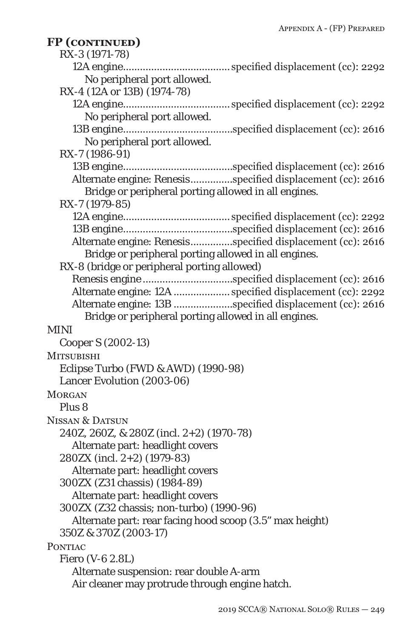| FP (CONTINUED)                                             |
|------------------------------------------------------------|
| RX-3 (1971-78)                                             |
|                                                            |
| No peripheral port allowed.                                |
| RX-4 (12A or 13B) (1974-78)                                |
|                                                            |
| No peripheral port allowed.                                |
| No peripheral port allowed.                                |
| RX-7 (1986-91)                                             |
|                                                            |
| Alternate engine: Renesisspecified displacement (cc): 2616 |
| Bridge or peripheral porting allowed in all engines.       |
| RX-7 (1979-85)                                             |
|                                                            |
|                                                            |
| Alternate engine: Renesisspecified displacement (cc): 2616 |
| Bridge or peripheral porting allowed in all engines.       |
| RX-8 (bridge or peripheral porting allowed)                |
| Renesis engine specified displacement (cc): 2616           |
| Alternate engine: 12A  specified displacement (cc): 2292   |
| Alternate engine: 13B specified displacement (cc): 2616    |
| Bridge or peripheral porting allowed in all engines.       |
| MINI                                                       |
| Cooper S (2002-13)                                         |
| <b>MITSUBISHI</b>                                          |
| Eclipse Turbo (FWD & AWD) (1990-98)                        |
| Lancer Evolution (2003-06)                                 |
| <b>MORGAN</b>                                              |
| Plus 8                                                     |
| <b>NISSAN &amp; DATSUN</b>                                 |
| 240Z, 260Z, & 280Z (incl. 2+2) (1970-78)                   |
| Alternate part: headlight covers                           |
| 280ZX (incl. 2+2) (1979-83)                                |
| Alternate part: headlight covers                           |
| 300ZX (Z31 chassis) (1984-89)                              |
| Alternate part: headlight covers                           |
| 300ZX (Z32 chassis; non-turbo) (1990-96)                   |
| Alternate part: rear facing hood scoop (3.5" max height)   |
| 350Z & 370Z (2003-17)                                      |
| PONTIAC                                                    |
| Fiero (V-6 2.8L)                                           |
| Alternate suspension: rear double A-arm                    |
| Air cleaner may protrude through engine hatch.             |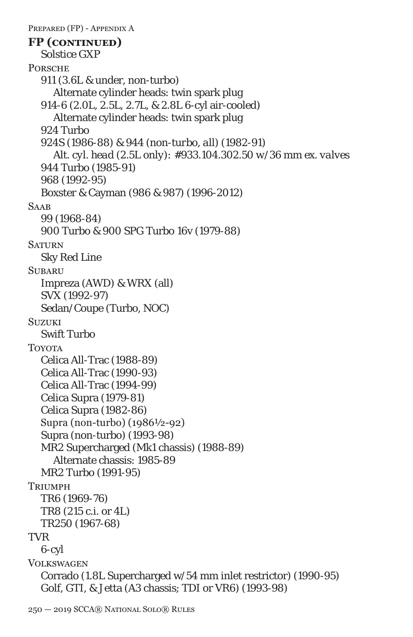```
PREPARED (FP) - APPENDIX A
  Solstice GXP
PORSCHE
  911 (3.6L & under, non-turbo)
     Alternate cylinder heads: twin spark plug
  914-6 (2.0L, 2.5L, 2.7L, & 2.8L 6-cyl air-cooled)
     Alternate cylinder heads: twin spark plug
  924 Turbo
  924S (1986-88) & 944 (non-turbo, all) (1982-91)
     Alt. cyl. head (2.5L only): #933.104.302.50 w/36 mm ex. valves
  944 Turbo (1985-91)
  968 (1992-95)
  Boxster & Cayman (986 & 987) (1996-2012)
SAAB
  99 (1968-84)
  900 Turbo & 900 SPG Turbo 16v (1979-88)
SATURN
  Sky Red Line
SUBARU
  Impreza (AWD) & WRX (all)
  SVX (1992-97)
  Sedan/Coupe (Turbo, NOC)
SUZUKI
  Swift Turbo
TOYOTA
  Celica All-Trac (1988-89)
  Celica All-Trac (1990-93)
  Celica All-Trac (1994-99)
  Celica Supra (1979-81)
  Celica Supra (1982-86)
  Supra (non-turbo) (1986½-92)
  Supra (non-turbo) (1993-98)
  MR2 Supercharged (Mk1 chassis) (1988-89)
     Alternate chassis: 1985-89
  MR2 Turbo (1991-95)
Triimph
  TR6 (1969-76)
  TR8 (215 c.i. or 4L)
  TR250 (1967-68)
TVR
  6-cyl
VOLKSWAGEN
  Corrado (1.8L Supercharged w/54 mm inlet restrictor) (1990-95)
  Golf, GTI, & Jetta (A3 chassis; TDI or VR6) (1993-98)
FP (continued)
```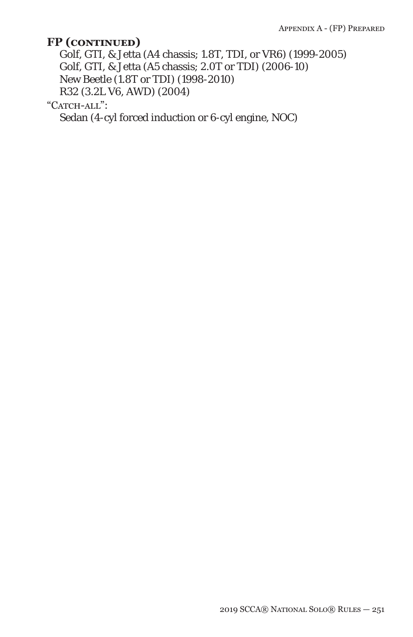Golf, GTI, & Jetta (A4 chassis; 1.8T, TDI, or VR6) (1999-2005) Golf, GTI, & Jetta (A5 chassis; 2.0T or TDI) (2006-10) New Beetle (1.8T or TDI) (1998-2010) R32 (3.2L V6, AWD) (2004)

"CATCH-ALL":

Sedan (4-cyl forced induction or 6-cyl engine, NOC)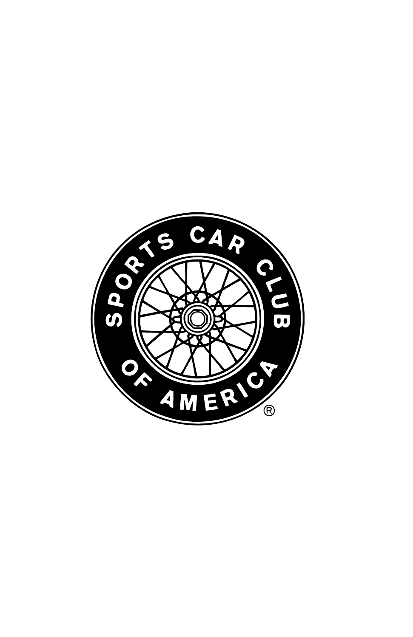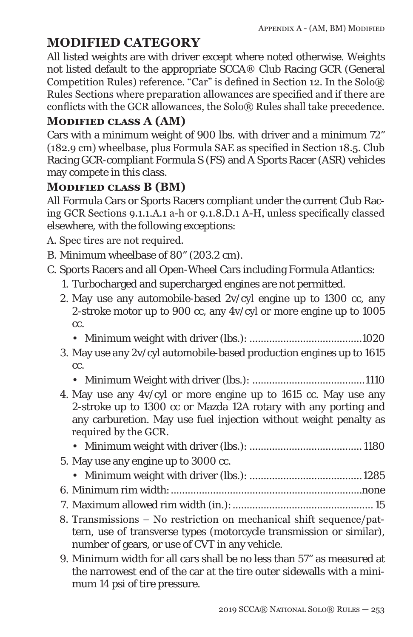# **MODIFIED CATEGORY**

All listed weights are with driver except where noted otherwise. Weights not listed default to the appropriate SCCA® Club Racing GCR (General Competition Rules) reference. "Car" is defined in Section 12. In the Solo® Rules Sections where preparation allowances are specified and if there are conflicts with the GCR allowances, the Solo® Rules shall take precedence.

### **Modified class A (AM)**

Cars with a minimum weight of 900 lbs. with driver and a minimum 72" (182.9 cm) wheelbase, plus Formula SAE as specified in Section 18.5. Club Racing GCR-compliant Formula S (FS) and A Sports Racer (ASR) vehicles may compete in this class.

### **Modified class B (BM)**

All Formula Cars or Sports Racers compliant under the current Club Racing GCR Sections 9.1.1.A.1 a-h or 9.1.8.D.1 A-H, unless specifically classed elsewhere, with the following exceptions:

A. Spec tires are not required.

- B. Minimum wheelbase of 80" (203.2 cm).
- C. Sports Racers and all Open-Wheel Cars including Formula Atlantics:
	- 1. Turbocharged and supercharged engines are not permitted.
	- 2. May use any automobile-based 2v/cyl engine up to 1300 cc, any 2-stroke motor up to 900 cc, any 4v/cyl or more engine up to 1005 cc.
		- Minimum weight with driver (lbs.): ........................................1020
	- 3. May use any 2v/cyl automobile-based production engines up to 1615 cc.
		- Minimum Weight with driver (lbs.): ........................................1110
	- 4. May use any 4v/cyl or more engine up to 1615 cc. May use any 2-stroke up to 1300 cc or Mazda 12A rotary with any porting and any carburetion. May use fuel injection without weight penalty as required by the GCR.
		- Minimum weight with driver (lbs.): ........................................ 1180
	- 5. May use any engine up to 3000 cc.
		- Minimum weight with driver (lbs.): ........................................1285
	- 6. Minimum rim width:....................................................................none
	- 7. Maximum allowed rim width (in.):.................................................. 15
	- 8. Transmissions No restriction on mechanical shift sequence/pattern, use of transverse types (motorcycle transmission or similar), number of gears, or use of CVT in any vehicle.
	- 9. Minimum width for all cars shall be no less than 57" as measured at the narrowest end of the car at the tire outer sidewalls with a minimum 14 psi of tire pressure.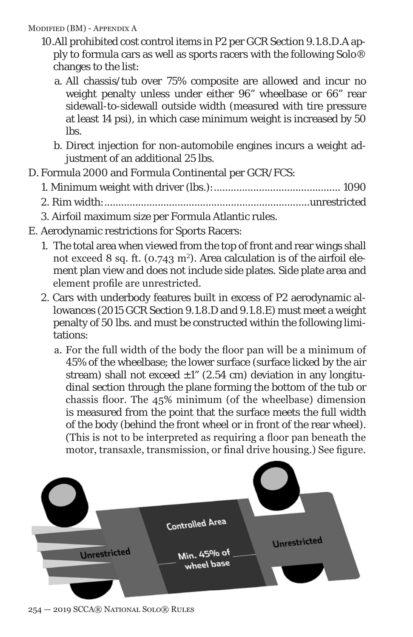Modified (BM) - Appendix A

- 10.All prohibited cost control items in P2 per GCR Section 9.1.8.D.A apply to formula cars as well as sports racers with the following Solo® changes to the list:
	- a. All chassis/tub over 75% composite are allowed and incur no weight penalty unless under either 96" wheelbase or 66" rear sidewall-to-sidewall outside width (measured with tire pressure at least 14 psi), in which case minimum weight is increased by 50 lbs.
	- b. Direct injection for non-automobile engines incurs a weight adjustment of an additional 25 lbs.
- D. Formula 2000 and Formula Continental per GCR/FCS:
	- 1. Minimum weight with driver (lbs.):............................................. 1090
	- 2. Rim width:.........................................................................unrestricted
	- 3. Airfoil maximum size per Formula Atlantic rules.
- E. Aerodynamic restrictions for Sports Racers:
	- 1. The total area when viewed from the top of front and rear wings shall not exceed 8 sq. ft. (0.743 m²). Area calculation is of the airfoil element plan view and does not include side plates. Side plate area and element profile are unrestricted.
	- 2. Cars with underbody features built in excess of P2 aerodynamic allowances (2015 GCR Section 9.1.8.D and 9.1.8.E) must meet a weight penalty of 50 lbs. and must be constructed within the following limitations:
		- a. For the full width of the body the floor pan will be a minimum of 45% of the wheelbase; the lower surface (surface licked by the air stream) shall not exceed  $\pm 1$ " (2.54 cm) deviation in any longitudinal section through the plane forming the bottom of the tub or chassis floor. The 45% minimum (of the wheelbase) dimension is measured from the point that the surface meets the full width of the body (behind the front wheel or in front of the rear wheel). (This is not to be interpreted as requiring a floor pan beneath the motor, transaxle, transmission, or final drive housing.) See figure.



254 — 2019 SCCA® National Solo® Rules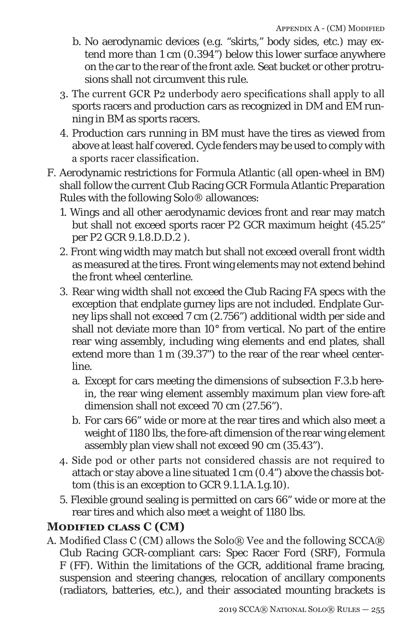- b. No aerodynamic devices (e.g. "skirts," body sides, etc.) may extend more than 1 cm (0.394") below this lower surface anywhere on the car to the rear of the front axle. Seat bucket or other protrusions shall not circumvent this rule.
- 3. The current GCR P2 underbody aero specifications shall apply to all sports racers and production cars as recognized in DM and EM running in BM as sports racers.
- 4. Production cars running in BM must have the tires as viewed from above at least half covered. Cycle fenders may be used to comply with a sports racer classification.
- F. Aerodynamic restrictions for Formula Atlantic (all open-wheel in BM) shall follow the current Club Racing GCR Formula Atlantic Preparation Rules with the following Solo® allowances:
	- 1. Wings and all other aerodynamic devices front and rear may match but shall not exceed sports racer P2 GCR maximum height (45.25" per P2 GCR 9.1.8.D.D.2 ).
	- 2. Front wing width may match but shall not exceed overall front width as measured at the tires. Front wing elements may not extend behind the front wheel centerline.
	- 3. Rear wing width shall not exceed the Club Racing FA specs with the exception that endplate gurney lips are not included. Endplate Gurney lips shall not exceed 7 cm (2.756") additional width per side and shall not deviate more than 10° from vertical. No part of the entire rear wing assembly, including wing elements and end plates, shall extend more than 1 m (39.37") to the rear of the rear wheel centerline.
		- a. Except for cars meeting the dimensions of subsection F.3.b herein, the rear wing element assembly maximum plan view fore-aft dimension shall not exceed 70 cm (27.56").
		- b. For cars 66" wide or more at the rear tires and which also meet a weight of 1180 lbs, the fore-aft dimension of the rear wing element assembly plan view shall not exceed 90 cm (35.43").
	- 4. Side pod or other parts not considered chassis are not required to attach or stay above a line situated 1 cm (0.4") above the chassis bottom (this is an exception to GCR 9.1.1.A.1.g.10).
	- 5. Flexible ground sealing is permitted on cars 66" wide or more at the rear tires and which also meet a weight of 1180 lbs.

## **Modified class C (CM)**

A. Modified Class C (CM) allows the Solo® Vee and the following SCCA® Club Racing GCR-compliant cars: Spec Racer Ford (SRF), Formula F (FF). Within the limitations of the GCR, additional frame bracing, suspension and steering changes, relocation of ancillary components (radiators, batteries, etc.), and their associated mounting brackets is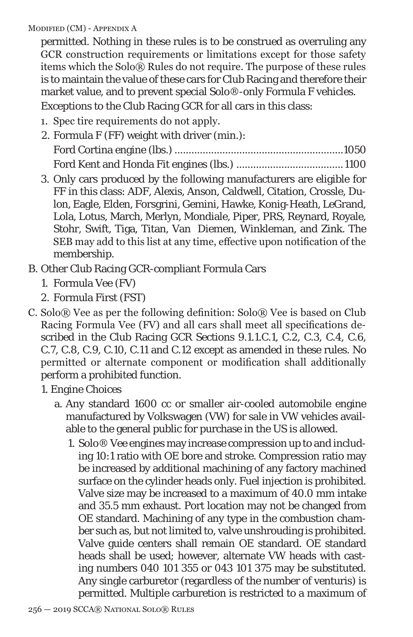Modified (CM) - Appendix A

permitted. Nothing in these rules is to be construed as overruling any GCR construction requirements or limitations except for those safety items which the Solo® Rules do not require. The purpose of these rules is to maintain the value of these cars for Club Racing and therefore their market value, and to prevent special Solo®-only Formula F vehicles.

Exceptions to the Club Racing GCR for all cars in this class:

- 1. Spec tire requirements do not apply.
- 2. Formula F (FF) weight with driver (min.): Ford Cortina engine (lbs.) ............................................................1050 Ford Kent and Honda Fit engines (lbs.) ...................................... 1100
- 3. Only cars produced by the following manufacturers are eligible for FF in this class: ADF, Alexis, Anson, Caldwell, Citation, Crossle, Dulon, Eagle, Elden, Forsgrini, Gemini, Hawke, Konig-Heath, LeGrand, Lola, Lotus, March, Merlyn, Mondiale, Piper, PRS, Reynard, Royale, Stohr, Swift, Tiga, Titan, Van Diemen, Winkleman, and Zink. The SEB may add to this list at any time, effective upon notification of the membership.
- B. Other Club Racing GCR-compliant Formula Cars
	- 1. Formula Vee (FV)
	- 2. Formula First (FST)
- C. Solo® Vee as per the following definition: Solo® Vee is based on Club Racing Formula Vee (FV) and all cars shall meet all specifications described in the Club Racing GCR Sections 9.1.1.C.1, C.2, C.3, C.4, C.6, C.7, C.8, C.9, C.10, C.11 and C.12 except as amended in these rules. No permitted or alternate component or modification shall additionally perform a prohibited function.

1. Engine Choices

- a. Any standard 1600 cc or smaller air-cooled automobile engine manufactured by Volkswagen (VW) for sale in VW vehicles available to the general public for purchase in the US is allowed.
	- 1. Solo® Vee engines may increase compression up to and including 10:1 ratio with OE bore and stroke. Compression ratio may be increased by additional machining of any factory machined surface on the cylinder heads only. Fuel injection is prohibited. Valve size may be increased to a maximum of 40.0 mm intake and 35.5 mm exhaust. Port location may not be changed from OE standard. Machining of any type in the combustion chamber such as, but not limited to, valve unshrouding is prohibited. Valve guide centers shall remain OE standard. OE standard heads shall be used; however, alternate VW heads with casting numbers 040 101 355 or 043 101 375 may be substituted. Any single carburetor (regardless of the number of venturis) is permitted. Multiple carburetion is restricted to a maximum of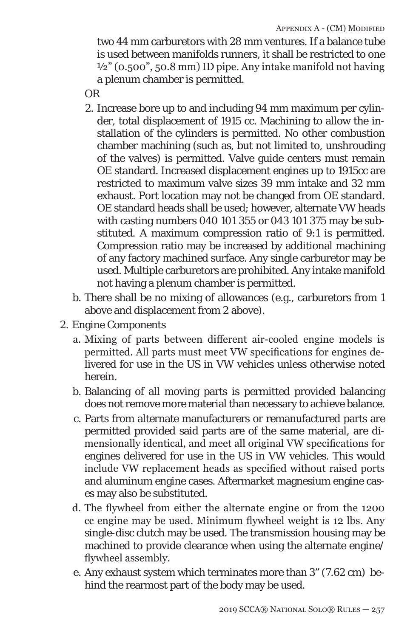two 44 mm carburetors with 28 mm ventures. If a balance tube is used between manifolds runners, it shall be restricted to one  $\frac{1}{2}$ " (0.500", 50.8 mm) ID pipe. Any intake manifold not having a plenum chamber is permitted.

OR

- 2. Increase bore up to and including 94 mm maximum per cylinder, total displacement of 1915 cc. Machining to allow the installation of the cylinders is permitted. No other combustion chamber machining (such as, but not limited to, unshrouding of the valves) is permitted. Valve guide centers must remain OE standard. Increased displacement engines up to 1915cc are restricted to maximum valve sizes 39 mm intake and 32 mm exhaust. Port location may not be changed from OE standard. OE standard heads shall be used; however, alternate VW heads with casting numbers 040 101 355 or 043 101 375 may be substituted. A maximum compression ratio of 9:1 is permitted. Compression ratio may be increased by additional machining of any factory machined surface. Any single carburetor may be used. Multiple carburetors are prohibited. Any intake manifold not having a plenum chamber is permitted.
- b. There shall be no mixing of allowances (e.g., carburetors from 1 above and displacement from 2 above).
- 2. Engine Components
	- a. Mixing of parts between different air-cooled engine models is permitted. All parts must meet VW specifications for engines delivered for use in the US in VW vehicles unless otherwise noted herein.
	- b. Balancing of all moving parts is permitted provided balancing does not remove more material than necessary to achieve balance.
	- c. Parts from alternate manufacturers or remanufactured parts are permitted provided said parts are of the same material, are dimensionally identical, and meet all original VW specifications for engines delivered for use in the US in VW vehicles. This would include VW replacement heads as specified without raised ports and aluminum engine cases. Aftermarket magnesium engine cases may also be substituted.
	- d. The flywheel from either the alternate engine or from the 1200 cc engine may be used. Minimum flywheel weight is 12 lbs. Any single-disc clutch may be used. The transmission housing may be machined to provide clearance when using the alternate engine/ flywheel assembly.
	- e. Any exhaust system which terminates more than 3" (7.62 cm) behind the rearmost part of the body may be used.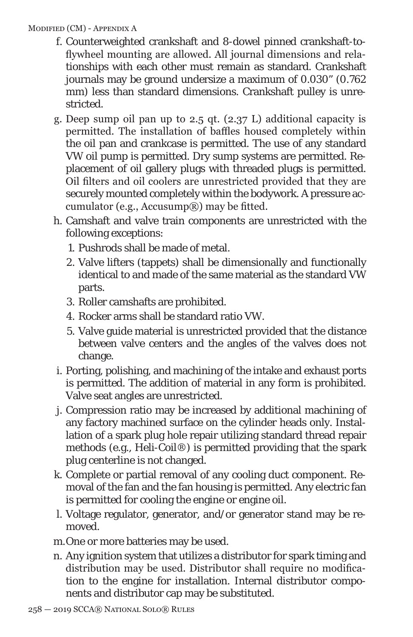#### Modified (CM) - Appendix A

- f. Counterweighted crankshaft and 8-dowel pinned crankshaft-toflywheel mounting are allowed. All journal dimensions and relationships with each other must remain as standard. Crankshaft journals may be ground undersize a maximum of 0.030" (0.762 mm) less than standard dimensions. Crankshaft pulley is unrestricted.
- g. Deep sump oil pan up to 2.5 qt. (2.37 L) additional capacity is permitted. The installation of baffles housed completely within the oil pan and crankcase is permitted. The use of any standard VW oil pump is permitted. Dry sump systems are permitted. Replacement of oil gallery plugs with threaded plugs is permitted. Oil filters and oil coolers are unrestricted provided that they are securely mounted completely within the bodywork. A pressure accumulator (e.g., Accusump $(\mathbb{R})$ ) may be fitted.
- h. Camshaft and valve train components are unrestricted with the following exceptions:
	- 1. Pushrods shall be made of metal.
	- 2. Valve lifters (tappets) shall be dimensionally and functionally identical to and made of the same material as the standard VW parts.
	- 3. Roller camshafts are prohibited.
	- 4. Rocker arms shall be standard ratio VW.
	- 5. Valve guide material is unrestricted provided that the distance between valve centers and the angles of the valves does not change.
- i. Porting, polishing, and machining of the intake and exhaust ports is permitted. The addition of material in any form is prohibited. Valve seat angles are unrestricted.
- j. Compression ratio may be increased by additional machining of any factory machined surface on the cylinder heads only. Installation of a spark plug hole repair utilizing standard thread repair methods (e.g., Heli-Coil®) is permitted providing that the spark plug centerline is not changed.
- k. Complete or partial removal of any cooling duct component. Removal of the fan and the fan housing is permitted. Any electric fan is permitted for cooling the engine or engine oil.
- l. Voltage regulator, generator, and/or generator stand may be removed.
- m.One or more batteries may be used.
- n. Any ignition system that utilizes a distributor for spark timing and distribution may be used. Distributor shall require no modification to the engine for installation. Internal distributor components and distributor cap may be substituted.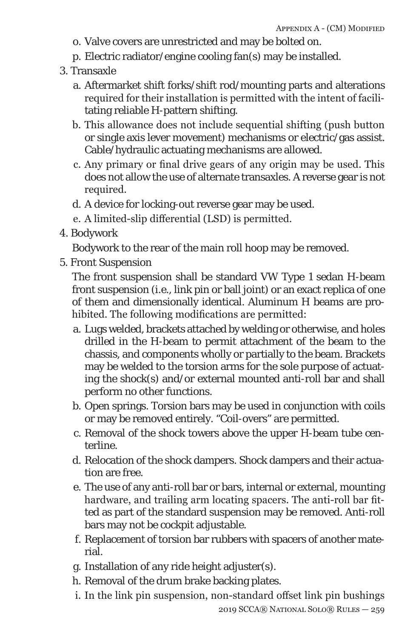- o. Valve covers are unrestricted and may be bolted on.
- p. Electric radiator/engine cooling fan(s) may be installed.
- 3. Transaxle
	- a. Aftermarket shift forks/shift rod/mounting parts and alterations required for their installation is permitted with the intent of facilitating reliable H-pattern shifting.
	- b. This allowance does not include sequential shifting (push button or single axis lever movement) mechanisms or electric/gas assist. Cable/hydraulic actuating mechanisms are allowed.
	- c. Any primary or final drive gears of any origin may be used. This does not allow the use of alternate transaxles. A reverse gear is not required.
	- d. A device for locking-out reverse gear may be used.
	- e. A limited-slip differential (LSD) is permitted.
- 4. Bodywork

Bodywork to the rear of the main roll hoop may be removed.

5. Front Suspension

The front suspension shall be standard VW Type 1 sedan H-beam front suspension (i.e., link pin or ball joint) or an exact replica of one of them and dimensionally identical. Aluminum H beams are prohibited. The following modifications are permitted:

- a. Lugs welded, brackets attached by welding or otherwise, and holes drilled in the H-beam to permit attachment of the beam to the chassis, and components wholly or partially to the beam. Brackets may be welded to the torsion arms for the sole purpose of actuating the shock(s) and/or external mounted anti-roll bar and shall perform no other functions.
- b. Open springs. Torsion bars may be used in conjunction with coils or may be removed entirely. "Coil-overs" are permitted.
- c. Removal of the shock towers above the upper H-beam tube centerline.
- d. Relocation of the shock dampers. Shock dampers and their actuation are free.
- e. The use of any anti-roll bar or bars, internal or external, mounting hardware, and trailing arm locating spacers. The anti-roll bar fitted as part of the standard suspension may be removed. Anti-roll bars may not be cockpit adjustable.
- f. Replacement of torsion bar rubbers with spacers of another material.
- g. Installation of any ride height adjuster(s).
- h. Removal of the drum brake backing plates.
- i. In the link pin suspension, non-standard offset link pin bushings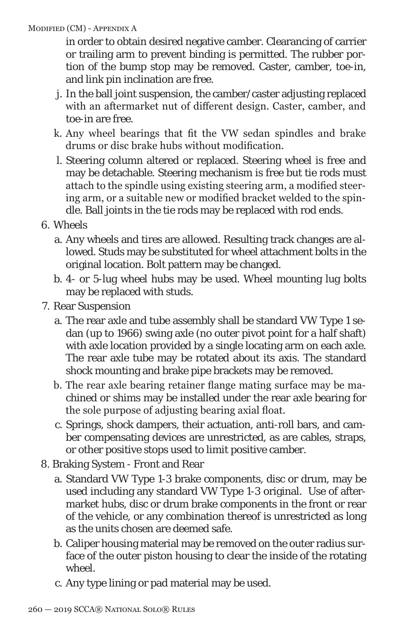#### Modified (CM) - Appendix A

in order to obtain desired negative camber. Clearancing of carrier or trailing arm to prevent binding is permitted. The rubber portion of the bump stop may be removed. Caster, camber, toe-in, and link pin inclination are free.

- j. In the ball joint suspension, the camber/caster adjusting replaced with an aftermarket nut of different design. Caster, camber, and toe-in are free.
- k. Any wheel bearings that fit the VW sedan spindles and brake drums or disc brake hubs without modification.
- l. Steering column altered or replaced. Steering wheel is free and may be detachable. Steering mechanism is free but tie rods must attach to the spindle using existing steering arm, a modified steering arm, or a suitable new or modified bracket welded to the spindle. Ball joints in the tie rods may be replaced with rod ends.
- 6. Wheels
	- a. Any wheels and tires are allowed. Resulting track changes are allowed. Studs may be substituted for wheel attachment bolts in the original location. Bolt pattern may be changed.
	- b. 4- or 5-lug wheel hubs may be used. Wheel mounting lug bolts may be replaced with studs.
- 7. Rear Suspension
	- a. The rear axle and tube assembly shall be standard VW Type 1 sedan (up to 1966) swing axle (no outer pivot point for a half shaft) with axle location provided by a single locating arm on each axle. The rear axle tube may be rotated about its axis. The standard shock mounting and brake pipe brackets may be removed.
	- b. The rear axle bearing retainer flange mating surface may be machined or shims may be installed under the rear axle bearing for the sole purpose of adjusting bearing axial float.
	- c. Springs, shock dampers, their actuation, anti-roll bars, and camber compensating devices are unrestricted, as are cables, straps, or other positive stops used to limit positive camber.
- 8. Braking System Front and Rear
	- a. Standard VW Type 1-3 brake components, disc or drum, may be used including any standard VW Type 1-3 original. Use of aftermarket hubs, disc or drum brake components in the front or rear of the vehicle, or any combination thereof is unrestricted as long as the units chosen are deemed safe.
	- b. Caliper housing material may be removed on the outer radius surface of the outer piston housing to clear the inside of the rotating wheel.
	- c. Any type lining or pad material may be used.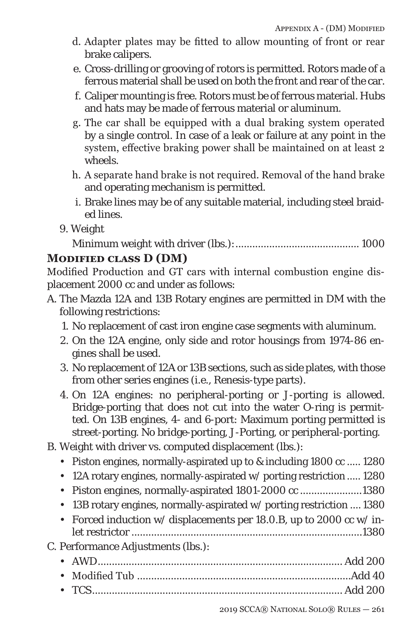- d. Adapter plates may be fitted to allow mounting of front or rear brake calipers.
- e. Cross-drilling or grooving of rotors is permitted. Rotors made of a ferrous material shall be used on both the front and rear of the car.
- f. Caliper mounting is free. Rotors must be of ferrous material. Hubs and hats may be made of ferrous material or aluminum.
- g. The car shall be equipped with a dual braking system operated by a single control. In case of a leak or failure at any point in the system, effective braking power shall be maintained on at least 2 wheels.
- h. A separate hand brake is not required. Removal of the hand brake and operating mechanism is permitted.
- i. Brake lines may be of any suitable material, including steel braided lines.
- 9. Weight

Minimum weight with driver (lbs.):............................................ 1000

### **Modified class D (DM)**

Modified Production and GT cars with internal combustion engine displacement 2000 cc and under as follows:

- A. The Mazda 12A and 13B Rotary engines are permitted in DM with the following restrictions:
	- 1. No replacement of cast iron engine case segments with aluminum.
	- 2. On the 12A engine, only side and rotor housings from 1974-86 engines shall be used.
	- 3. No replacement of 12A or 13B sections, such as side plates, with those from other series engines (i.e., Renesis-type parts).
	- 4. On 12A engines: no peripheral-porting or J-porting is allowed. Bridge-porting that does not cut into the water O-ring is permitted. On 13B engines, 4- and 6-port: Maximum porting permitted is street-porting. No bridge-porting, J-Porting, or peripheral-porting.
- B. Weight with driver vs. computed displacement (lbs.):
	- Piston engines, normally-aspirated up to & including 1800 cc ..... 1280
	- 12A rotary engines, normally-aspirated w/ porting restriction ..... 1280
	- Piston engines, normally-aspirated 1801-2000 cc ......................1380
	- 13B rotary engines, normally-aspirated w/ porting restriction .... 1380
	- Forced induction w/ displacements per 18.0.B, up to 2000 cc w/ inlet restrictor ..................................................................................1380

### C. Performance Adjustments (lbs.):

• AWD....................................................................................... Add 200 • Modified Tub ............................................................................Add 40 • TCS......................................................................................... Add 200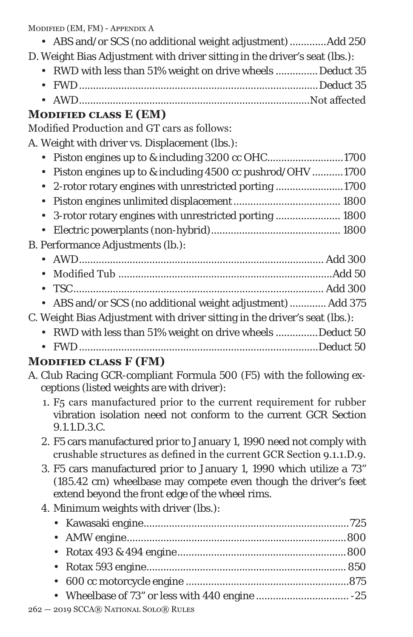Modified (EM, FM) - Appendix A

- ABS and/or SCS (no additional weight adjustment).............Add 250
- D. Weight Bias Adjustment with driver sitting in the driver's seat (lbs.):
	- RWD with less than 51% weight on drive wheels ............... Deduct 35 • FWD.....................................................................................Deduct 35
	- AWD..................................................................................Not affected

## **Modified class E (EM)**

Modified Production and GT cars as follows:

A. Weight with driver vs. Displacement (lbs.):

- Piston engines up to & including 3200 cc OHC...........................1700 • Piston engines up to & including 4500 cc pushrod/OHV ...........1700
- 2-rotor rotary engines with unrestricted porting ........................1700
- Piston engines unlimited displacement...................................... 1800
- 3-rotor rotary engines with unrestricted porting ....................... 1800
- Electric powerplants (non-hybrid).............................................. 1800

### B. Performance Adjustments (lb.):

- AWD....................................................................................... Add 300 • Modified Tub ............................................................................Add 50 • TSC......................................................................................... Add 300
- ABS and/or SCS (no additional weight adjustment)............. Add 375

### C. Weight Bias Adjustment with driver sitting in the driver's seat (lbs.):

- RWD with less than 51% weight on drive wheels ...............Deduct 50
- FWD.....................................................................................Deduct 50

# **Modified class F (FM)**

- A. Club Racing GCR-compliant Formula 500 (F5) with the following exceptions (listed weights are with driver):
	- 1. F5 cars manufactured prior to the current requirement for rubber vibration isolation need not conform to the current GCR Section 9.1.1.D.3.C.
	- 2. F5 cars manufactured prior to January 1, 1990 need not comply with crushable structures as defined in the current GCR Section 9.1.1.D.9.
	- 3. F5 cars manufactured prior to January 1, 1990 which utilize a 73" (185.42 cm) wheelbase may compete even though the driver's feet extend beyond the front edge of the wheel rims.

# 4. Minimum weights with driver (lbs.):

| $-$ 2010 SCCA <u>D</u> NATIONAL SOLOD RIHES |  |
|---------------------------------------------|--|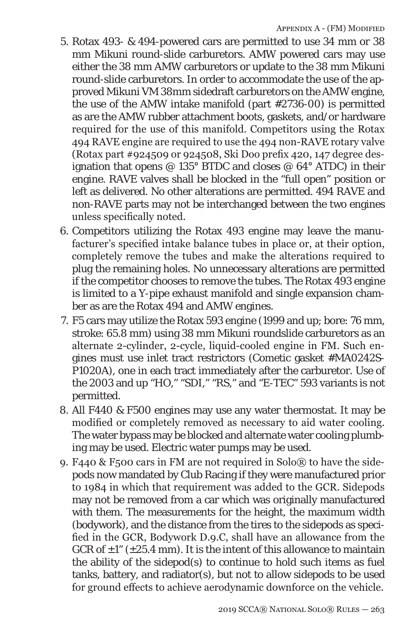- 5. Rotax 493- & 494-powered cars are permitted to use 34 mm or 38 mm Mikuni round-slide carburetors. AMW powered cars may use either the 38 mm AMW carburetors or update to the 38 mm Mikuni round-slide carburetors. In order to accommodate the use of the approved Mikuni VM 38mm sidedraft carburetors on the AMW engine, the use of the AMW intake manifold (part #2736-00) is permitted as are the AMW rubber attachment boots, gaskets, and/or hardware required for the use of this manifold. Competitors using the Rotax 494 RAVE engine are required to use the 494 non-RAVE rotary valve (Rotax part #924509 or 924508, Ski Doo prefix 420, 147 degree designation that opens  $@$  135° BTDC and closes  $@$  64° ATDC) in their engine. RAVE valves shall be blocked in the "full open" position or left as delivered. No other alterations are permitted. 494 RAVE and non-RAVE parts may not be interchanged between the two engines unless specifically noted.
- 6. Competitors utilizing the Rotax 493 engine may leave the manufacturer's specified intake balance tubes in place or, at their option, completely remove the tubes and make the alterations required to plug the remaining holes. No unnecessary alterations are permitted if the competitor chooses to remove the tubes. The Rotax 493 engine is limited to a Y-pipe exhaust manifold and single expansion chamber as are the Rotax 494 and AMW engines.
- 7. F5 cars may utilize the Rotax 593 engine (1999 and up; bore: 76 mm, stroke: 65.8 mm) using 38 mm Mikuni roundslide carburetors as an alternate 2-cylinder, 2-cycle, liquid-cooled engine in FM. Such engines must use inlet tract restrictors (Cometic gasket #MA0242S-P1020A), one in each tract immediately after the carburetor. Use of the 2003 and up "HO," "SDI," "RS," and "E-TEC" 593 variants is not permitted.
- 8. All F440 & F500 engines may use any water thermostat. It may be modified or completely removed as necessary to aid water cooling. The water bypass may be blocked and alternate water cooling plumbing may be used. Electric water pumps may be used.
- 9. F440 & F500 cars in FM are not required in Solo® to have the sidepods now mandated by Club Racing if they were manufactured prior to 1984 in which that requirement was added to the GCR. Sidepods may not be removed from a car which was originally manufactured with them. The measurements for the height, the maximum width (bodywork), and the distance from the tires to the sidepods as specified in the GCR, Bodywork D.9.C, shall have an allowance from the GCR of  $\pm 1$ " ( $\pm 25.4$  mm). It is the intent of this allowance to maintain the ability of the sidepod(s) to continue to hold such items as fuel tanks, battery, and radiator(s), but not to allow sidepods to be used for ground effects to achieve aerodynamic downforce on the vehicle.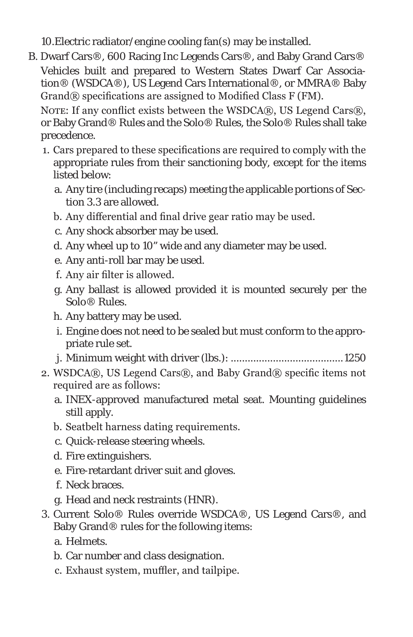10.Electric radiator/engine cooling fan(s) may be installed.

B. Dwarf Cars®, 600 Racing Inc Legends Cars®, and Baby Grand Cars® Vehicles built and prepared to Western States Dwarf Car Association® (WSDCA®), US Legend Cars International®, or MMRA® Baby Grand® specifications are assigned to Modified Class F (FM).

NOTE: If any conflict exists between the WSDCA®, US Legend Cars®, or Baby Grand® Rules and the Solo® Rules, the Solo® Rules shall take precedence.

- 1. Cars prepared to these specifications are required to comply with the appropriate rules from their sanctioning body, except for the items listed below:
	- a. Any tire (including recaps) meeting the applicable portions of Section 3.3 are allowed.
	- b. Any differential and final drive gear ratio may be used.
	- c. Any shock absorber may be used.
	- d. Any wheel up to 10" wide and any diameter may be used.
	- e. Any anti-roll bar may be used.
	- f. Any air filter is allowed.
	- g. Any ballast is allowed provided it is mounted securely per the Solo® Rules.
	- h. Any battery may be used.
	- i. Engine does not need to be sealed but must conform to the appropriate rule set.
	- j. Minimum weight with driver (lbs.): ........................................1250
- 2. WSDCA®, US Legend Cars®, and Baby Grand® specific items not required are as follows:
	- a. INEX-approved manufactured metal seat. Mounting guidelines still apply.
	- b. Seatbelt harness dating requirements.
	- c. Quick-release steering wheels.
	- d. Fire extinguishers.
	- e. Fire-retardant driver suit and gloves.
	- f. Neck braces.
	- g. Head and neck restraints (HNR).
- 3. Current Solo® Rules override WSDCA®, US Legend Cars®, and Baby Grand® rules for the following items:
	- a. Helmets.
	- b. Car number and class designation.
	- c. Exhaust system, muffler, and tailpipe.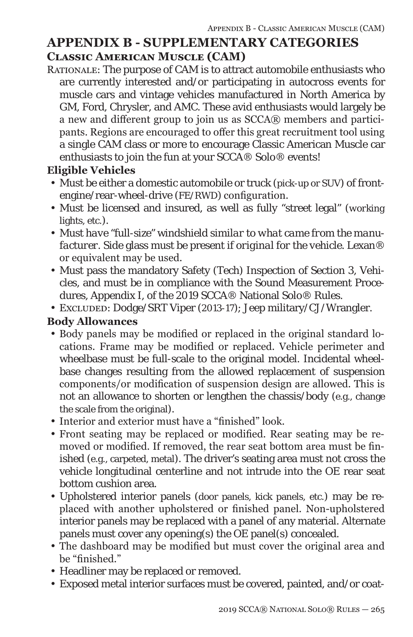# **APPENDIX B - SUPPLEMENTARY CATEGORIES Classic American Muscle (CAM)**

Rationale: The purpose of CAM is to attract automobile enthusiasts who are currently interested and/or participating in autocross events for muscle cars and vintage vehicles manufactured in North America by GM, Ford, Chrysler, and AMC. These avid enthusiasts would largely be a new and different group to join us as SCCA® members and participants. Regions are encouraged to offer this great recruitment tool using a single CAM class or more to encourage Classic American Muscle car enthusiasts to join the fun at your SCCA® Solo® events!

### **Eligible Vehicles**

- Must be either a domestic automobile or truck (pick-up or SUV) of frontengine/rear-wheel-drive (FE/RWD) configuration.
- Must be licensed and insured, as well as fully "street legal" (*working* lights, etc.).
- *• Must have "full-size"* windshield *similar to what came from the manufacturer*. Side glass must be present *if original for the vehicle*. Lexan® or equivalent may be used.
- Must pass the mandatory Safety (Tech) Inspection of Section 3, Vehicles, and must be in compliance with the Sound Measurement Procedures, Appendix I, of the 2019 SCCA® National Solo® Rules.
- Excluded: Dodge/SRT Viper (2013-17); Jeep military/CJ/Wrangler.

### **Body Allowances**

- Body panels may be modified or replaced in the original standard locations. Frame may be modified or replaced. Vehicle perimeter and wheelbase must be full-scale to the original model. Incidental wheelbase changes resulting from the allowed replacement of suspension components/or modification of suspension design are allowed. This is not an allowance to shorten or lengthen the chassis/body (e.g., change the scale from the original).
- Interior and exterior must have a "finished" look.
- Front seating may be replaced or modified. Rear seating may be removed or modified. If removed, the rear seat bottom area must be finished (e.g., carpeted, metal). The driver's seating area must not cross the vehicle longitudinal centerline and not intrude into the OE rear seat bottom cushion area.
- Upholstered interior panels (door panels, kick panels, etc.) may be replaced with another upholstered or finished panel. Non-upholstered interior panels may be replaced with a panel of any material. Alternate panels must cover any opening(s) the OE panel(s) concealed.
- The dashboard may be modified but must cover the original area and be "finished."
- Headliner may be replaced or removed.
- Exposed metal interior surfaces must be covered, painted, and/or coat-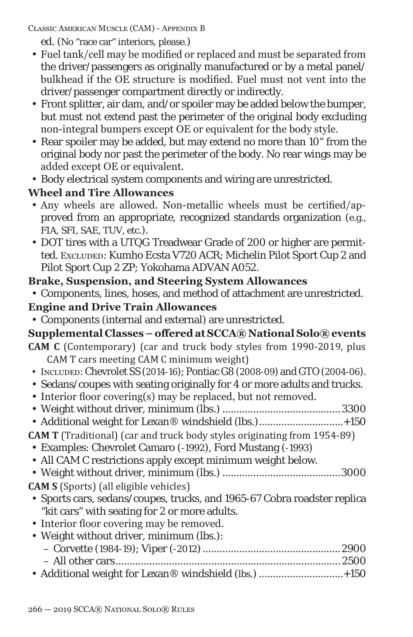Classic American Muscle (CAM) - Appendix B

ed. (No "race car" interiors, please.)

- Fuel tank/cell may be modified or replaced and must be separated from the driver/passengers as originally manufactured or by a metal panel/ bulkhead if the OE structure is modified. Fuel must not vent into the driver/passenger compartment directly or indirectly.
- Front splitter, air dam, and/or spoiler may be added below the bumper, but must not extend past the perimeter of the original body excluding non-integral bumpers except OE or equivalent for the body style.
- Rear spoiler may be added, but may extend no more than 10" from the original body nor past the perimeter of the body. No rear wings may be added except OE or equivalent.
- Body electrical system components and wiring are unrestricted.

# **Wheel and Tire Allowances**

- Any wheels are allowed. Non-metallic wheels must be certified/approved from an appropriate, recognized standards organization (e.g., FIA, SFI, SAE, TUV, etc.).
- DOT tires with a UTQG Treadwear Grade of 200 or higher are permitted. Excluded: Kumho Ecsta V720 ACR; Michelin Pilot Sport Cup 2 and Pilot Sport Cup 2 ZP; Yokohama ADVAN A052.

## **Brake, Suspension, and Steering System Allowances**

• Components, lines, hoses, and method of attachment are unrestricted.

## **Engine and Drive Train Allowances**

• Components (internal and external) are unrestricted.

## **Supplemental Classes – offered at SCCA® National Solo® events**

- **CAM C** (Contemporary) (car and truck body styles from 1990-2019, plus CAM T cars meeting CAM C minimum weight)
- Included: Chevrolet SS (2014-16); Pontiac G8 (2008-09) and GTO (2004-06).
- Sedans/coupes with seating originally for 4 or more adults and trucks.
- Interior floor covering(s) may be replaced, but not removed.
- Weight without driver, minimum (lbs.) ..........................................*3300*
- Additional weight for Lexan® windshield (lbs.).............................+150

**CAM T** (Traditional) (car and truck body styles originating from 1954-89)

- Examples: Chevrolet Camaro (-1992), Ford Mustang (-1993)
- All CAM C restrictions apply except minimum weight below.

• Weight without driver, minimum (lbs.) ..........................................*3000* **CAM S** (Sports) (all eligible vehicles)

- Sports cars, sedans/coupes, trucks, and 1965-67 Cobra roadster replica "kit cars" with seating for 2 or more adults.
- Interior floor covering may be removed.
- Weight without driver, minimum (lbs.):

| • Additional weight for Lexan® windshield (lbs.) +150 |  |
|-------------------------------------------------------|--|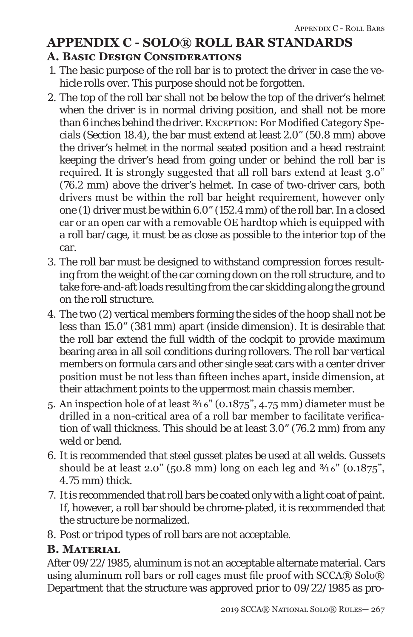# **APPENDIX C - SOLO® ROLL BAR STANDARDS A. Basic Design Considerations**

- 1. The basic purpose of the roll bar is to protect the driver in case the vehicle rolls over. This purpose should not be forgotten.
- 2. The top of the roll bar shall not be below the top of the driver's helmet when the driver is in normal driving position, and shall not be more than 6 inches behind the driver. Exception: For Modified Category Specials (Section 18.4), the bar must extend at least 2.0" (50.8 mm) above the driver's helmet in the normal seated position and a head restraint keeping the driver's head from going under or behind the roll bar is required. It is strongly suggested that all roll bars extend at least 3.0" (76.2 mm) above the driver's helmet. In case of two-driver cars, both drivers must be within the roll bar height requirement, however only one (1) driver must be within 6.0" (152.4 mm) of the roll bar. In a closed car or an open car with a removable OE hardtop which is equipped with a roll bar/cage, it must be as close as possible to the interior top of the car.
- 3. The roll bar must be designed to withstand compression forces resulting from the weight of the car coming down on the roll structure, and to take fore-and-aft loads resulting from the car skidding along the ground on the roll structure.
- 4. The two (2) vertical members forming the sides of the hoop shall not be less than 15.0" (381 mm) apart (inside dimension). It is desirable that the roll bar extend the full width of the cockpit to provide maximum bearing area in all soil conditions during rollovers. The roll bar vertical members on formula cars and other single seat cars with a center driver position must be not less than fifteen inches apart, inside dimension, at their attachment points to the uppermost main chassis member.
- 5. An inspection hole of at least 3/16" (0.1875", 4.75 mm) diameter must be drilled in a non-critical area of a roll bar member to facilitate verification of wall thickness. This should be at least 3.0" (76.2 mm) from any weld or bend.
- 6. It is recommended that steel gusset plates be used at all welds. Gussets should be at least 2.0" (50.8 mm) long on each leg and  $\frac{3}{16}$ " (0.1875", 4.75 mm) thick.
- 7. It is recommended that roll bars be coated only with a light coat of paint. If, however, a roll bar should be chrome-plated, it is recommended that the structure be normalized.
- 8. Post or tripod types of roll bars are not acceptable.

#### **B. Material**

After 09/22/1985, aluminum is not an acceptable alternate material. Cars using aluminum roll bars or roll cages must file proof with  $SCCA@Solo@$ Department that the structure was approved prior to 09/22/1985 as pro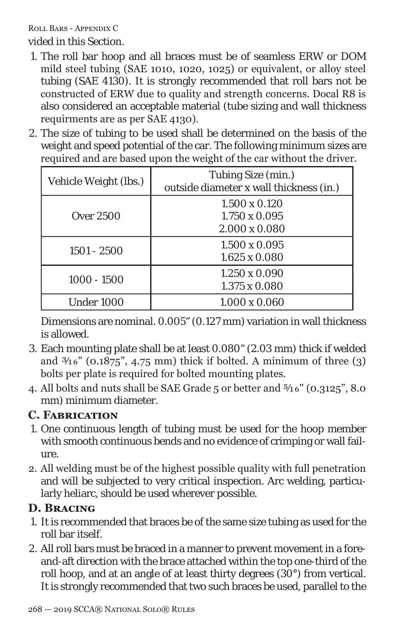vided in this Section.

- 1. The roll bar hoop and all braces must be of seamless ERW or DOM mild steel tubing (SAE 1010, 1020, 1025) or equivalent, or alloy steel tubing (SAE 4130). It is strongly recommended that roll bars not be constructed of ERW due to quality and strength concerns. Docal R8 is also considered an acceptable material (tube sizing and wall thickness requirments are as per SAE 4130).
- 2. The size of tubing to be used shall be determined on the basis of the weight and speed potential of the car. The following minimum sizes are required and are based upon the weight of the car without the driver.

| Vehicle Weight (lbs.) | Tubing Size (min.)<br>outside diameter x wall thickness (in.)        |
|-----------------------|----------------------------------------------------------------------|
| Over 2500             | $1.500 \times 0.120$<br>$1.750 \times 0.095$<br>$2.000 \times 0.080$ |
| $1501 - 2500$         | $1.500 \times 0.095$<br>$1.625 \times 0.080$                         |
| $1000 - 1500$         | $1.250 \times 0.090$<br>$1.375 \times 0.080$                         |
| Under 1000            | $1.000 \times 0.060$                                                 |

Dimensions are nominal. 0.005" (0.127 mm) variation in wall thickness is allowed.

- 3. Each mounting plate shall be at least 0.080" (2.03 mm) thick if welded and  $\frac{3}{16}$ " (0.1875", 4.75 mm) thick if bolted. A minimum of three (3) bolts per plate is required for bolted mounting plates.
- 4. All bolts and nuts shall be SAE Grade 5 or better and 5/16" (0.3125", 8.0 mm) minimum diameter.

### **C. Fabrication**

- 1. One continuous length of tubing must be used for the hoop member with smooth continuous bends and no evidence of crimping or wall failure.
- 2. All welding must be of the highest possible quality with full penetration and will be subjected to very critical inspection. Arc welding, particularly heliarc, should be used wherever possible.

## **D. Bracing**

- 1. It is recommended that braces be of the same size tubing as used for the roll bar itself.
- 2. All roll bars must be braced in a manner to prevent movement in a foreand-aft direction with the brace attached within the top one-third of the roll hoop, and at an angle of at least thirty degrees (30°) from vertical. It is strongly recommended that two such braces be used, parallel to the